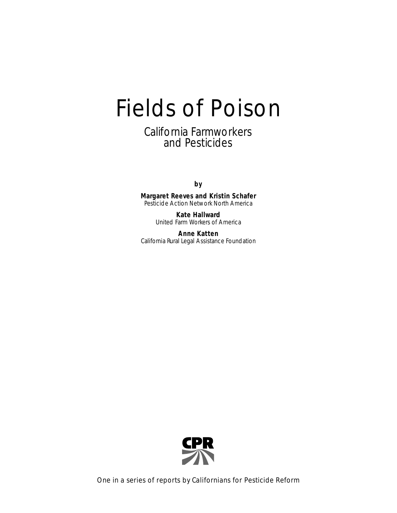# Fields of Poison

## California Farmworkers and Pesticides

**by**

**Margaret Reeves and Kristin Schafer** Pesticide Action Network North America

> **Kate Hallward** United Farm Workers of America

**Anne Katten** California Rural Legal Assistance Foundation



One in a series of reports by Californians for Pesticide Reform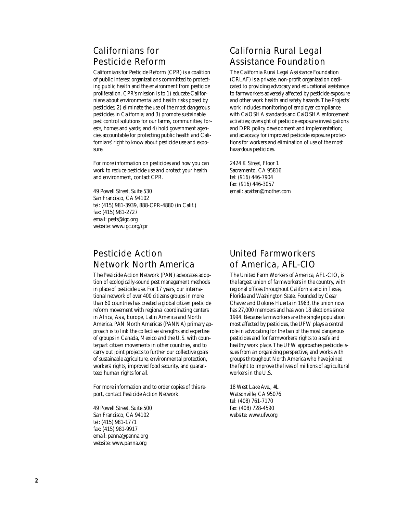## Californians for Pesticide Reform

Californians for Pesticide Reform (CPR) is a coalition of public interest organizations committed to protecting public health and the environment from pesticide proliferation. CPR's mission is to 1) educate Californians about environmental and health risks posed by pesticides; 2) eliminate the use of the most dangerous pesticides in California; and 3) promote sustainable pest control solutions for our farms, communities, forests, homes and yards; and 4) hold government agencies accountable for protecting public health and Californians' right to know about pesticide use and exposure.

For more information on pesticides and how you can work to reduce pesticide use and protect your health and environment, contact CPR.

49 Powell Street, Suite 530 San Francisco, CA 94102 tel: (415) 981-3939, 888-CPR-4880 (in Calif.) fax: (415) 981-2727 email: pests@igc.org website: www.igc.org/cpr

## Pesticide Action Network North America

The Pesticide Action Network (PAN) advocates adoption of ecologically-sound pest management methods in place of pesticide use. For 17 years, our international network of over 400 citizens groups in more than 60 countries has created a global citizen pesticide reform movement with regional coordinating centers in Africa, Asia, Europe, Latin America and North America. PAN North America's (PANNA) primary approach is to link the collective strengths and expertise of groups in Canada, Mexico and the U.S. with counterpart citizen movements in other countries, and to carry out joint projects to further our collective goals of sustainable agriculture, environmental protection, workers' rights, improved food security, and guaranteed human rights for all.

For more information and to order copies of this report, contact Pesticide Action Network.

49 Powell Street, Suite 500 San Francisco, CA 94102 tel: (415) 981-1771 fax: (415) 981-9917 email: panna@panna.org website: www.panna.org

## California Rural Legal Assistance Foundation

The California Rural Legal Assistance Foundation (CRLAF) is a private, non-profit organization dedicated to providing advocacy and educational assistance to farmworkers adversely affected by pesticide exposure and other work health and safety hazards. The Projects' work includes monitoring of employer compliance with CalOSHA standards and CalOSHA enforcement activities; oversight of pesticide exposure investigations and DPR policy development and implementation; and advocacy for improved pesticide exposure protections for workers and elimination of use of the most hazardous pesticides.

2424 K Street, Floor 1 Sacramento, CA 95816 tel: (916) 446-7904 fax: (916) 446-3057 email: acatten@mother.com

## United Farmworkers of America, AFL-CIO

The United Farm Workers of America, AFL-CIO, is the largest union of farmworkers in the country, with regional offices throughout California and in Texas, Florida and Washington State. Founded by Cesar Chavez and Dolores Huerta in 1963, the union now has 27,000 members and has won 18 elections since 1994. Because farmworkers are the single population most affected by pesticides, the UFW plays a central role in advocating for the ban of the most dangerous pesticides and for farmworkers' rights to a safe and healthy work place. The UFW approaches pesticide issues from an organizing perspective, and works with groups throughout North America who have joined the fight to improve the lives of millions of agricultural workers in the U.S.

18 West Lake Ave., #L Watsonville, CA 95076 tel: (408) 761-7170 fax: (408) 728-4590 website: www.ufw.org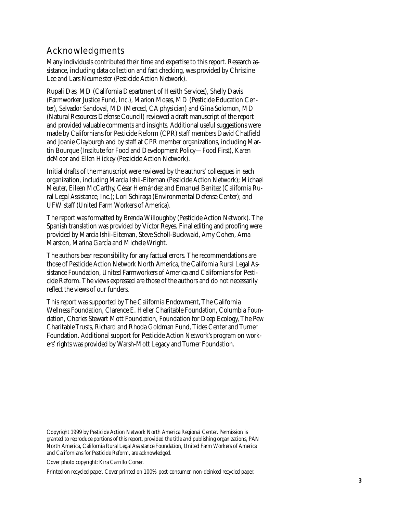## Acknowledgments

Many individuals contributed their time and expertise to this report. Research assistance, including data collection and fact checking, was provided by Christine Lee and Lars Neumeister (Pesticide Action Network).

Rupali Das, MD (California Department of Health Services), Shelly Davis (Farmworker Justice Fund, Inc.), Marion Moses, MD (Pesticide Education Center), Salvador Sandoval, MD (Merced, CA physician) and Gina Solomon, MD (Natural Resources Defense Council) reviewed a draft manuscript of the report and provided valuable comments and insights. Additional useful suggestions were made by Californians for Pesticide Reform (CPR) staff members David Chatfield and Joanie Clayburgh and by staff at CPR member organizations, including Martin Bourque (Institute for Food and Development Policy—Food First), Karen deMoor and Ellen Hickey (Pesticide Action Network).

Initial drafts of the manuscript were reviewed by the authors' colleagues in each organization, including Marcia Ishii-Eiteman (Pesticide Action Network); Michael Meuter, Eileen McCarthy, César Hernández and Emanuel Benítez (California Rural Legal Assistance, Inc.); Lori Schiraga (Environmental Defense Center); and UFW staff (United Farm Workers of America).

The report was formatted by Brenda Willoughby (Pesticide Action Network). The Spanish translation was provided by Víctor Reyes. Final editing and proofing were provided by Marcia Ishii-Eiteman, Steve Scholl-Buckwald, Amy Cohen, Ama Marston, Marina García and Michele Wright.

The authors bear responsibility for any factual errors. The recommendations are those of Pesticide Action Network North America, the California Rural Legal Assistance Foundation, United Farmworkers of America and Californians for Pesticide Reform. The views expressed are those of the authors and do not necessarily reflect the views of our funders.

This report was supported by The California Endowment, The California Wellness Foundation, Clarence E. Heller Charitable Foundation, Columbia Foundation, Charles Stewart Mott Foundation, Foundation for Deep Ecology, The Pew Charitable Trusts, Richard and Rhoda Goldman Fund, Tides Center and Turner Foundation. Additional support for Pesticide Action Network's program on workers' rights was provided by Warsh-Mott Legacy and Turner Foundation.

Copyright 1999 by Pesticide Action Network North America Regional Center. Permission is granted to reproduce portions of this report, provided the title and publishing organizations, PAN North America, California Rural Legal Assistance Foundation, United Farm Workers of America and Californians for Pesticide Reform, are acknowledged.

Cover photo copyright: Kira Carrillo Corser.

Printed on recycled paper. Cover printed on 100% post-consumer, non-deinked recycled paper.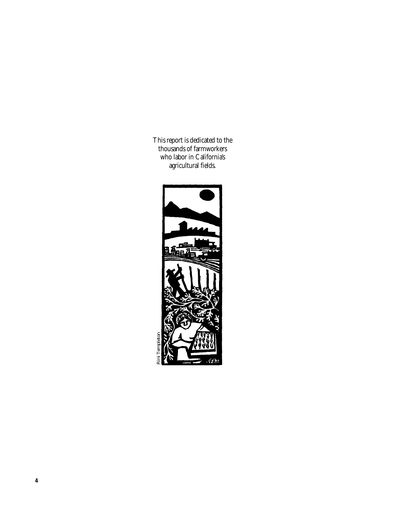This report is dedicated to the thousands of farmworkers who labor in California's agricultural fields.



Rini Templeton Rini Templeton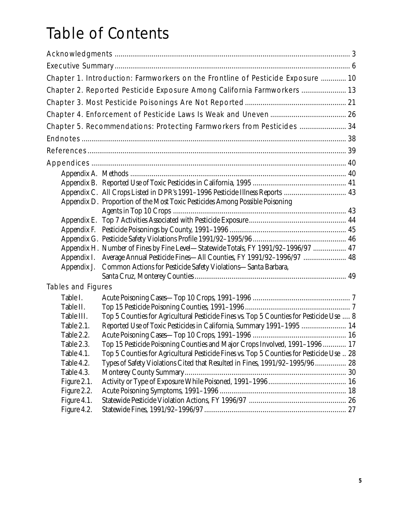# Table of Contents

|                           | Chapter 1. Introduction: Farmworkers on the Frontline of Pesticide Exposure  10          |  |
|---------------------------|------------------------------------------------------------------------------------------|--|
|                           | Chapter 2. Reported Pesticide Exposure Among California Farmworkers  13                  |  |
|                           |                                                                                          |  |
|                           |                                                                                          |  |
|                           | Chapter 5. Recommendations: Protecting Farmworkers from Pesticides  34                   |  |
|                           |                                                                                          |  |
|                           |                                                                                          |  |
|                           |                                                                                          |  |
|                           |                                                                                          |  |
|                           |                                                                                          |  |
|                           | Appendix C. All Crops Listed in DPR's 1991-1996 Pesticide Illness Reports  43            |  |
|                           | Appendix D. Proportion of the Most Toxic Pesticides Among Possible Poisoning             |  |
|                           |                                                                                          |  |
|                           |                                                                                          |  |
|                           |                                                                                          |  |
|                           |                                                                                          |  |
|                           | Appendix H. Number of Fines by Fine Level-Statewide Totals, FY 1991/92-1996/97  47       |  |
|                           | Appendix I. Average Annual Pesticide Fines—All Counties, FY 1991/92-1996/97  48          |  |
| Appendix J.               | Common Actions for Pesticide Safety Violations-Santa Barbara,                            |  |
|                           |                                                                                          |  |
| <b>Tables and Figures</b> |                                                                                          |  |
| Table I.                  |                                                                                          |  |
| Table II.                 |                                                                                          |  |
| Table III.                | Top 5 Counties for Agricultural Pesticide Fines vs. Top 5 Counties for Pesticide Use  8  |  |
| <b>Table 2.1.</b>         | Reported Use of Toxic Pesticides in California, Summary 1991-1995  14                    |  |
| <b>Table 2.2.</b>         |                                                                                          |  |
| <b>Table 2.3.</b>         | Top 15 Pesticide Poisoning Counties and Major Crops Involved, 1991-1996 17               |  |
| <b>Table 4.1.</b>         | Top 5 Counties for Agricultural Pesticide Fines vs. Top 5 Counties for Pesticide Use  28 |  |
| <b>Table 4.2.</b>         | Types of Safety Violations Cited that Resulted in Fines, 1991/92-1995/96 28              |  |
| <b>Table 4.3.</b>         |                                                                                          |  |
| Figure 2.1.               |                                                                                          |  |
| Figure 2.2.               |                                                                                          |  |
| Figure 4.1.               |                                                                                          |  |
| Figure 4.2.               |                                                                                          |  |
|                           |                                                                                          |  |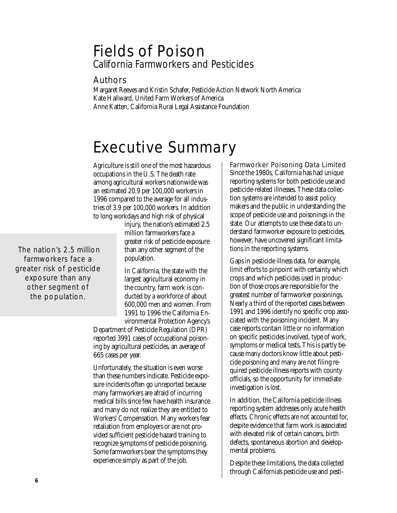## Fields of Poison California Farmworkers and Pesticides

## Authors

Margaret Reeves and Kristin Schafer, Pesticide Action Network North America Kate Hallward, United Farm Workers of America Anne Katten, California Rural Legal Assistance Foundation

# Executive Summary

Agriculture is still one of the most hazardous occupations in the U.S. The death rate among agricultural workers nationwide was an estimated 20.9 per 100,000 workers in 1996 compared to the average for all industries of 3.9 per 100,000 workers. In addition to long workdays and high risk of physical

injury, the nation's estimated 2.5 million farmworkers face a greater risk of pesticide exposure than any other segment of the population.

In California, the state with the largest agricultural economy in the country, farm work is conducted by a workforce of about 600,000 men and women. From 1991 to 1996 the California Environmental Protection Agency's

Department of Pesticide Regulation (DPR) reported 3991 cases of occupational poisoning by agricultural pesticides, an average of 665 cases per year.

Unfortunately, the situation is even worse than these numbers indicate. Pesticide exposure incidents often go unreported because many farmworkers are afraid of incurring medical bills since few have health insurance and many do not realize they are entitled to Workers' Compensation. Many workers fear retaliation from employers or are not provided sufficient pesticide hazard training to recognize symptoms of pesticide poisoning. Some farmworkers bear the symptoms they experience simply as part of the job.

## Farmworker Poisoning Data Limited

Since the 1980s, California has had unique reporting systems for both pesticide use and pesticide-related illnesses. These data collection systems are intended to assist policy makers and the public in understanding the scope of pesticide use and poisonings in the state. Our attempts to use these data to understand farmworker exposure to pesticides, however, have uncovered significant limitations in the reporting systems.

Gaps in pesticide illness data, for example, limit efforts to pinpoint with certainty which crops and which pesticides used in production of those crops are responsible for the greatest number of farmworker poisonings. Nearly a third of the reported cases between 1991 and 1996 identify no specific crop associated with the poisoning incident. Many case reports contain little or no information on specific pesticides involved, type of work, symptoms or medical tests. This is partly because many doctors know little about pesticide poisoning and many are not filing required pesticide illness reports with county officials, so the opportunity for immediate investigation is lost.

In addition, the California pesticide illness reporting system addresses only acute health effects. Chronic effects are not accounted for, despite evidence that farm work is associated with elevated risk of certain cancers, birth defects, spontaneous abortion and developmental problems.

Despite these limitations, the data collected through California's pesticide use and pesti-

 The nation's 2.5 million farmworkers face a greater risk of pesticide exposure than any other segment of the population.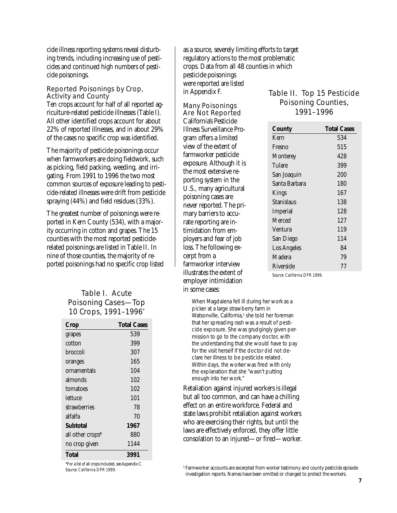cide illness reporting systems reveal disturbing trends, including increasing use of pesticides and continued high numbers of pesticide poisonings.

#### Reported Poisonings by Crop, Activity and County

Ten crops account for half of all reported agriculture-related pesticide illnesses (Table I). All other identified crops account for about 22% of reported illnesses, and in about 29% of the cases no specific crop was identified.

The majority of pesticide poisonings occur when farmworkers are doing fieldwork, such as picking, field packing, weeding, and irrigating. From 1991 to 1996 the two most common sources of exposure leading to pesticide-related illnesses were drift from pesticide spraying (44%) and field residues (33%).

The greatest number of poisonings were reported in Kern County (534), with a majority occurring in cotton and grapes. The 15 counties with the most reported pesticiderelated poisonings are listed in Table II. In nine of those counties, the majority of reported poisonings had no specific crop listed

## Table I. Acute Poisoning Cases—Top 10 Crops, 1991–1996\*

| Crop             | <b>Total Cases</b> |
|------------------|--------------------|
| grapes           | 539                |
| cotton           | 399                |
| broccoli         | 307                |
| oranges          | 165                |
| ornamentals      | 104                |
| almonds          | 102                |
| tomatoes         | 102                |
| lettuce          | 101                |
| strawberries     | 78                 |
| alfalfa          | 70                 |
| <b>Subtotal</b>  | 1967               |
| all other crops* | 880                |
| no crop given    | 1144               |
| Total            | 3991               |

\*For a list of all crops included, see Appendix C. *Source: California DPR 1999.*

as a source, severely limiting efforts to target regulatory actions to the most problematic crops. Data from all 48 counties in which pesticide poisonings were reported are listed

## Many Poisonings Are Not Reported

in Appendix F.

California's Pesticide Illness Surveillance Program offers a limited view of the extent of farmworker pesticide exposure. Although it is the most extensive reporting system in the U.S., many agricultural poisoning cases are never reported. The primary barriers to accurate reporting are intimidation from employers and fear of job loss. The following excerpt from a farmworker interview illustrates the extent of employer intimidation in some cases:

Table II. Top 15 Pesticide Poisoning Counties, 1991–1996

| <b>County</b>      | <b>Total Cases</b> |
|--------------------|--------------------|
| Kern               | 534                |
| Fresno             | 515                |
| Monterey           | 428                |
| Tulare             | 399                |
| San Joaquin        | 200                |
| Santa Barbara      | 180                |
| Kings              | 167                |
| Stanislaus         | 138                |
| <b>Imperial</b>    | 128                |
| Merced             | 12.7               |
| Ventura            | 119                |
| San Diego          | 114                |
| <b>Los Angeles</b> | 84                 |
| Madera             | 79                 |
| Riverside          | 77                 |

*Source: California DPR 1999.*

 When Magdalena fell ill during her work as a picker at a large strawberry farm in Watsonville, California,<sup>1</sup> she told her foreman that her spreading rash was a result of pesticide exposure. She was grudgingly given permission to go to the company doctor, with the understanding that she would have to pay for the visit herself if the doctor did not declare her illness to be pesticide related. Within days, the worker was fired with only the explanation that she "wasn't putting enough into her work."

Retaliation against injured workers is illegal but all too common, and can have a chilling effect on an entire workforce. Federal and state laws prohibit retaliation against workers who are exercising their rights, but until the laws are effectively enforced, they offer little consolation to an injured—or fired—worker.

<sup>1</sup> Farmworker accounts are excerpted from worker testimony and county pesticide episode investigation reports. Names have been omitted or changed to protect the workers.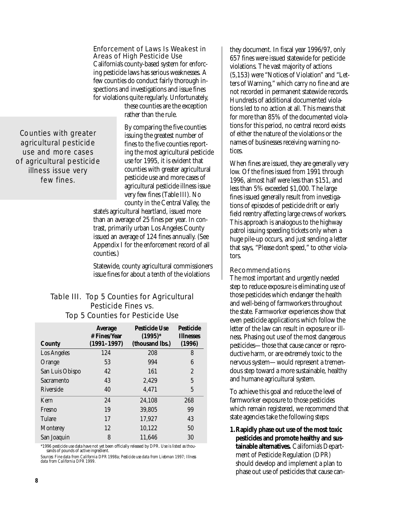#### Enforcement of Laws Is Weakest in Areas of High Pesticide Use

California's county-based system for enforcing pesticide laws has serious weaknesses. A few counties do conduct fairly thorough inspections and investigations and issue fines for violations quite regularly. Unfortunately,

these counties are the exception rather than the rule.

By comparing the five counties issuing the greatest number of fines to the five counties reporting the most agricultural pesticide use for 1995, it is evident that counties with greater agricultural pesticide use and more cases of agricultural pesticide illness issue very few fines (Table III). No county in the Central Valley, the

state's agricultural heartland, issued more than an average of 25 fines per year. In contrast, primarily urban Los Angeles County issued an average of 124 fines annually. (See Appendix I for the enforcement record of all counties.)

Statewide, county agricultural commissioners issue fines for about a tenth of the violations

## Table III. Top 5 Counties for Agricultural Pesticide Fines vs. Top 5 Counties for Pesticide Use

| <b>County</b>   | <b>Average</b><br># Fines/Year<br>$(1991 - 1997)$ | <b>Pesticide Use</b><br>$(1995)^*$<br>(thousand lbs.) | <b>Pesticide</b><br><b>Illnesses</b><br>(1996) |
|-----------------|---------------------------------------------------|-------------------------------------------------------|------------------------------------------------|
| Los Angeles     | 124                                               | 208                                                   | 8                                              |
| Orange          | 53                                                | 994                                                   | 6                                              |
| San Luis Obispo | 42                                                | 161                                                   | 2                                              |
| Sacramento      | 43                                                | 2.429                                                 | 5                                              |
| Riverside       | 40                                                | 4.471                                                 | 5                                              |
| <b>Kern</b>     | 24                                                | 24.108                                                | 268                                            |
| Fresno          | 19                                                | 39.805                                                | 99                                             |
| <b>Tulare</b>   | 17                                                | 17,927                                                | 43                                             |
| <b>Monterey</b> | 12                                                | 10.122                                                | 50                                             |
| San Joaquin     | 8                                                 | 11.646                                                | 30                                             |

\*1996 pesticide use data have not yet been officially released by DPR. Use is listed as thou- sands of pounds of active ingredient.

*Sources: Fine data from California DPR 1998a; Pesticide use data from Liebman 1997; Illness data from California DPR 1999.*

they document. In fiscal year 1996/97, only 657 fines were issued statewide for pesticide violations. The vast majority of actions (5,153) were "Notices of Violation" and "Letters of Warning," which carry no fine and are not recorded in permanent statewide records. Hundreds of additional documented violations led to no action at all. This means that for more than 85% of the documented violations for this period, no central record exists of either the nature of the violations or the names of businesses receiving warning notices.

When fines are issued, they are generally very low. Of the fines issued from 1991 through 1996, almost half were less than \$151, and less than 5% exceeded \$1,000. The large fines issued generally result from investigations of episodes of pesticide drift or early field reentry affecting large crews of workers. This approach is analogous to the highway patrol issuing speeding tickets only when a huge pile-up occurs, and just sending a letter that says, "Please don't speed," to other violators.

#### Recommendations

The most important and urgently needed step to reduce exposure is eliminating use of those pesticides which endanger the health and well-being of farmworkers throughout the state. Farmworker experiences show that even pesticide applications which follow the letter of the law can result in exposure or illness. Phasing out use of the most dangerous pesticides—those that cause cancer or reproductive harm, or are extremely toxic to the nervous system—would represent a tremendous step toward a more sustainable, healthy and humane agricultural system.

To achieve this goal and reduce the level of farmworker exposure to those pesticides which remain registered, we recommend that state agencies take the following steps:

**1.Rapidly phase out use of the most toxic pesticides and promote healthy and sustainable alternatives.** California's Department of Pesticide Regulation (DPR) should develop and implement a plan to phase out use of pesticides that cause can-

Counties with greater agricultural pesticide use and more cases of agricultural pesticide illness issue very few fines.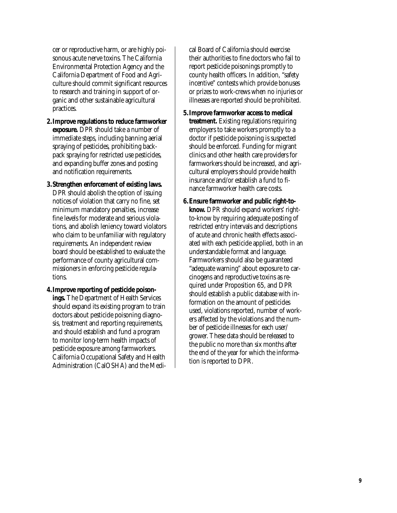cer or reproductive harm, or are highly poisonous acute nerve toxins. The California Environmental Protection Agency and the California Department of Food and Agriculture should commit significant resources to research and training in support of organic and other sustainable agricultural practices.

- **2.Improve regulations to reduce farmworker exposure.** DPR should take a number of immediate steps, including banning aerial spraying of pesticides, prohibiting backpack spraying for restricted use pesticides, and expanding buffer zones and posting and notification requirements.
- **3.Strengthen enforcement of existing laws.** DPR should abolish the option of issuing notices of violation that carry no fine, set minimum mandatory penalties, increase fine levels for moderate and serious violations, and abolish leniency toward violators who claim to be unfamiliar with regulatory requirements. An independent review board should be established to evaluate the performance of county agricultural commissioners in enforcing pesticide regulations.
- **4.Improve reporting of pesticide poisonings.** The Department of Health Services should expand its existing program to train doctors about pesticide poisoning diagnosis, treatment and reporting requirements, and should establish and fund a program to monitor long-term health impacts of pesticide exposure among farmworkers. California Occupational Safety and Health Administration (CalOSHA) and the Medi-

cal Board of California should exercise their authorities to fine doctors who fail to report pesticide poisonings promptly to county health officers. In addition, "safety incentive" contests which provide bonuses or prizes to work-crews when no injuries or illnesses are reported should be prohibited.

- **5.Improve farmworker access to medical treatment.** Existing regulations requiring employers to take workers promptly to a doctor if pesticide poisoning is suspected should be enforced. Funding for migrant clinics and other health care providers for farmworkers should be increased, and agricultural employers should provide health insurance and/or establish a fund to finance farmworker health care costs.
- **6.Ensure farmworker and public right-toknow.** DPR should expand workers' rightto-know by requiring adequate posting of restricted entry intervals and descriptions of acute and chronic health effects associated with each pesticide applied, both in an understandable format and language. Farmworkers should also be guaranteed "adequate warning" about exposure to carcinogens and reproductive toxins as required under Proposition 65, and DPR should establish a public database with information on the amount of pesticides used, violations reported, number of workers affected by the violations and the number of pesticide illnesses for each user/ grower. These data should be released to the public no more than six months after the end of the year for which the information is reported to DPR.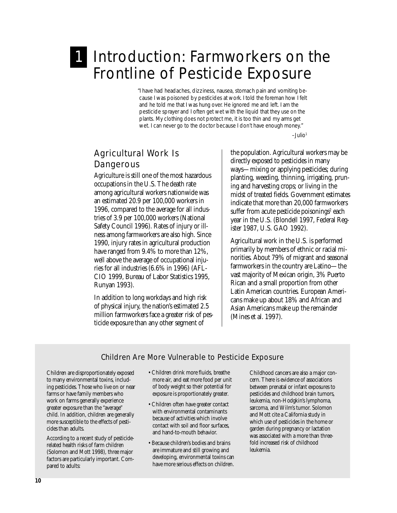# **1 Introduction: Farmworkers on the** Frontline of Pesticide Exposure

"I have had headaches, dizziness, nausea, stomach pain and vomiting because I was poisoned by pesticides at work. I told the foreman how I felt and he told me that I was hung over. He ignored me and left. I am the pesticide sprayer and I often get wet with the liquid that they use on the plants. My clothing does not protect me, it is too thin and my arms get wet. I can never go to the doctor because I don't have enough money."  $-$ Julio<sup>1</sup>

## Agricultural Work Is **Dangerous**

Agriculture is still one of the most hazardous occupations in the U.S. The death rate among agricultural workers nationwide was an estimated 20.9 per 100,000 workers in 1996, compared to the average for all industries of 3.9 per 100,000 workers (National Safety Council 1996). Rates of injury or illness among farmworkers are also high. Since 1990, injury rates in agricultural production have ranged from 9.4% to more than 12%, well above the average of occupational injuries for all industries (6.6% in 1996) (AFL-CIO 1999, Bureau of Labor Statistics 1995, Runyan 1993).

In addition to long workdays and high risk of physical injury, the nation's estimated 2.5 million farmworkers face a greater risk of pesticide exposure than any other segment of

the population. Agricultural workers may be directly exposed to pesticides in many ways—mixing or applying pesticides; during planting, weeding, thinning, irrigating, pruning and harvesting crops; or living in the midst of treated fields. Government estimates indicate that more than 20,000 farmworkers suffer from acute pesticide poisonings $^{\scriptscriptstyle 2}$  each year in the U.S. (Blondell 1997, Federal Register 1987, U.S. GAO 1992).

Agricultural work in the U.S. is performed primarily by members of ethnic or racial minorities. About 79% of migrant and seasonal farmworkers in the country are Latino—the vast majority of Mexican origin, 3% Puerto Rican and a small proportion from other Latin American countries. European Americans make up about 18% and African and Asian Americans make up the remainder (Mines et al. 1997).

### Children Are More Vulnerable to Pesticide Exposure

Children are disproportionately exposed to many environmental toxins, including pesticides. Those who live on or near farms or have family members who work on farms generally experience greater exposure than the "average" child. In addition, children are generally more susceptible to the effects of pesticides than adults.

According to a recent study of pesticiderelated health risks of farm children (Solomon and Mott 1998), three major factors are particularly important. Compared to adults:

- Children drink more fluids, breathe more air, and eat more food per unit of body weight so their potential for exposure is proportionately greater.
- Children often have greater contact with environmental contaminants because of activities which involve contact with soil and floor surfaces, and hand-to-mouth behavior.
- Because children's bodies and brains are immature and still growing and developing, environmental toxins can have more serious effects on children.

Childhood cancers are also a major concern. There is evidence of associations between prenatal or infant exposures to pesticides and childhood brain tumors, leukemia, non-Hodgkin's lymphoma, sarcoma, and Wilm's tumor. Solomon and Mott cite a California study in which use of pesticides in the home or garden during pregnancy or lactation was associated with a more than threefold increased risk of childhood leukemia.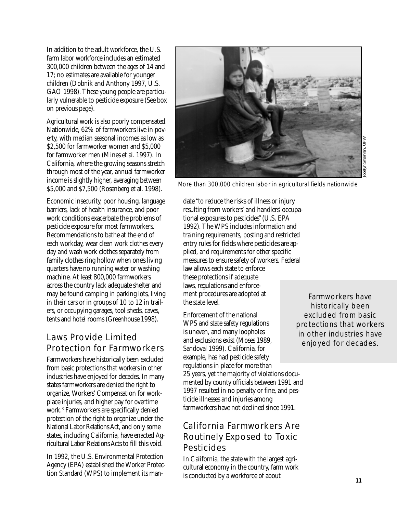In addition to the adult workforce, the U.S. farm labor workforce includes an estimated 300,000 children between the ages of 14 and 17; no estimates are available for younger children (Dobnik and Anthony 1997, U.S. GAO 1998). These young people are particularly vulnerable to pesticide exposure (See box on previous page).

Agricultural work is also poorly compensated. Nationwide, 62% of farmworkers live in poverty, with median seasonal incomes as low as \$2,500 for farmworker women and \$5,000 for farmworker men (Mines et al. 1997). In California, where the growing seasons stretch through most of the year, annual farmworker income is slightly higher, averaging between \$5,000 and \$7,500 (Rosenberg et al. 1998).

Economic insecurity, poor housing, language barriers, lack of health insurance, and poor work conditions exacerbate the problems of pesticide exposure for most farmworkers. Recommendations to bathe at the end of each workday, wear clean work clothes every day and wash work clothes separately from family clothes ring hollow when one's living quarters have no running water or washing machine. At least 800,000 farmworkers across the country lack adequate shelter and may be found camping in parking lots, living in their cars or in groups of 10 to 12 in trailers, or occupying garages, tool sheds, caves, tents and hotel rooms (Greenhouse 1998).

## Laws Provide Limited Protection for Farmworkers

Farmworkers have historically been excluded from basic protections that workers in other industries have enjoyed for decades. In many states farmworkers are denied the right to organize, Workers' Compensation for workplace injuries, and higher pay for overtime work.3 Farmworkers are specifically denied protection of the right to organize under the National Labor Relations Act, and only some states, including California, have enacted Agricultural Labor Relations Acts to fill this void.

In 1992, the U.S. Environmental Protection Agency (EPA) established the Worker Protection Standard (WPS) to implement its man-



More than 300,000 children labor in agricultural fields nationwide

date "to reduce the risks of illness or injury resulting from workers' and handlers' occupational exposures to pesticides" (U.S. EPA 1992). The WPS includes information and training requirements, posting and restricted entry rules for fields where pesticides are applied, and requirements for other specific measures to ensure safety of workers. Federal law allows each state to enforce these protections if adequate laws, regulations and enforcement procedures are adopted at the state level.

Enforcement of the national WPS and state safety regulations is uneven, and many loopholes and exclusions exist (Moses 1989, Sandoval 1999). California, for example, has had pesticide safety regulations in place for more than 25 years, yet the majority of violations documented by county officials between 1991 and 1997 resulted in no penalty or fine, and pesticide illnesses and injuries among farmworkers have not declined since 1991.

## California Farmworkers Are Routinely Exposed to Toxic **Pesticides**

In California, the state with the largest agricultural economy in the country, farm work is conducted by a workforce of about

Farmworkers have historically been excluded from basic protections that workers in other industries have enjoyed for decades.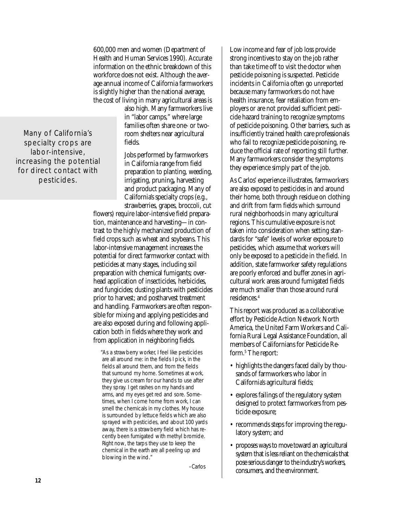600,000 men and women (Department of Health and Human Services 1990). Accurate information on the ethnic breakdown of this workforce does not exist. Although the average annual income of California farmworkers is slightly higher than the national average, the cost of living in many agricultural areas is

also high. Many farmworkers live in "labor camps," where large families often share one- or tworoom shelters near agricultural fields.

Jobs performed by farmworkers in California range from field preparation to planting, weeding, irrigating, pruning*,* harvesting and product packaging. Many of California's specialty crops (e.g., strawberries, grapes, broccoli, cut

flowers) require labor-intensive field preparation, maintenance and harvesting—in contrast to the highly mechanized production of field crops such as wheat and soybeans. This labor-intensive management increases the potential for direct farmworker contact with pesticides at many stages, including soil preparation with chemical fumigants; overhead application of insecticides, herbicides, and fungicides; dusting plants with pesticides prior to harvest; and postharvest treatment and handling. Farmworkers are often responsible for mixing and applying pesticides and are also exposed during and following application both in fields where they work and from application in neighboring fields.

"As a strawberry worker, I feel like pesticides are all around me: in the fields I pick, in the fields all around them, and from the fields that surround my home. Sometimes at work, they give us cream for our hands to use after they spray. I get rashes on my hands and arms, and my eyes get red and sore. Sometimes, when I come home from work, I can smell the chemicals in my clothes. My house is surrounded by lettuce fields which are also sprayed with pesticides, and about 100 yards away, there is a strawberry field which has recently been fumigated with methyl bromide. Right now, the tarps they use to keep the chemical in the earth are all peeling up and blowing in the wind."

–Carlos

Low income and fear of job loss provide strong incentives to stay on the job rather than take time off to visit the doctor when pesticide poisoning is suspected. Pesticide incidents in California often go unreported because many farmworkers do not have health insurance, fear retaliation from employers or are not provided sufficient pesticide hazard training to recognize symptoms of pesticide poisoning. Other barriers, such as insufficiently trained health care professionals who fail to recognize pesticide poisoning, reduce the official rate of reporting still further. Many farmworkers consider the symptoms they experience simply part of the job.

As Carlos' experience illustrates, farmworkers are also exposed to pesticides in and around their home, both through residue on clothing and drift from farm fields which surround rural neighborhoods in many agricultural regions. This cumulative exposure is not taken into consideration when setting standards for "safe" levels of worker exposure to pesticides, which assume that workers will only be exposed to a pesticide in the field. In addition, state farmworker safety regulations are poorly enforced and buffer zones in agricultural work areas around fumigated fields are much smaller than those around rural residences.4

This report was produced as a collaborative effort by Pesticide Action Network North America, the United Farm Workers and California Rural Legal Assistance Foundation, all members of Californians for Pesticide Reform.5 The report:

- highlights the dangers faced daily by thousands of farmworkers who labor in California's agricultural fields;
- explores failings of the regulatory system designed to protect farmworkers from pesticide exposure;
- recommends steps for improving the regulatory system; and
- proposes ways to move toward an agricultural system that is less reliant on the chemicals that pose serious danger to the industry's workers, consumers, and the environment.

Many of California's specialty crops are labor-intensive, increasing the potential for direct contact with pesticides.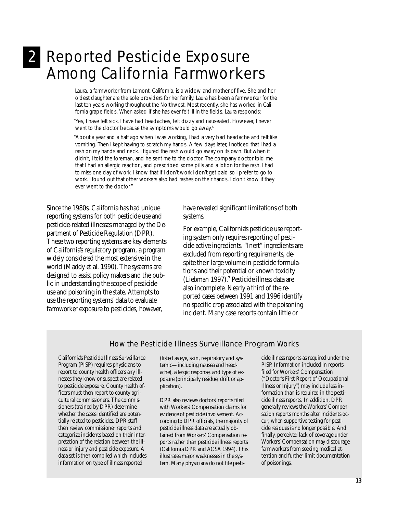## 2 Reported Pesticide Exposure Among California Farmworkers

 Laura, a farmworker from Lamont, California, is a widow and mother of five. She and her oldest daughter are the sole providers for her family. Laura has been a farmworker for the last ten years working throughout the Northwest. Most recently, she has worked in California grape fields. When asked if she has ever felt ill in the fields, Laura responds:

"Yes, I have felt sick. I have had headaches, felt dizzy and nauseated. However, I never went to the doctor because the symptoms would go away.6

"About a year and a half ago when I was working, I had a very bad headache and felt like vomiting. Then I kept having to scratch my hands. A few days later, I noticed that I had a rash on my hands and neck. I figured the rash would go away on its own. But when it didn't, I told the foreman, and he sent me to the doctor. The company doctor told me that I had an allergic reaction, and prescribed some pills and a lotion for the rash. I had to miss one day of work. I know that if I don't work I don't get paid so I prefer to go to work. I found out that other workers also had rashes on their hands. I don't know if they ever went to the doctor."

Since the 1980s, California has had unique reporting systems for both pesticide use and pesticide-related illnesses managed by the Department of Pesticide Regulation (DPR). These two reporting systems are key elements of California's regulatory program, a program widely considered the most extensive in the world (Maddy et al. 1990). The systems are designed to assist policy makers and the public in understanding the scope of pesticide use and poisoning in the state. Attempts to use the reporting systems' data to evaluate farmworker exposure to pesticides, however,

have revealed significant limitations of both systems.

For example, California's pesticide use reporting system only requires reporting of pesticide active ingredients. "Inert" ingredients are excluded from reporting requirements, despite their large volume in pesticide formulations and their potential or known toxicity (Liebman 1997).7 Pesticide illness data are also incomplete. Nearly a third of the reported cases between 1991 and 1996 identify no specific crop associated with the poisoning incident. Many case reports contain little or

### How the Pesticide Illness Surveillance Program Works

California's Pesticide Illness Surveillance Program (PISP) requires physicians to report to county health officers any illnesses they know or suspect are related to pesticide exposure. County health officers must then report to county agricultural commissioners. The commissioners (trained by DPR) determine whether the cases identified are potentially related to pesticides. DPR staff then review commissioner reports and categorize incidents based on their interpretation of the relation between the illness or injury and pesticide exposure. A data set is then compiled which includes information on type of illness reported

(listed as eye, skin, respiratory and systemic—including nausea and headache), allergic response, and type of exposure (principally residue, drift or application).

DPR also reviews doctors' reports filed with Workers' Compensation claims for evidence of pesticide involvement. According to DPR officials, the majority of pesticide illness data are actually obtained from Workers' Compensation reports rather than pesticide illness reports (California DPR and ACSA 1994). This illustrates major weaknesses in the system. Many physicians do not file pesticide illness reports as required under the PISP. Information included in reports filed for Workers' Compensation ("Doctor's First Report of Occupational Illness or Injury") may include less information than is required in the pesticide illness reports. In addition, DPR generally reviews the Workers' Compensation reports months after incidents occur, when supportive testing for pesticide residues is no longer possible. And finally, perceived lack of coverage under Workers' Compensation may discourage farmworkers from seeking medical attention and further limit documentation of poisonings.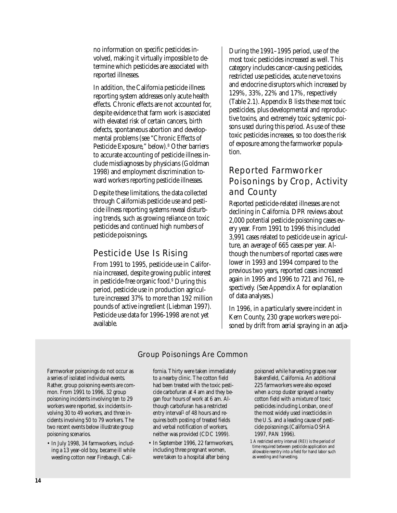no information on specific pesticides involved, making it virtually impossible to determine which pesticides are associated with reported illnesses.

In addition, the California pesticide illness reporting system addresses only acute health effects. Chronic effects are not accounted for, despite evidence that farm work is associated with elevated risk of certain cancers, birth defects, spontaneous abortion and developmental problems (see "Chronic Effects of Pesticide Exposure," below).8 Other barriers to accurate accounting of pesticide illness include misdiagnoses by physicians (Goldman 1998) and employment discrimination toward workers reporting pesticide illnesses.

Despite these limitations, the data collected through California's pesticide use and pesticide illness reporting systems reveal disturbing trends, such as growing reliance on toxic pesticides and continued high numbers of pesticide poisonings.

## Pesticide Use Is Rising

From 1991 to 1995, pesticide use in California increased, despite growing public interest in pesticide-free organic food.9 During this period, pesticide use in production agriculture increased 37% to more than 192 million pounds of active ingredient (Liebman 1997). Pesticide use data for 1996-1998 are not yet available.

During the 1991–1995 period, use of the most toxic pesticides increased as well. This category includes cancer-causing pesticides, restricted use pesticides, acute nerve toxins and endocrine disruptors which increased by 129%, 33%, 22% and 17%, respectively (Table 2.1). Appendix B lists these *most toxic* pesticides, plus developmental and reproductive toxins, and extremely toxic systemic poisons used during this period. As use of these toxic pesticides increases, so too does the risk of exposure among the farmworker population.

## Reported Farmworker Poisonings by Crop, Activity and County

Reported pesticide-related illnesses are not declining in California. DPR reviews about 2,000 potential pesticide poisoning cases every year. From 1991 to 1996 this included 3,991 cases related to pesticide use in agriculture, an average of 665 cases per year. Although the numbers of reported cases were lower in 1993 and 1994 compared to the previous two years, reported cases increased again in 1995 and 1996 to 721 and 761, respectively. (See Appendix A for explanation of data analyses.)

In 1996, in a particularly severe incident in Kern County, 230 grape workers were poisoned by drift from aerial spraying in an adja-

## Group Poisonings Are Common

Farmworker poisonings do not occur as a series of isolated individual events. Rather, group poisoning events are common. From 1991 to 1996, 32 group poisoning incidents involving ten to 29 workers were reported, six incidents involving 30 to 49 workers, and three incidents involving 50 to 79 workers. The two recent events below illustrate group poisoning scenarios.

• In July 1998, 34 farmworkers, including a 13 year-old boy, became ill while weeding cotton near Firebaugh, Cali-

fornia. Thirty were taken immediately to a nearby clinic. The cotton field had been treated with the toxic pesticide carbofuran at 4 am and they began four hours of work at 6 am. Although carbofuran has a restricted entry interval<sup>1</sup> of 48 hours and requires both posting of treated fields and verbal notification of workers, neither was provided (CDC 1999).

• In September 1996, 22 farmworkers, including three pregnant women, were taken to a hospital after being

poisoned while harvesting grapes near Bakersfield, California. An additional 225 farmworkers were also exposed when a crop duster sprayed a nearby cotton field with a mixture of toxic pesticides including Lorsban, one of the most widely used insecticides in the U.S. and a leading cause of pesticide poisonings (California OSHA 1997, PAN 1996).

1 A restricted entry interval (REI) is the period of time required between pesticide application and allowable reentry into a field for hand labor such as weeding and harvesting.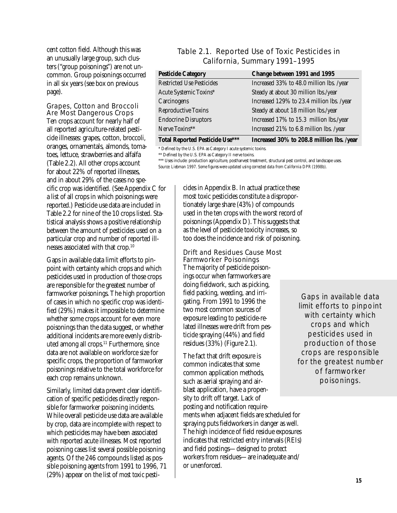cent cotton field. Although this was an unusually large group, such clusters ("group poisonings") are not uncommon. Group poisonings occurred in all six years (see box on previous page).

#### Grapes, Cotton and Broccoli Are Most Dangerous Crops

Ten crops account for nearly half of all reported agriculture-related pesticide illnesses: grapes, cotton, broccoli, oranges, ornamentals, almonds, tomatoes, lettuce, strawberries and alfalfa (Table 2.2). All other crops account for about 22% of reported illnesses, and in about 29% of the cases no specific crop was identified. (See Appendix C for a list of all crops in which poisonings were reported.) Pesticide use data are included in Table 2.2 for nine of the 10 crops listed. Statistical analysis shows a positive relationship between the amount of pesticides used on a particular crop and number of reported illnesses associated with that crop.10

Gaps in available data limit efforts to pinpoint with certainty which crops and which pesticides used in production of those crops are responsible for the greatest number of farmworker poisonings. The high proportion of cases in which no specific crop was identified (29%) makes it impossible to determine whether some crops account for even more poisonings than the data suggest, or whether additional incidents are more evenly distributed among all crops.11 Furthermore, since data are not available on workforce size for specific crops, the proportion of farmworker poisonings relative to the total workforce for each crop remains unknown.

Similarly, limited data prevent clear identification of specific pesticides directly responsible for farmworker poisoning incidents. While overall pesticide use data are available by crop, data are incomplete with respect to which pesticides may have been associated with reported acute illnesses. Most reported poisoning cases list several possible poisoning agents. Of the 246 compounds listed as possible poisoning agents from 1991 to 1996, 71 (29%) appear on the list of *most toxic* pesti-

### Table 2.1. Reported Use of Toxic Pesticides in California, Summary 1991–1995

| <b>Pesticide Category</b>              | Change between 1991 and 1995              |
|----------------------------------------|-------------------------------------------|
| <b>Restricted Use Pesticides</b>       | Increased 33% to 48.0 million lbs. /year  |
| Acute Systemic Toxins*                 | Steady at about 30 million lbs./year      |
| Carcinogens                            | Increased 129% to 23.4 million lbs. /year |
| <b>Reproductive Toxins</b>             | Steady at about 18 million lbs./year      |
| <b>Endocrine Disruptors</b>            | Increased 17% to 15.3 million lbs./year   |
| Nerve Toxins**                         | Increased 21% to 6.8 million lbs. /year   |
| <b>Total Reported Pesticide Use***</b> | Increased 30% to 208.8 million lbs. /year |

\* Defined by the U.S. EPA as Category I acute systemic toxins.

\*\* Defined by the U.S. EPA as Category II nerve toxins.

\*\*\* Uses include: production agriculture, postharvest treatment, structural pest control, and landscape uses. *Source: Liebman 1997. Some figures were updated using corrected data from California DPR (1998b).*

> cides in Appendix B. In actual practice these most toxic pesticides constitute a disproportionately large share (43%) of compounds used in the ten crops with the worst record of poisonings (Appendix D). This suggests that as the level of pesticide toxicity increases, so too does the incidence and risk of poisoning.

### Drift and Residues Cause Most Farmworker Poisonings

The majority of pesticide poisonings occur when farmworkers are doing fieldwork, such as picking, field packing, weeding, and irrigating. From 1991 to 1996 the two most common sources of exposure leading to pesticide-related illnesses were drift from pesticide spraying (44%) and field residues (33%) (Figure 2.1).

The fact that drift exposure is common indicates that some common application methods, such as aerial spraying and airblast application, have a propensity to drift off target. Lack of posting and notification requirements when adjacent fields are scheduled for spraying puts fieldworkers in danger as well. The high incidence of field residue exposures indicates that restricted entry intervals (REIs) and field postings—designed to protect workers from residues—are inadequate and/ or unenforced.

Gaps in available data limit efforts to pinpoint with certainty which crops and which pesticides used in production of those crops are responsible for the greatest number of farmworker poisonings.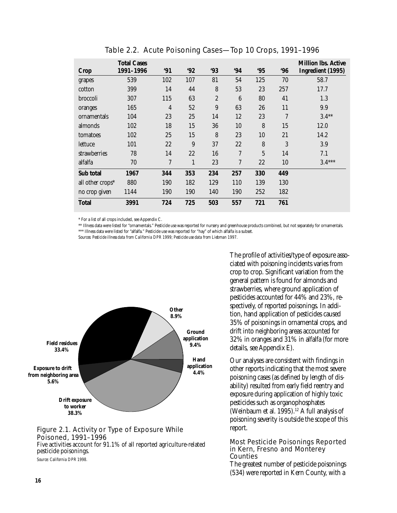| Crop             | <b>Total Cases</b><br>1991-1996 | 91             | 92  | $^{\circ}93$     | 94              | 95  | <b>'96</b> | <b>Million lbs. Active</b><br>Ingredient (1995) |
|------------------|---------------------------------|----------------|-----|------------------|-----------------|-----|------------|-------------------------------------------------|
| grapes           | 539                             | 102            | 107 | 81               | 54              | 125 | 70         | 58.7                                            |
| cotton           | 399                             | 14             | 44  | 8                | 53              | 23  | 257        | 17.7                                            |
| <b>broccoli</b>  | 307                             | 115            | 63  | $\boldsymbol{2}$ | $6\phantom{1}6$ | 80  | 41         | 1.3                                             |
| oranges          | 165                             | $\overline{4}$ | 52  | 9                | 63              | 26  | 11         | 9.9                                             |
| ornamentals      | 104                             | 23             | 25  | 14               | 12              | 23  | $\tau$     | $3.4**$                                         |
| almonds          | 102                             | 18             | 15  | 36               | 10              | 8   | 15         | 12.0                                            |
| tomatoes         | 102                             | 25             | 15  | 8                | 23              | 10  | 21         | 14.2                                            |
| <b>lettuce</b>   | 101                             | 22             | 9   | 37               | 22              | 8   | 3          | 3.9                                             |
| strawberries     | 78                              | 14             | 22  | 16               | 7               | 5   | 14         | 7.1                                             |
| alfalfa          | 70                              | 7              | 1   | 23               | 7               | 22  | 10         | $3.4***$                                        |
| Sub total        | 1967                            | 344            | 353 | 234              | 257             | 330 | 449        |                                                 |
| all other crops* | 880                             | 190            | 182 | 129              | 110             | 139 | 130        |                                                 |
| no crop given    | 1144                            | 190            | 190 | 140              | 190             | 252 | 182        |                                                 |
| <b>Total</b>     | 3991                            | 724            | 725 | 503              | 557             | 721 | 761        |                                                 |

Table 2.2. Acute Poisoning Cases—Top 10 Crops, 1991–1996

\* For a list of all crops included, see Appendix C.

\*\* Illness data were listed for "ornamentals." Pesticide use was reported for nursery and greenhouse products combined, but not separately for ornamentals. \*\*\* Illness data were listed for "alfalfa." Pesticide use was reported for "hay" of which alfalfa is a subset.

*Sources: Pesticide illness data from California DPR 1999; Pesticide use data from Liebman 1997.*



#### Figure 2.1. Activity or Type of Exposure While Poisoned, 1991–1996

Five activities account for 91.1% of all reported agriculture-related pesticide poisonings.

*Source: California DPR 1998.*

The profile of activities/type of exposure associated with poisoning incidents varies from crop to crop. Significant variation from the general pattern is found for almonds and strawberries, where ground application of pesticides accounted for 44% and 23%, respectively, of reported poisonings. In addition, hand application of pesticides caused 35% of poisonings in ornamental crops, and drift into neighboring areas accounted for 32% in oranges and 31% in alfalfa (for more details, see Appendix E).

Our analyses are consistent with findings in other reports indicating that the most severe poisoning cases (as defined by length of disability) resulted from early field reentry and exposure during application of highly toxic pesticides such as organophosphates (Weinbaum et al. 1995).<sup>12</sup> A full analysis of poisoning severity is outside the scope of this report.

#### Most Pesticide Poisonings Reported in Kern, Fresno and Monterey Counties

The greatest number of pesticide poisonings (534) were reported in Kern County, with a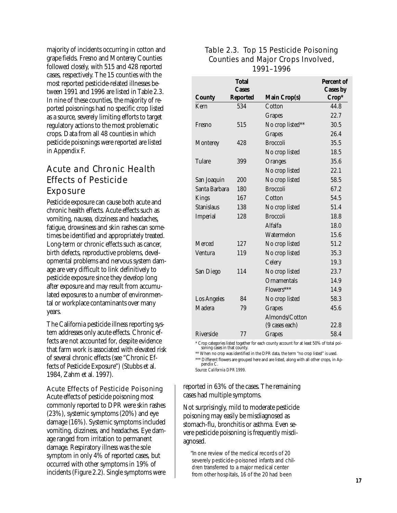majority of incidents occurring in cotton and grape fields. Fresno and Monterey Counties followed closely, with 515 and 428 reported cases, respectively. The 15 counties with the most reported pesticide-related illnesses between 1991 and 1996 are listed in Table 2.3. In nine of these counties, the majority of reported poisonings had no specific crop listed as a source, severely limiting efforts to target regulatory actions to the most problematic crops. Data from all 48 counties in which pesticide poisonings were reported are listed in Appendix F.

## Acute and Chronic Health Effects of Pesticide Exposure

Pesticide exposure can cause both acute and chronic health effects. Acute effects such as vomiting, nausea, dizziness and headaches, fatigue, drowsiness and skin rashes can sometimes be identified and appropriately treated. Long-term or chronic effects such as cancer, birth defects, reproductive problems, developmental problems and nervous system damage are very difficult to link definitively to pesticide exposure since they develop long after exposure and may result from accumulated exposures to a number of environmental or workplace contaminants over many years.

The California pesticide illness reporting system addresses only acute effects. Chronic effects are not accounted for, despite evidence that farm work is associated with elevated risk of several chronic effects (see "Chronic Effects of Pesticide Exposure") (Stubbs et al. 1984, Zahm et al. 1997).

#### Acute Effects of Pesticide Poisoning

Acute effects of pesticide poisoning most commonly reported to DPR were skin rashes (23%), systemic symptoms (20%) and eye damage (16%). Systemic symptoms included vomiting, dizziness, and headaches. Eye damage ranged from irritation to permanent damage. Respiratory illness was the sole symptom in only 4% of reported cases, but occurred with other symptoms in 19% of incidents (Figure 2.2). Single symptoms were

|                    | Total           |                     | Percent of      |
|--------------------|-----------------|---------------------|-----------------|
|                    | <b>Cases</b>    |                     | <b>Cases by</b> |
| <b>County</b>      | <b>Reported</b> | <b>Main Crop(s)</b> | Crop*           |
| <b>Kern</b>        | 534             | Cotton              | 44.8            |
|                    |                 | <b>Grapes</b>       | 22.7            |
| Fresno             | 515             | No crop listed**    | 30.5            |
|                    |                 | <b>Grapes</b>       | 26.4            |
| <b>Monterey</b>    | 428             | <b>Broccoli</b>     | 35.5            |
|                    |                 | No crop listed      | 18.5            |
| <b>Tulare</b>      | 399             | <b>Oranges</b>      | 35.6            |
|                    |                 | No crop listed      | 22.1            |
| San Joaquin        | 200             | No crop listed      | 58.5            |
| Santa Barbara      | 180             | <b>Broccoli</b>     | 67.2            |
| <b>Kings</b>       | 167             | Cotton              | 54.5            |
| <b>Stanislaus</b>  | 138             | No crop listed      | 51.4            |
| Imperial           | 128             | <b>Broccoli</b>     | 18.8            |
|                    |                 | Alfalfa             | 18.0            |
|                    |                 | Watermelon          | 15.6            |
| Merced             | 12.7            | No crop listed      | 51.2            |
| Ventura            | 119             | No crop listed      | 35.3            |
|                    |                 | Celery              | 19.3            |
| San Diego          | 114             | No crop listed      | 23.7            |
|                    |                 | <b>Ornamentals</b>  | 14.9            |
|                    |                 | Flowers***          | 14.9            |
| <b>Los Angeles</b> | 84              | No crop listed      | 58.3            |
| Madera             | 79              | <b>Grapes</b>       | 45.6            |
|                    |                 | Almonds/Cotton      |                 |
|                    |                 | (9 cases each)      | 22.8            |
| Riverside          | 77              | Grapes              | 58.4            |

### Table 2.3. Top 15 Pesticide Poisoning Counties and Major Crops Involved, 1991–1996

\* Crop categories listed together for each county account for at least 50% of total poi- soning cases in that county.

\*\* When no crop was identified in the DPR data, the term "no crop listed" is used.

\*\*\* Different flowers are grouped here and are listed, along with all other crops, in Appendix C. *Source: California DPR 1999.*

reported in 63% of the cases. The remaining cases had multiple symptoms.

Not surprisingly, mild to moderate pesticide poisoning may easily be misdiagnosed as stomach-flu, bronchitis or asthma. Even severe pesticide poisoning is frequently misdiagnosed.

"In one review of the medical records of 20 severely pesticide-poisoned infants and children transferred to a major medical center from other hospitals, 16 of the 20 had been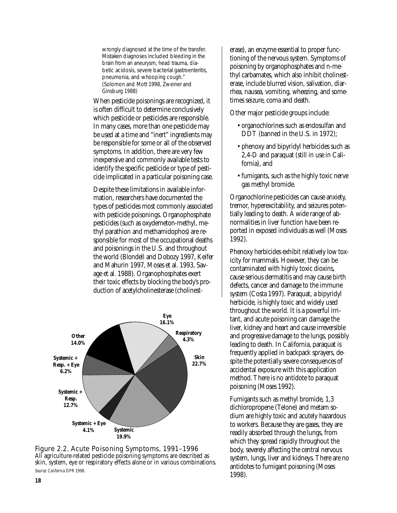wrongly diagnosed at the time of the transfer. Mistaken diagnoses included bleeding in the brain from an aneurysm, head trauma, diabetic acidosis, severe bacterial gastroenteritis, pneumonia, and whooping cough." (Solomon and Mott 1998, Zweiner and Ginsburg 1988)

When pesticide poisonings are recognized, it is often difficult to determine conclusively which pesticide or pesticides are responsible. In many cases, more than one pesticide may be used at a time and "inert" ingredients may be responsible for some or all of the observed symptoms. In addition, there are very few inexpensive and commonly available tests to identify the specific pesticide or type of pesticide implicated in a particular poisoning case.

Despite these limitations in available information, researchers have documented the types of pesticides most commonly associated with pesticide poisonings. Organophosphate pesticides (such as oxydemeton-methyl, methyl parathion and methamidophos) are responsible for most of the occupational deaths and poisonings in the U.S. and throughout the world (Blondell and Dobozy 1997, Keifer and Mahurin 1997, Moses et al. 1993, Savage et al. 1988). Organophosphates exert their toxic effects by blocking the body's production of acetylcholinesterase (cholinest-





erase), an enzyme essential to proper functioning of the nervous system. Symptoms of poisoning by organophosphates and n-methyl carbamates, which also inhibit cholinesterase, include blurred vision, salivation, diarrhea, nausea, vomiting, wheezing, and sometimes seizure, coma and death.

Other major pesticide groups include:

- organochlorines such as endosulfan and DDT (banned in the U.S. in 1972);
- phenoxy and bipyridyl herbicides such as 2,4-D and paraquat (still in use in California), and
- fumigants, such as the highly toxic nerve gas methyl bromide.

Organochlorine pesticides can cause anxiety, tremor, hyperexcitability, and seizures potentially leading to death. A wide range of abnormalities in liver function have been reported in exposed individuals as well (Moses 1992).

Phenoxy herbicides exhibit relatively low toxicity for mammals. However, they can be contaminated with highly toxic dioxins, cause serious dermatitis and may cause birth defects, cancer and damage to the immune system (Costa 1997). Paraquat, a bipyridyl herbicide, is highly toxic and widely used throughout the world. It is a powerful irritant, and acute poisoning can damage the liver, kidney and heart and cause irreversible and progressive damage to the lungs, possibly leading to death. In California, paraquat is frequently applied in backpack sprayers, despite the potentially severe consequences of accidental exposure with this application method. There is no antidote to paraquat poisoning (Moses 1992).

Fumigants such as methyl bromide, 1,3 dichloropropene (Telone) and metam sodium are highly toxic and acutely hazardous to workers. Because they are gases, they are readily absorbed through the lungs, from which they spread rapidly throughout the body, severely affecting the central nervous system, lungs, liver and kidneys. There are no antidotes to fumigant poisoning (Moses 1998).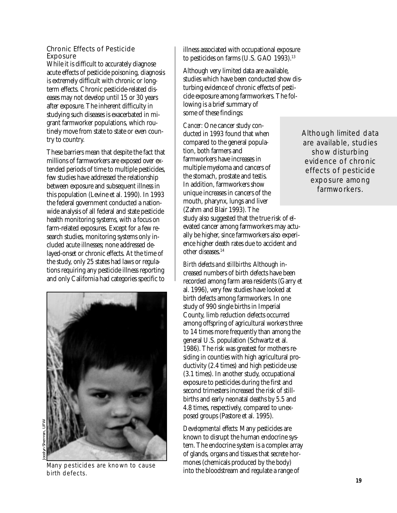#### Chronic Effects of Pesticide Exposure

While it is difficult to accurately diagnose acute effects of pesticide poisoning, diagnosis is extremely difficult with chronic or longterm effects. Chronic pesticide-related diseases may not develop until 15 or 30 years after exposure. The inherent difficulty in studying such diseases is exacerbated in migrant farmworker populations, which routinely move from state to state or even country to country.

These barriers mean that despite the fact that millions of farmworkers are exposed over extended periods of time to multiple pesticides, few studies have addressed the relationship between exposure and subsequent illness in this population (Levine et al. 1990). In 1993 the federal government conducted a nationwide analysis of all federal and state pesticide health monitoring systems, with a focus on farm-related exposures. Except for a few research studies, monitoring systems only included acute illnesses; none addressed delayed-onset or chronic effects. At the time of the study, only 25 states had laws or regulations requiring any pesticide illness reporting and only California had categories specific to



Many pesticides are known to cause birth defects.

illness associated with occupational exposure to pesticides on farms (U.S. GAO 1993).<sup>13</sup>

Although very limited data are available, studies which have been conducted show disturbing evidence of chronic effects of pesticide exposure among farmworkers. The following is a brief summary of some of these findings:

*Cancer:* One cancer study conducted in 1993 found that when compared to the general population, both farmers and farmworkers have increases in multiple myeloma and cancers of the stomach, prostate and testis. In addition, farmworkers show unique increases in cancers of the mouth, pharynx, lungs and liver (Zahm and Blair 1993). The study also suggested that the true risk of elevated cancer among farmworkers may actually be higher, since farmworkers also experience higher death rates due to accident and other diseases<sup>14</sup>

*Birth defects and stillbirths:* Although increased numbers of birth defects have been recorded among farm area residents (Garry et al. 1996), very few studies have looked at birth defects among farmworkers. In one study of 990 single births in Imperial County, limb reduction defects occurred among offspring of agricultural workers three to 14 times more frequently than among the general U.S. population (Schwartz et al. 1986). The risk was greatest for mothers residing in counties with high agricultural productivity (2.4 times) and high pesticide use (3.1 times). In another study, occupational exposure to pesticides during the first and second trimesters increased the risk of stillbirths and early neonatal deaths by 5.5 and 4.8 times, respectively, compared to unexposed groups (Pastore et al. 1995).

*Developmental effects:* Many pesticides are known to disrupt the human endocrine system. The endocrine system is a complex array of glands, organs and tissues that secrete hormones (chemicals produced by the body) into the bloodstream and regulate a range of

Although limited data are available, studies show disturbing evidence of chronic effects of pesticide exposure among farmworkers.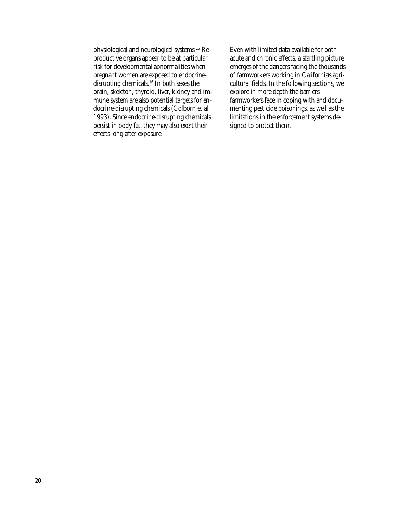physiological and neurological systems.15 Reproductive organs appear to be at particular risk for developmental abnormalities when pregnant women are exposed to endocrinedisrupting chemicals.16 In both sexes the brain, skeleton, thyroid, liver, kidney and immune system are also potential targets for endocrine-disrupting chemicals (Colborn et al. 1993). Since endocrine-disrupting chemicals persist in body fat, they may also exert their effects long after exposure.

Even with limited data available for both acute and chronic effects, a startling picture emerges of the dangers facing the thousands of farmworkers working in California's agricultural fields. In the following sections, we explore in more depth the barriers farmworkers face in coping with and documenting pesticide poisonings, as well as the limitations in the enforcement systems designed to protect them.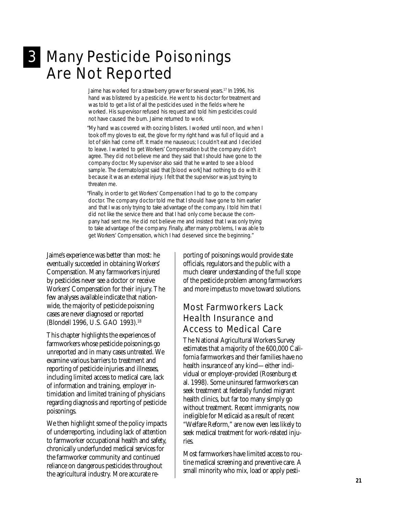## 3 Many Pesticide Poisonings Are Not Reported

Jaime has worked for a strawberry grower for several years.<sup>17</sup> In 1996, his hand was blistered by a pesticide. He went to his doctor for treatment and was told to get a list of all the pesticides used in the fields where he worked. His supervisor refused his request and told him pesticides could not have caused the burn. Jaime returned to work.

"My hand was covered with oozing blisters. I worked until noon, and when I took off my gloves to eat, the glove for my right hand was full of liquid and a lot of skin had come off. It made me nauseous; I couldn't eat and I decided to leave. I wanted to get Workers' Compensation but the company didn't agree. They did not believe me and they said that I should have gone to the company doctor. My supervisor also said that he wanted to see a blood sample. The dermatologist said that [blood work] had nothing to do with it because it was an external injury. I felt that the supervisor was just trying to threaten me.

"Finally, in order to get Workers' Compensation I had to go to the company doctor. The company doctor told me that I should have gone to him earlier and that I was only trying to take advantage of the company. I told him that I did not like the service there and that I had only come because the company had sent me. He did not believe me and insisted that I was only trying to take advantage of the company. Finally, after many problems, I was able to get Workers' Compensation, which I had deserved since the beginning."

Jaime's experience was better than most: he eventually succeeded in obtaining Workers' Compensation. Many farmworkers injured by pesticides never see a doctor or receive Workers' Compensation for their injury. The few analyses available indicate that nationwide, the majority of pesticide poisoning cases are never diagnosed or reported (Blondell 1996, U.S. GAO 1993).18

This chapter highlights the experiences of farmworkers whose pesticide poisonings go unreported and in many cases untreated. We examine various barriers to treatment and reporting of pesticide injuries and illnesses, including limited access to medical care, lack of information and training, employer intimidation and limited training of physicians regarding diagnosis and reporting of pesticide poisonings.

We then highlight some of the policy impacts of underreporting, including lack of attention to farmworker occupational health and safety, chronically underfunded medical services for the farmworker community and continued reliance on dangerous pesticides throughout the agricultural industry. More accurate reporting of poisonings would provide state officials, regulators and the public with a much clearer understanding of the full scope of the pesticide problem among farmworkers and more impetus to move toward solutions.

## Most Farmworkers Lack Health Insurance and Access to Medical Care

The National Agricultural Workers Survey estimates that a majority of the 600,000 California farmworkers and their families have no health insurance of any kind—either individual or employer-provided (Rosenburg et al. 1998). Some uninsured farmworkers can seek treatment at federally funded migrant health clinics, but far too many simply go without treatment. Recent immigrants, now ineligible for Medicaid as a result of recent "Welfare Reform," are now even less likely to seek medical treatment for work-related injuries.

Most farmworkers have limited access to routine medical screening and preventive care. A small minority who mix, load or apply pesti-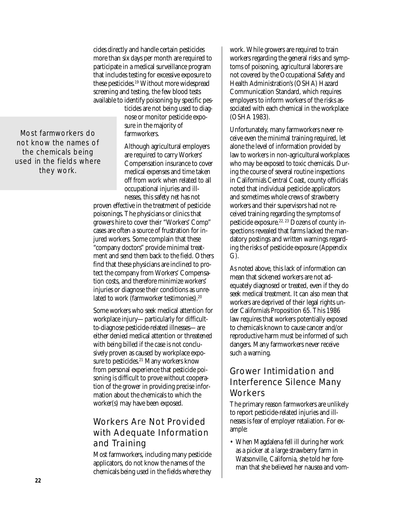cides directly and handle certain pesticides more than six days per month are required to participate in a medical surveillance program that includes testing for excessive exposure to these pesticides.19 Without more widespread screening and testing, the few blood tests available to identify poisoning by specific pes-

ticides are not being used to diagnose or monitor pesticide exposure in the majority of farmworkers.

Although agricultural employers are required to carry Workers' Compensation insurance to cover medical expenses and time taken off from work when related to all occupational injuries and illnesses, this safety net has not

proven effective in the treatment of pesticide poisonings. The physicians or clinics that growers hire to cover their "Workers' Comp" cases are often a source of frustration for injured workers. Some complain that these "company doctors" provide minimal treatment and send them back to the field. Others find that these physicians are inclined to protect the company from Workers' Compensation costs, and therefore minimize workers' injuries or diagnose their conditions as unrelated to work (farmworker testimonies).<sup>20</sup>

Some workers who seek medical attention for workplace injury—particularly for difficultto-diagnose pesticide-related illnesses—are either denied medical attention or threatened with being billed if the case is not conclusively proven as caused by workplace exposure to pesticides.<sup>21</sup> Many workers know from personal experience that pesticide poisoning is difficult to prove without cooperation of the grower in providing precise information about the chemicals to which the worker(s) may have been exposed.

## Workers Are Not Provided with Adequate Information and Training

Most farmworkers, including many pesticide applicators, do not know the names of the chemicals being used in the fields where they

work. While growers are required to train workers regarding the general risks and symptoms of poisoning, agricultural laborers are not covered by the Occupational Safety and Health Administration's (OSHA) Hazard Communication Standard, which requires employers to inform workers of the risks associated with each chemical in the workplace (OSHA 1983).

Unfortunately, many farmworkers never receive even the minimal training required, let alone the level of information provided by law to workers in non-agricultural workplaces who may be exposed to toxic chemicals. During the course of several routine inspections in California's Central Coast, county officials noted that individual pesticide applicators and sometimes whole crews of strawberry workers and their supervisors had not received training regarding the symptoms of pesticide exposure.22, 23 Dozens of county inspections revealed that farms lacked the mandatory postings and written warnings regarding the risks of pesticide exposure (Appendix G).

As noted above, this lack of information can mean that sickened workers are not adequately diagnosed or treated, even if they do seek medical treatment. It can also mean that workers are deprived of their legal rights under California's Proposition 65. This 1986 law requires that workers potentially exposed to chemicals known to cause cancer and/or reproductive harm must be informed of such dangers. Many farmworkers never receive such a warning.

## Grower Intimidation and Interference Silence Many Workers

The primary reason farmworkers are unlikely to report pesticide-related injuries and illnesses is fear of employer retaliation. For example:

• When Magdalena fell ill during her work as a picker at a large strawberry farm in Watsonville, California, she told her foreman that she believed her nausea and vom-

Most farmworkers do not know the names of the chemicals being used in the fields where they work.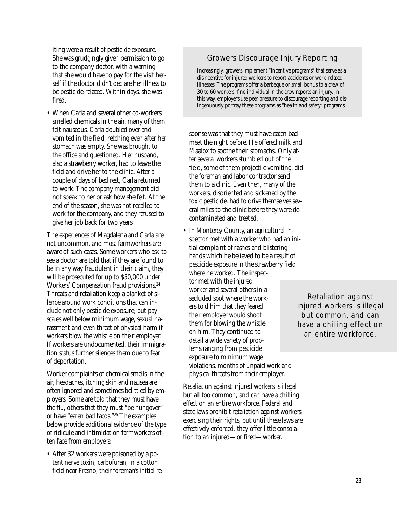iting were a result of pesticide exposure. She was grudgingly given permission to go to the company doctor, with a warning that she would have to pay for the visit herself if the doctor didn't declare her illness to be pesticide-related. Within days, she was fired.

• When Carla and several other co-workers smelled chemicals in the air, many of them felt nauseous. Carla doubled over and vomited in the field, retching even after her stomach was empty. She was brought to the office and questioned. Her husband, also a strawberry worker, had to leave the field and drive her to the clinic. After a couple of days of bed rest, Carla returned to work. The company management did not speak to her or ask how she felt. At the end of the season, she was not recalled to work for the company, and they refused to give her job back for two years.

The experiences of Magdalena and Carla are not uncommon, and most farmworkers are aware of such cases. Some workers who ask to see a doctor are told that if they are found to be in any way fraudulent in their claim, they will be prosecuted for up to \$50,000 under Workers' Compensation fraud provisions.24 Threats and retaliation keep a blanket of silence around work conditions that can include not only pesticide exposure, but pay scales well below minimum wage, sexual harassment and even threat of physical harm if workers blow the whistle on their employer. If workers are undocumented, their immigration status further silences them due to fear of deportation.

Worker complaints of chemical smells in the air, headaches, itching skin and nausea are often ignored and sometimes belittled by employers. Some are told that they must have the flu, others that they must "be hungover" or have "eaten bad tacos."25 The examples below provide additional evidence of the type of ridicule and intimidation farmworkers often face from employers:

• After 32 workers were poisoned by a potent nerve toxin, carbofuran, in a cotton field near Fresno, their foreman's initial re-

### Growers Discourage Injury Reporting

Increasingly, growers implement "incentive programs" that serve as a disincentive for injured workers to report accidents or work-related illnesses. The programs offer a barbeque or small bonus to a crew of 30 to 60 workers if no individual in the crew reports an injury. In this way, employers use peer pressure to discourage reporting and disingenuously portray these programs as "health and safety" programs.

sponse was that they must have eaten bad meat the night before. He offered milk and Maalox to soothe their stomachs. Only after several workers stumbled out of the field, some of them projectile vomiting, did the foreman and labor contractor send them to a clinic. Even then, many of the workers, disoriented and sickened by the toxic pesticide, had to drive themselves several miles to the clinic before they were decontaminated and treated.

• In Monterey County, an agricultural inspector met with a worker who had an initial complaint of rashes and blistering hands which he believed to be a result of pesticide exposure in the strawberry field where he worked. The inspector met with the injured worker and several others in a secluded spot where the workers told him that they feared their employer would shoot them for blowing the whistle

on him. They continued to detail a wide variety of problems ranging from pesticide exposure to minimum wage violations, months of unpaid work and physical threats from their employer.

Retaliation against injured workers is illegal but all too common, and can have a chilling effect on an entire workforce. Federal and state laws prohibit retaliation against workers exercising their rights, but until these laws are effectively enforced, they offer little consolation to an injured—or fired—worker.

Retaliation against injured workers is illegal but common, and can have a chilling effect on an entire workforce.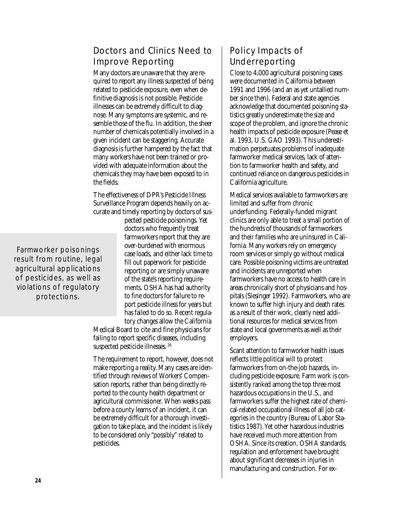## Doctors and Clinics Need to Improve Reporting

Many doctors are unaware that they are required to report any illness suspected of being related to pesticide exposure, even when definitive diagnosis is not possible. Pesticide illnesses can be extremely difficult to diagnose. Many symptoms are systemic, and resemble those of the flu. In addition, the sheer number of chemicals potentially involved in a given incident can be staggering. Accurate diagnosis is further hampered by the fact that many workers have not been trained or provided with adequate information about the chemicals they may have been exposed to in the fields.

The effectiveness of DPR's Pesticide Illness Surveillance Program depends heavily on accurate and timely reporting by doctors of sus-

> pected pesticide poisonings. Yet doctors who frequently treat farmworkers report that they are over-burdened with enormous case loads, and either lack time to fill out paperwork for pesticide reporting or are simply unaware of the state's reporting requirements. OSHA has had authority to fine doctors for failure to report pesticide illness for years but has failed to do so. Recent regulatory changes allow the California

Medical Board to cite and fine physicians for failing to report specific diseases, including suspected pesticide illnesses. 26

The requirement to report, however, does not make reporting a reality. Many cases are identified through reviews of Workers' Compensation reports, rather than being directly reported to the county health department or agricultural commissioner. When weeks pass before a county learns of an incident, it can be extremely difficult for a thorough investigation to take place, and the incident is likely to be considered only "possibly" related to pesticides.

## Policy Impacts of Underreporting

Close to 4,000 agricultural poisoning cases were documented in California between 1991 and 1996 (and an as yet untallied number since then). Federal and state agencies acknowledge that documented poisoning statistics greatly underestimate the size and scope of the problem, and ignore the chronic health impacts of pesticide exposure (Pease et al. 1993, U.S. GAO 1993). This underestimation perpetuates problems of inadequate farmworker medical services, lack of attention to farmworker health and safety, and continued reliance on dangerous pesticides in California agriculture.

Medical services available to farmworkers are limited and suffer from chronic underfunding. Federally-funded migrant clinics are only able to treat a small portion of the hundreds of thousands of farmworkers and their families who are uninsured in California. Many workers rely on emergency room services or simply go without medical care. Possible poisoning victims are untreated and incidents are unreported when farmworkers have no access to health care in areas chronically short of physicians and hospitals (Slesinger 1992). Farmworkers, who are known to suffer high injury and death rates as a result of their work, clearly need additional resources for medical services from state and local governments as well as their employers.

Scant attention to farmworker health issues reflects little political will to protect farmworkers from on-the-job hazards, including pesticide exposure. Farm work is consistently ranked among the top three most hazardous occupations in the U.S., and farmworkers suffer the highest rate of chemical-related occupational illness of all job categories in the country (Bureau of Labor Statistics 1987). Yet other hazardous industries have received much more attention from OSHA. Since its creation, OSHA standards, regulation and enforcement have brought about significant decreases in injuries in manufacturing and construction. For ex-

Farmworker poisonings result from routine, legal agricultural applications of pesticides, as well as violations of regulatory protections.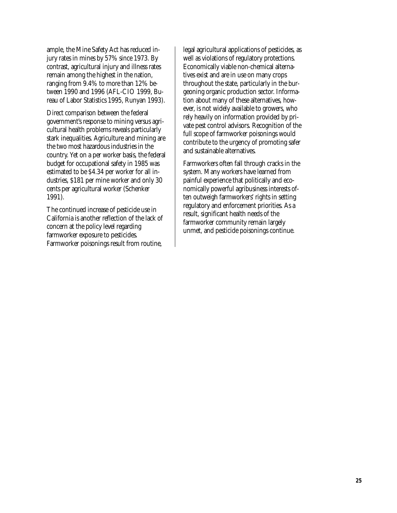ample, the Mine Safety Act has reduced injury rates in mines by 57% since 1973. By contrast, agricultural injury and illness rates remain among the highest in the nation, ranging from 9.4% to more than 12% between 1990 and 1996 (AFL-CIO 1999, Bureau of Labor Statistics 1995, Runyan 1993).

Direct comparison between the federal government's response to mining versus agricultural health problems reveals particularly stark inequalities. Agriculture and mining are the two most hazardous industries in the country. Yet on a per worker basis, the federal budget for occupational safety in 1985 was estimated to be \$4.34 per worker for all industries, \$181 per mine worker and only 30 cents per agricultural worker (Schenker 1991).

The continued increase of pesticide use in California is another reflection of the lack of concern at the policy level regarding farmworker exposure to pesticides. Farmworker poisonings result from routine,

legal agricultural applications of pesticides, as well as violations of regulatory protections. Economically viable non-chemical alternatives exist and are in use on many crops throughout the state, particularly in the burgeoning organic production sector. Information about many of these alternatives, however, is not widely available to growers, who rely heavily on information provided by private pest control advisors. Recognition of the full scope of farmworker poisonings would contribute to the urgency of promoting safer and sustainable alternatives.

Farmworkers often fall through cracks in the system. Many workers have learned from painful experience that politically and economically powerful agribusiness interests often outweigh farmworkers' rights in setting regulatory and enforcement priorities. As a result, significant health needs of the farmworker community remain largely unmet, and pesticide poisonings continue.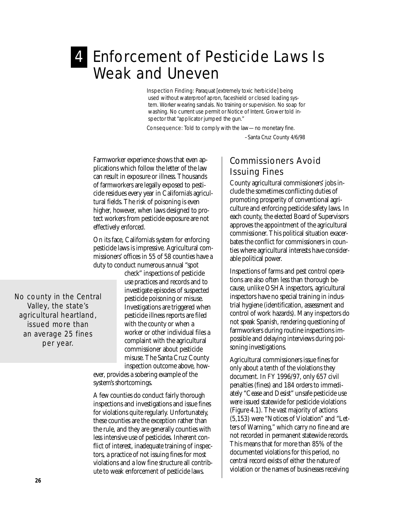# 4 Enforcement of Pesticide Laws Is Weak and Uneven

Inspection Finding: Paraquat [extremely toxic herbicide] being used without waterproof apron, faceshield or closed loading system. Worker wearing sandals. No training or supervision. No soap for washing. No current use permit or Notice of Intent. Grower told inspector that "applicator jumped the gun."

Consequence: Told to comply with the law-no monetary fine. –Santa Cruz County 4/6/98

Farmworker experience shows that even applications which follow the letter of the law can result in exposure or illness. Thousands of farmworkers are legally exposed to pesticide residues every year in California's agricultural fields. The risk of poisoning is even higher, however, when laws designed to protect workers from pesticide exposure are not effectively enforced.

On its face, California's system for enforcing pesticide laws is impressive. Agricultural commissioners' offices in 55 of 58 counties have a duty to conduct numerous annual "spot

check" inspections of pesticide use practices and records and to investigate episodes of suspected pesticide poisoning or misuse. Investigations are triggered when pesticide illness reports are filed with the county or when a worker or other individual files a complaint with the agricultural commissioner about pesticide misuse. The Santa Cruz County inspection outcome above, how-

ever, provides a sobering example of the system's shortcomings.

A few counties do conduct fairly thorough inspections and investigations and issue fines for violations quite regularly. Unfortunately, these counties are the exception rather than the rule, and they are generally counties with less intensive use of pesticides. Inherent conflict of interest, inadequate training of inspectors, a practice of not issuing fines for most violations and a low fine structure all contribute to weak enforcement of pesticide laws.

## Commissioners Avoid Issuing Fines

County agricultural commissioners' jobs include the sometimes conflicting duties of promoting prosperity of conventional agriculture and enforcing pesticide safety laws. In each county, the elected Board of Supervisors approves the appointment of the agricultural commissioner. This political situation exacerbates the conflict for commissioners in counties where agricultural interests have considerable political power.

Inspections of farms and pest control operations are also often less than thorough because, unlike OSHA inspectors, agricultural inspectors have no special training in industrial hygiene (identification, assessment and control of work hazards). Many inspectors do not speak Spanish, rendering questioning of farmworkers during routine inspections impossible and delaying interviews during poisoning investigations.

Agricultural commissioners issue fines for only about a tenth of the violations they document. In FY 1996/97, only 657 civil penalties (fines) and 184 orders to immediately "Cease and Desist" unsafe pesticide use were issued statewide for pesticide violations (Figure 4.1). The vast majority of actions (5,153) were "Notices of Violation" and "Letters of Warning," which carry no fine and are not recorded in permanent statewide records. This means that for more than 85% of the documented violations for this period, no central record exists of either the nature of violation or the names of businesses receiving

No county in the Central Valley, the state's agricultural heartland, issued more than an average 25 fines per year.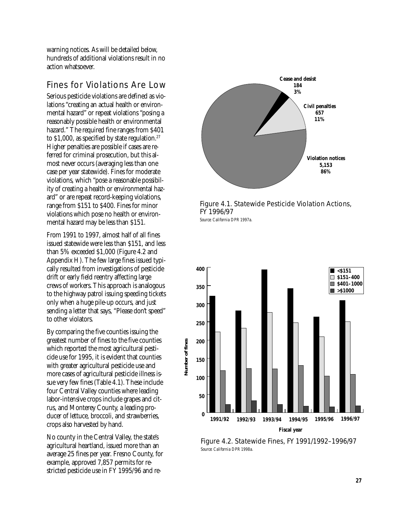warning notices. As will be detailed below, hundreds of additional violations result in no action whatsoever.

## Fines for Violations Are Low

Serious pesticide violations are defined as violations "creating an actual health or environmental hazard" or repeat violations "posing a reasonably possible health or environmental hazard." The required fine ranges from \$401 to  $$1,000$ , as specified by state regulation.<sup>27</sup> Higher penalties are possible if cases are referred for criminal prosecution, but this almost never occurs (averaging less than one case per year statewide). Fines for moderate violations, which "pose a reasonable possibility of creating a health or environmental hazard" or are repeat record-keeping violations, range from \$151 to \$400. Fines for minor violations which pose no health or environmental hazard may be less than \$151.

From 1991 to 1997, almost half of all fines issued statewide were less than \$151, and less than 5% exceeded \$1,000 (Figure 4.2 and Appendix H). The few large fines issued typically resulted from investigations of pesticide drift or early field reentry affecting large crews of workers. This approach is analogous to the highway patrol issuing speeding tickets only when a huge pile-up occurs, and just sending a letter that says, "Please don't speed" to other violators.

By comparing the five counties issuing the greatest number of fines to the five counties which reported the most agricultural pesticide use for 1995, it is evident that counties with greater agricultural pesticide use and more cases of agricultural pesticide illness issue very few fines (Table 4.1). These include four Central Valley counties where leading labor-intensive crops include grapes and citrus, and Monterey County, a leading producer of lettuce, broccoli, and strawberries, crops also harvested by hand.

No county in the Central Valley, the state's agricultural heartland, issued more than an average 25 fines per year. Fresno County, for example, approved 7,857 permits for restricted pesticide use in FY 1995/96 and re-





*Source: California DPR 1997a.*



Figure 4.2. Statewide Fines, FY 1991/1992–1996/97 *Source: California DPR 1998a.*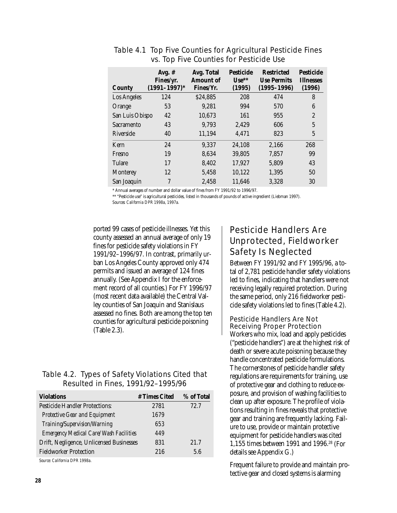| <b>County</b>   | Avg. $#$<br>Fines/yr.<br>$(1991 - 1997)^*$ | Avg. Total<br><b>Amount</b> of<br>Fines/Yr. | <b>Pesticide</b><br>$U$ se**<br>(1995) | <b>Restricted</b><br><b>Use Permits</b><br>$(1995 - 1996)$ | <b>Pesticide</b><br><b>Illnesses</b><br>(1996) |
|-----------------|--------------------------------------------|---------------------------------------------|----------------------------------------|------------------------------------------------------------|------------------------------------------------|
| Los Angeles     | 124                                        | \$24,885                                    | 208                                    | 474                                                        | 8                                              |
| Orange          | 53                                         | 9,281                                       | 994                                    | 570                                                        | 6                                              |
| San Luis Obispo | 42                                         | 10,673                                      | 161                                    | 955                                                        | $\overline{2}$                                 |
| Sacramento      | 43                                         | 9.793                                       | 2,429                                  | 606                                                        | 5                                              |
| Riverside       | 40                                         | 11,194                                      | 4.471                                  | 823                                                        | 5                                              |
| Kern            | 24                                         | 9.337                                       | 24.108                                 | 2,166                                                      | 268                                            |
| Fresno          | 19                                         | 8,634                                       | 39.805                                 | 7,857                                                      | 99                                             |
| <b>Tulare</b>   | 17                                         | 8,402                                       | 17,927                                 | 5,809                                                      | 43                                             |
| <b>Monterey</b> | 12                                         | 5,458                                       | 10,122                                 | 1,395                                                      | 50                                             |
| San Joaquin     | 7                                          | 2.458                                       | 11.646                                 | 3.328                                                      | 30                                             |

## Table 4.1 Top Five Counties for Agricultural Pesticide Fines vs. Top Five Counties for Pesticide Use

\* Annual averages of number and dollar value of fines from FY 1991/92 to 1996/97.

\*\* "Pesticide use" is agricultural pesticides, listed in thousands of pounds of active ingredient (Liebman 1997).

*Sources: California DPR 1998a, 1997a.*

ported 99 cases of pesticide illnesses. Yet this county assessed an annual average of only 19 fines for pesticide safety violations in FY 1991/92–1996/97. In contrast, primarily urban Los Angeles County approved only 474 permits and issued an average of 124 fines annually. (See Appendix I for the enforcement record of all counties.) For FY 1996/97 (most recent data available) the Central Valley counties of San Joaquin and Stanislaus assessed no fines. Both are among the top ten counties for agricultural pesticide poisoning (Table 2.3).

### Table 4.2. Types of Safety Violations Cited that Resulted in Fines, 1991/92–1995/96

| <b>Violations</b>                              | # Times Cited | % of Total |
|------------------------------------------------|---------------|------------|
| <b>Pesticide Handler Protections:</b>          | 2.781         | 72.7       |
| <b>Protective Gear and Equipment</b>           | 1679          |            |
| Training/Supervision/Warning                   | 653           |            |
| <b>Emergency Medical Care/ Wash Facilities</b> | 44.9          |            |
| Drift, Negligence, Unlicensed Businesses       | 831           | 21.7       |
| <b>Fieldworker Protection</b>                  | 216           | 5.6        |
|                                                |               |            |

*Source: California DPR 1998a.*

## Pesticide Handlers Are Unprotected, Fieldworker Safety Is Neglected

Between FY 1991/92 and FY 1995/96, a total of 2,781 pesticide handler safety violations led to fines, indicating that handlers were not receiving legally required protection. During the same period, only 216 fieldworker pesticide safety violations led to fines (Table 4.2).

#### Pesticide Handlers Are Not Receiving Proper Protection

Workers who mix, load and apply pesticides ("pesticide handlers") are at the highest risk of death or severe acute poisoning because they handle concentrated pesticide formulations. The cornerstones of pesticide handler safety regulations are requirements for training, use of protective gear and clothing to reduce exposure, and provision of washing facilities to clean up after exposure. The profile of violations resulting in fines reveals that protective gear and training are frequently lacking. Failure to use, provide or maintain protective equipment for pesticide handlers was cited 1,155 times between 1991 and 1996.28 (For details see Appendix G.)

Frequent failure to provide and maintain protective gear and closed systems is alarming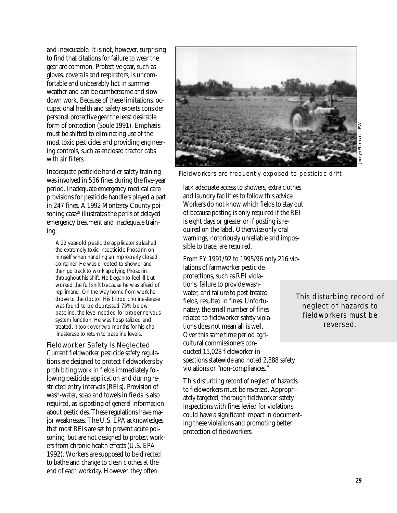and inexcusable. It is not, however, surprising to find that citations for failure to wear the gear are common. Protective gear, such as gloves, coveralls and respirators, is uncomfortable and unbearably hot in summer weather and can be cumbersome and slow down work. Because of these limitations, occupational health and safety experts consider personal protective gear the least desirable form of protection (Soule 1991). Emphasis must be shifted to eliminating use of the most toxic pesticides and providing engineering controls, such as enclosed tractor cabs with air filters.

Inadequate pesticide handler safety training was involved in 536 fines during the five-year period. Inadequate emergency medical care provisions for pesticide handlers played a part in 247 fines. A 1992 Monterey County poisoning case<sup>29</sup> illustrates the perils of delayed emergency treatment and inadequate training:

A 22 year-old pesticide applicator splashed the extremely toxic insecticide Phosdrin on himself when handling an improperly closed container. He was directed to shower and then go back to work applying Phosdrin throughout his shift. He began to feel ill but worked the full shift because he was afraid of reprimand. On the way home from work he drove to the doctor. His blood cholinesterase was found to be depressed 75% below baseline, the level needed for proper nervous system function. He was hospitalized and treated. It took over two months for his cholinesterase to return to baseline levels.

#### Fieldworker Safety Is Neglected

Current fieldworker pesticide safety regulations are designed to protect fieldworkers by prohibiting work in fields immediately following pesticide application and during restricted entry intervals (REIs). Provision of wash-water, soap and towels in fields is also required, as is posting of general information about pesticides. These regulations have major weaknesses. The U.S. EPA acknowledges that most REIs are set to prevent acute poisoning, but are not designed to protect workers from chronic health effects (U.S. EPA 1992)*.* Workers are supposed to be directed to bathe and change to clean clothes at the end of each workday. However, they often



Fieldworkers are frequently exposed to pesticide drift

lack adequate access to showers, extra clothes and laundry facilities to follow this advice. Workers do not know which fields to stay out of because posting is only required if the REI is eight days or greater or if posting is required on the label. Otherwise only oral warnings, notoriously unreliable and impossible to trace, are required.

From FY 1991/92 to 1995/96 only 216 violations of farmworker pesticide protections, such as REI violations, failure to provide washwater, and failure to post treated fields, resulted in fines. Unfortunately, the small number of fines related to fieldworker safety violations does not mean all is well. Over this same time period agricultural commissioners conducted 15,028 fieldworker inspections statewide and noted 2,888 safety violations or "non-compliances."

This disturbing record of neglect of hazards to fieldworkers must be reversed. Appropriately targeted, thorough fieldworker safety inspections with fines levied for violations could have a significant impact in documenting these violations and promoting better protection of fieldworkers.

This disturbing record of neglect of hazards to fieldworkers must be reversed.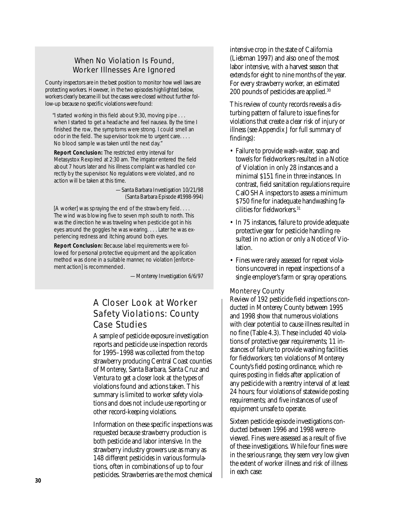## When No Violation Is Found, Worker Illnesses Are Ignored

County inspectors are in the best position to monitor how well laws are protecting workers. However, in the two episodes highlighted below, workers clearly became ill but the cases were closed without further follow-up because no specific violations were found:

"I started working in this field about 9:30, moving pipe . . . when I started to get a headache and feel nausea. By the time I finished the row, the symptoms were strong. I could smell an odor in the field. The supervisor took me to urgent care. . . . No blood sample was taken until the next day."

**Report Conclusion:** The restricted entry interval for Metasystox R expired at 2:30 am. The irrigator entered the field about 7 hours later and his illness complaint was handled correctly by the supervisor. No regulations were violated, and no action will be taken at this time.

#### —Santa Barbara Investigation 10/21/98 (Santa Barbara Episode #1998-994)

 [A worker] was spraying the end of the strawberry field. . . . The wind was blowing five to seven mph south to north. This was the direction he was traveling when pesticide got in his eyes around the goggles he was wearing. . . . Later he was experiencing redness and itching around both eyes.

 **Report Conclusion:** Because label requirements were followed for personal protective equipment and the application method was done in a suitable manner, no violation [enforcement action] is recommended.

—Monterey Investigation 6/6/97

## A Closer Look at Worker Safety Violations: County Case Studies

A sample of pesticide exposure investigation reports and pesticide use inspection records for 1995–1998 was collected from the top strawberry producing Central Coast counties of Monterey, Santa Barbara, Santa Cruz and Ventura to get a closer look at the types of violations found and actions taken. This summary is limited to worker safety violations and does not include use reporting or other record-keeping violations.

Information on these specific inspections was requested because strawberry production is both pesticide and labor intensive. In the strawberry industry growers use as many as 148 different pesticides in various formulations, often in combinations of up to four pesticides. Strawberries are the most chemical

intensive crop in the state of California (Liebman 1997) and also one of the most labor intensive, with a harvest season that extends for eight to nine months of the year. For every strawberry worker, an estimated 200 pounds of pesticides are applied.30

This review of county records reveals a disturbing pattern of failure to issue fines for violations that create a clear risk of injury or illness (see Appendix J for full summary of findings):

- Failure to provide wash-water, soap and towels for fieldworkers resulted in a Notice of Violation in only 28 instances and a minimal \$151 fine in three instances. In contrast, field sanitation regulations require CalOSHA inspectors to assess a minimum \$750 fine for inadequate handwashing facilities for fieldworkers.31
- In 75 instances, failure to provide adequate protective gear for pesticide handling resulted in no action or only a Notice of Violation.
- Fines were rarely assessed for repeat violations uncovered in repeat inspections of a single employer's farm or spray operations.

### Monterey County

Review of 192 pesticide field inspections conducted in Monterey County between 1995 and 1998 show that numerous violations with clear potential to cause illness resulted in no fine (Table 4.3). These included 40 violations of protective gear requirements; 11 instances of failure to provide washing facilities for fieldworkers; ten violations of Monterey County's field posting ordinance, which requires posting in fields after application of any pesticide with a reentry interval of at least 24 hours; four violations of statewide posting requirements; and five instances of use of equipment unsafe to operate.

Sixteen pesticide episode investigations conducted between 1996 and 1998 were reviewed. Fines were assessed as a result of five of these investigations. While four fines were in the serious range, they seem very low given the extent of worker illness and risk of illness in each case: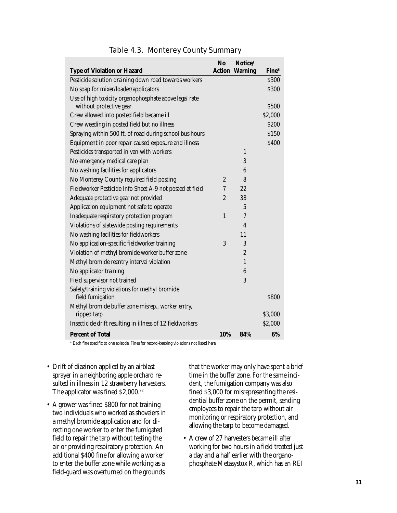| <b>Type of Violation or Hazard</b><br>Pesticide solution draining down road towards workers<br>No soap for mixer/loader/applicators<br>Use of high toxicity organophosphate above legal rate<br>without protective gear<br>Crew allowed into posted field became ill<br>Crew weeding in posted field but no illness<br>Spraying within 500 ft. of road during school bus hours<br>Equipment in poor repair caused exposure and illness<br>Pesticides transported in van with workers | No             | Notice/               |         |
|--------------------------------------------------------------------------------------------------------------------------------------------------------------------------------------------------------------------------------------------------------------------------------------------------------------------------------------------------------------------------------------------------------------------------------------------------------------------------------------|----------------|-----------------------|---------|
|                                                                                                                                                                                                                                                                                                                                                                                                                                                                                      |                | <b>Action Warning</b> | Fine*   |
|                                                                                                                                                                                                                                                                                                                                                                                                                                                                                      |                |                       | \$300   |
|                                                                                                                                                                                                                                                                                                                                                                                                                                                                                      |                |                       | \$300   |
|                                                                                                                                                                                                                                                                                                                                                                                                                                                                                      |                |                       |         |
|                                                                                                                                                                                                                                                                                                                                                                                                                                                                                      |                |                       | \$500   |
|                                                                                                                                                                                                                                                                                                                                                                                                                                                                                      |                |                       | \$2,000 |
|                                                                                                                                                                                                                                                                                                                                                                                                                                                                                      |                |                       | \$200   |
|                                                                                                                                                                                                                                                                                                                                                                                                                                                                                      |                |                       | \$150   |
|                                                                                                                                                                                                                                                                                                                                                                                                                                                                                      |                |                       | \$400   |
|                                                                                                                                                                                                                                                                                                                                                                                                                                                                                      |                | $\mathbf{1}$          |         |
| No emergency medical care plan                                                                                                                                                                                                                                                                                                                                                                                                                                                       |                | 3                     |         |
| No washing facilities for applicators                                                                                                                                                                                                                                                                                                                                                                                                                                                |                | 6                     |         |
| No Monterey County required field posting                                                                                                                                                                                                                                                                                                                                                                                                                                            | $\overline{c}$ | 8                     |         |
| Fieldworker Pesticide Info Sheet A-9 not posted at field                                                                                                                                                                                                                                                                                                                                                                                                                             | $\overline{7}$ | 22                    |         |
| Adequate protective gear not provided                                                                                                                                                                                                                                                                                                                                                                                                                                                | $\overline{c}$ | 38                    |         |
| Application equipment not safe to operate                                                                                                                                                                                                                                                                                                                                                                                                                                            |                | 5                     |         |
| Inadequate respiratory protection program                                                                                                                                                                                                                                                                                                                                                                                                                                            | $\mathbf{1}$   | $\overline{7}$        |         |
| Violations of statewide posting requirements                                                                                                                                                                                                                                                                                                                                                                                                                                         |                | $\overline{4}$        |         |
| No washing facilities for fieldworkers                                                                                                                                                                                                                                                                                                                                                                                                                                               |                | 11                    |         |
| No application-specific fieldworker training                                                                                                                                                                                                                                                                                                                                                                                                                                         | 3              | 3                     |         |
| Violation of methyl bromide worker buffer zone                                                                                                                                                                                                                                                                                                                                                                                                                                       |                | $\overline{2}$        |         |
| Methyl bromide reentry interval violation                                                                                                                                                                                                                                                                                                                                                                                                                                            |                | 1                     |         |
| No applicator training                                                                                                                                                                                                                                                                                                                                                                                                                                                               |                | $\boldsymbol{6}$      |         |
| Field supervisor not trained                                                                                                                                                                                                                                                                                                                                                                                                                                                         |                | 3                     |         |
| Safety/training violations for methyl bromide<br>field fumigation                                                                                                                                                                                                                                                                                                                                                                                                                    |                |                       | \$800   |
| Methyl bromide buffer zone misrep., worker entry,<br>ripped tarp                                                                                                                                                                                                                                                                                                                                                                                                                     |                |                       | \$3,000 |
| Insecticide drift resulting in illness of 12 fieldworkers                                                                                                                                                                                                                                                                                                                                                                                                                            |                |                       | \$2,000 |
| <b>Percent of Total</b>                                                                                                                                                                                                                                                                                                                                                                                                                                                              | 10%            | 84%                   | 6%      |

#### Table 4.3. Monterey County Summary

\* Each fine specific to one episode. Fines for record-keeping violations not listed here.

- Drift of diazinon applied by an airblast sprayer in a neighboring apple orchard resulted in illness in 12 strawberry harvesters. The applicator was fined \$2,000.<sup>32</sup>
- A grower was fined \$800 for not training two individuals who worked as shovelers in a methyl bromide application and for directing one worker to enter the fumigated field to repair the tarp without testing the air or providing respiratory protection. An additional \$400 fine for allowing a worker to enter the buffer zone while working as a field-guard was overturned on the grounds

that the worker may only have spent a brief time in the buffer zone. For the same incident, the fumigation company was also fined \$3,000 for misrepresenting the residential buffer zone on the permit, sending employees to repair the tarp without air monitoring or respiratory protection, and allowing the tarp to become damaged.

• A crew of 27 harvesters became ill after working for two hours in a field treated just a day and a half earlier with the organophosphate Metasystox R, which has an REI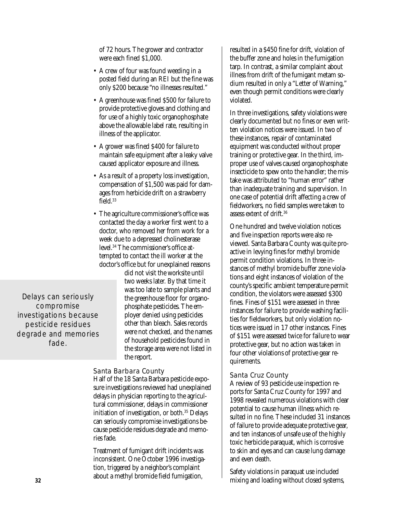of 72 hours. The grower and contractor were each fined \$1,000.

- A crew of four was found weeding in a posted field during an REI but the fine was only \$200 because "no illnesses resulted."
- A greenhouse was fined \$500 for failure to provide protective gloves and clothing and for use of a highly toxic organophosphate above the allowable label rate, resulting in illness of the applicator.
- A grower was fined \$400 for failure to maintain safe equipment after a leaky valve caused applicator exposure and illness.
- As a result of a property loss investigation, compensation of \$1,500 was paid for damages from herbicide drift on a strawberry field.<sup>33</sup>
- The agriculture commissioner's office was contacted the day a worker first went to a doctor, who removed her from work for a week due to a depressed cholinesterase level.34 The commissioner's office attempted to contact the ill worker at the doctor's office but for unexplained reasons

did not visit the worksite until two weeks later. By that time it was too late to sample plants and the greenhouse floor for organophosphate pesticides. The employer denied using pesticides other than bleach. Sales records were not checked, and the names of household pesticides found in the storage area were not listed in the report.

#### Santa Barbara County

Half of the 18 Santa Barbara pesticide exposure investigations reviewed had unexplained delays in physician reporting to the agricultural commissioner, delays in commissioner initiation of investigation, or both.<sup>35</sup> Delays can seriously compromise investigations because pesticide residues degrade and memories fade.

Treatment of fumigant drift incidents was inconsistent. One October 1996 investigation, triggered by a neighbor's complaint about a methyl bromide field fumigation,

resulted in a \$450 fine for drift, violation of the buffer zone and holes in the fumigation tarp. In contrast, a similar complaint about illness from drift of the fumigant metam sodium resulted in only a "Letter of Warning," even though permit conditions were clearly violated.

In three investigations, safety violations were clearly documented but no fines or even written violation notices were issued. In two of these instances, repair of contaminated equipment was conducted without proper training or protective gear. In the third, improper use of valves caused organophosphate insecticide to spew onto the handler; the mistake was attributed to "human error" rather than inadequate training and supervision. In one case of potential drift affecting a crew of fieldworkers, no field samples were taken to assess extent of drift.36

One hundred and twelve violation notices and five inspection reports were also reviewed. Santa Barbara County was quite proactive in levying fines for methyl bromide permit condition violations. In three instances of methyl bromide buffer zone violations and eight instances of violation of the county's specific ambient temperature permit condition, the violators were assessed \$300 fines. Fines of \$151 were assessed in three instances for failure to provide washing facilities for fieldworkers, but only violation notices were issued in 17 other instances. Fines of \$151 were assessed twice for failure to wear protective gear, but no action was taken in four other violations of protective gear requirements.

#### Santa Cruz County

A review of 93 pesticide use inspection reports for Santa Cruz County for 1997 and 1998 revealed numerous violations with clear potential to cause human illness which resulted in no fine. These included 31 instances of failure to provide adequate protective gear, and ten instances of unsafe use of the highly toxic herbicide paraquat, which is corrosive to skin and eyes and can cause lung damage and even death.

Safety violations in paraquat use included mixing and loading without closed systems,

Delays can seriously compromise investigations because pesticide residues degrade and memories fade.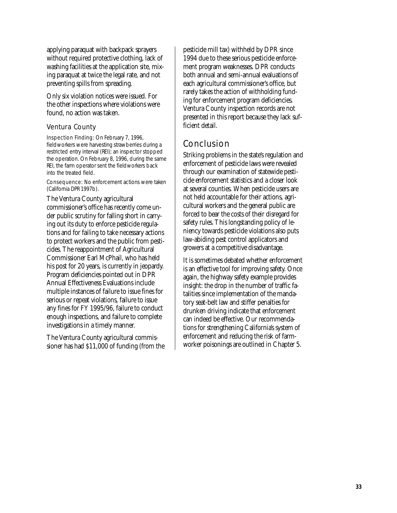applying paraquat with backpack sprayers without required protective clothing, lack of washing facilities at the application site, mixing paraquat at twice the legal rate, and not preventing spills from spreading.

Only six violation notices were issued. For the other inspections where violations were found, no action was taken.

#### Ventura County

Inspection Finding: On February 7, 1996, fieldworkers were harvesting strawberries during a restricted entry interval (REI); an inspector stopped the operation. On February 8, 1996, during the same REI, the farm operator sent the fieldworkers back into the treated field.

Consequence: No enforcement actions were taken (California DPR 1997b).

The Ventura County agricultural commissioner's office has recently come under public scrutiny for falling short in carrying out its duty to enforce pesticide regulations and for failing to take necessary actions to protect workers and the public from pesticides. The reappointment of Agricultural Commissioner Earl McPhail, who has held his post for 20 years, is currently in jeopardy. Program deficiencies pointed out in DPR Annual Effectiveness Evaluations include multiple instances of failure to issue fines for serious or repeat violations, failure to issue any fines for FY 1995/96, failure to conduct enough inspections, and failure to complete investigations in a timely manner.

The Ventura County agricultural commissioner has had \$11,000 of funding (from the

pesticide mill tax) withheld by DPR since 1994 due to these serious pesticide enforcement program weaknesses. DPR conducts both annual and semi-annual evaluations of each agricultural commissioner's office, but rarely takes the action of withholding funding for enforcement program deficiencies. Ventura County inspection records are not presented in this report because they lack sufficient detail.

## Conclusion

Striking problems in the state's regulation and enforcement of pesticide laws were revealed through our examination of statewide pesticide enforcement statistics and a closer look at several counties. When pesticide users are not held accountable for their actions, agricultural workers and the general public are forced to bear the costs of their disregard for safety rules. This longstanding policy of leniency towards pesticide violations also puts law-abiding pest control applicators and growers at a competitive disadvantage.

It is sometimes debated whether enforcement is an effective tool for improving safety. Once again, the highway safety example provides insight: the drop in the number of traffic fatalities since implementation of the mandatory seat-belt law and stiffer penalties for drunken driving indicate that enforcement can indeed be effective. Our recommendations for strengthening California's system of enforcement and reducing the risk of farmworker poisonings are outlined in Chapter 5.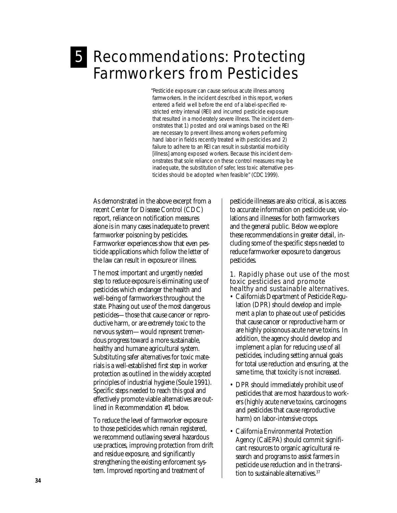# 5 Recommendations: Protecting Farmworkers from Pesticides

"Pesticide exposure can cause serious acute illness among farmworkers. In the incident described in this report, workers entered a field well before the end of a label-specified restricted entry interval (REI) and incurred pesticide exposure that resulted in a moderately severe illness. The incident demonstrates that 1) posted and oral warnings based on the REI are necessary to prevent illness among workers performing hand labor in fields recently treated with pesticides and 2) failure to adhere to an REI can result in substantial morbidity [illness] among exposed workers. Because this incident demonstrates that sole reliance on these control measures may be inadequate, the substitution of safer, less toxic alternative pesticides should be adopted when feasible" (CDC 1999).

As demonstrated in the above excerpt from a recent Center for Disease Control (CDC) report, reliance on notification measures alone is in many cases inadequate to prevent farmworker poisoning by pesticides. Farmworker experiences show that even pesticide applications which follow the letter of the law can result in exposure or illness.

The most important and urgently needed step to reduce exposure is eliminating use of pesticides which endanger the health and well-being of farmworkers throughout the state. Phasing out use of the most dangerous pesticides—those that cause cancer or reproductive harm, or are extremely toxic to the nervous system—would represent tremendous progress toward a more sustainable, healthy and humane agricultural system. Substituting safer alternatives for toxic materials is a well-established first step in worker protection as outlined in the widely accepted principles of industrial hygiene (Soule 1991). Specific steps needed to reach this goal and effectively promote viable alternatives are outlined in Recommendation #1 below.

To reduce the level of farmworker exposure to those pesticides which remain registered, we recommend outlawing several hazardous use practices, improving protection from drift and residue exposure, and significantly strengthening the existing enforcement system. Improved reporting and treatment of

pesticide illnesses are also critical, as is access to accurate information on pesticide use, violations and illnesses for both farmworkers and the general public. Below we explore these recommendations in greater detail, including some of the specific steps needed to reduce farmworker exposure to dangerous pesticides.

#### 1. Rapidly phase out use of the most toxic pesticides and promote healthy and sustainable alternatives.

- California's Department of Pesticide Regulation (DPR) should develop and implement a plan to phase out use of pesticides that cause cancer or reproductive harm or are highly poisonous acute nerve toxins. In addition, the agency should develop and implement a plan for reducing use of all pesticides, including setting annual goals for total use reduction and ensuring, at the same time, that toxicity is not increased.
- DPR should immediately prohibit use of pesticides that are most hazardous to workers (highly acute nerve toxins, carcinogens and pesticides that cause reproductive harm) on labor-intensive crops.
- California Environmental Protection Agency (CalEPA) should commit significant resources to organic agricultural research and programs to assist farmers in pesticide use reduction and in the transition to sustainable alternatives.<sup>37</sup>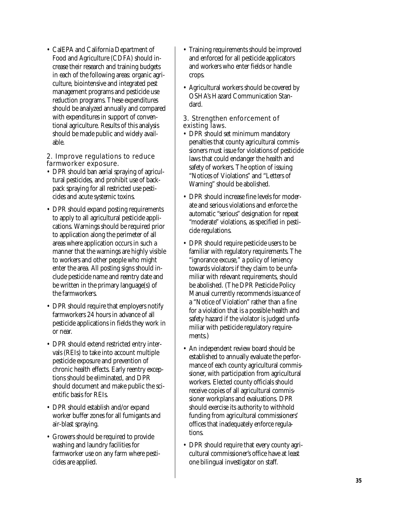• CalEPA and California Department of Food and Agriculture (CDFA) should increase their research and training budgets in each of the following areas: organic agriculture, biointensive and integrated pest management programs and pesticide use reduction programs. These expenditures should be analyzed annually and compared with expenditures in support of conventional agriculture. Results of this analysis should be made public and widely available.

#### 2. Improve regulations to reduce farmworker exposure.

- DPR should ban aerial spraying of agricultural pesticides, and prohibit use of backpack spraying for all restricted use pesticides and acute systemic toxins.
- DPR should expand posting requirements to apply to all agricultural pesticide applications. Warnings should be required prior to application along the perimeter of all areas where application occurs in such a manner that the warnings are highly visible to workers and other people who might enter the area. All posting signs should include pesticide name and reentry date and be written in the primary language(s) of the farmworkers.
- DPR should require that employers notify farmworkers 24 hours in advance of all pesticide applications in fields they work in or near.
- DPR should extend restricted entry intervals (REIs) to take into account multiple pesticide exposure and prevention of chronic health effects. Early reentry exceptions should be eliminated, and DPR should document and make public the scientific basis for REIs.
- DPR should establish and/or expand worker buffer zones for all fumigants and air-blast spraying.
- Growers should be required to provide washing and laundry facilities for farmworker use on any farm where pesticides are applied.
- Training requirements should be improved and enforced for all pesticide applicators and workers who enter fields or handle crops.
- Agricultural workers should be covered by OSHA's Hazard Communication Standard.

#### 3. Strengthen enforcement of existing laws.

- DPR should set minimum mandatory penalties that county agricultural commissioners must issue for violations of pesticide laws that could endanger the health and safety of workers. The option of issuing "Notices of Violations" and "Letters of Warning" should be abolished.
- DPR should increase fine levels for moderate and serious violations and enforce the automatic "serious" designation for repeat "moderate" violations, as specified in pesticide regulations.
- DPR should require pesticide users to be familiar with regulatory requirements. The "ignorance excuse," a policy of leniency towards violators if they claim to be unfamiliar with relevant requirements, should be abolished. (The DPR Pesticide Policy Manual currently recommends issuance of a "Notice of Violation" rather than a fine for a violation that is a possible health and safety hazard if the violator is judged unfamiliar with pesticide regulatory requirements.)
- An independent review board should be established to annually evaluate the performance of each county agricultural commissioner, with participation from agricultural workers. Elected county officials should receive copies of all agricultural commissioner workplans and evaluations. DPR should exercise its authority to withhold funding from agricultural commissioners' offices that inadequately enforce regulations.
- DPR should require that every county agricultural commissioner's office have at least one bilingual investigator on staff.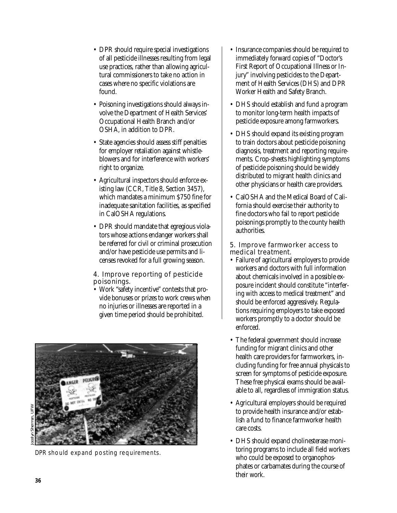- DPR should require special investigations of all pesticide illnesses resulting from legal use practices, rather than allowing agricultural commissioners to take no action in cases where no specific violations are found.
- Poisoning investigations should always involve the Department of Health Services' Occupational Health Branch and/or OSHA, in addition to DPR.
- State agencies should assess stiff penalties for employer retaliation against whistleblowers and for interference with workers' right to organize.
- Agricultural inspectors should enforce existing law (CCR, Title 8, Section 3457), which mandates a minimum \$750 fine for inadequate sanitation facilities, as specified in CalOSHA regulations.
- DPR should mandate that egregious violators whose actions endanger workers shall be referred for civil or criminal prosecution and/or have pesticide use permits and licenses revoked for a full growing season.

#### 4. Improve reporting of pesticide poisonings.

• Work "safety incentive" contests that provide bonuses or prizes to work crews when no injuries or illnesses are reported in a given time period should be prohibited.



DPR should expand posting requirements.

- Insurance companies should be required to immediately forward copies of "Doctor's First Report of Occupational Illness or Injury" involving pesticides to the Department of Health Services (DHS) and DPR Worker Health and Safety Branch.
- DHS should establish and fund a program to monitor long-term health impacts of pesticide exposure among farmworkers.
- DHS should expand its existing program to train doctors about pesticide poisoning diagnosis, treatment and reporting requirements. Crop-sheets highlighting symptoms of pesticide poisoning should be widely distributed to migrant health clinics and other physicians or health care providers.
- CalOSHA and the Medical Board of California should exercise their authority to fine doctors who fail to report pesticide poisonings promptly to the county health authorities.
- 5. Improve farmworker access to medical treatment.
- Failure of agricultural employers to provide workers and doctors with full information about chemicals involved in a possible exposure incident should constitute "interfering with access to medical treatment" and should be enforced aggressively. Regulations requiring employers to take exposed workers promptly to a doctor should be enforced.
- The federal government should increase funding for migrant clinics and other health care providers for farmworkers, including funding for free annual physicals to screen for symptoms of pesticide exposure. These free physical exams should be available to all, regardless of immigration status.
- Agricultural employers should be required to provide health insurance and/or establish a fund to finance farmworker health care costs.
- DHS should expand cholinesterase monitoring programs to include all field workers who could be exposed to organophosphates or carbamates during the course of their work.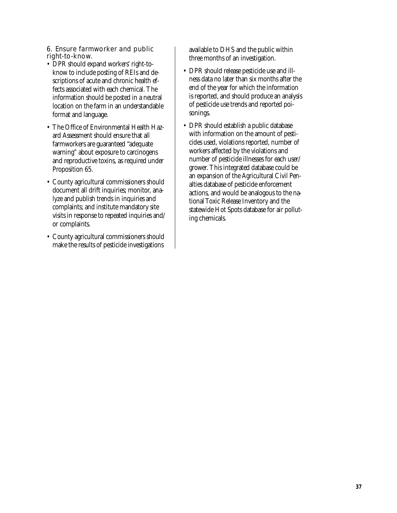#### 6. Ensure farmworker and public right-to-know.

- DPR should expand workers' right-toknow to include posting of REIs and descriptions of acute and chronic health effects associated with each chemical. The information should be posted in a neutral location on the farm in an understandable format and language.
- The Office of Environmental Health Hazard Assessment should ensure that all farmworkers are guaranteed "adequate warning" about exposure to carcinogens and reproductive toxins, as required under Proposition 65.
- County agricultural commissioners should document all drift inquiries; monitor, analyze and publish trends in inquiries and complaints; and institute mandatory site visits in response to repeated inquiries and/ or complaints.
- County agricultural commissioners should make the results of pesticide investigations

available to DHS and the public within three months of an investigation.

- DPR should release pesticide use and illness data no later than six months after the end of the year for which the information is reported, and should produce an analysis of pesticide use trends and reported poisonings.
- DPR should establish a public database with information on the amount of pesticides used, violations reported, number of workers affected by the violations and number of pesticide illnesses for each user/ grower. This integrated database could be an expansion of the Agricultural Civil Penalties database of pesticide enforcement actions, and would be analogous to the national Toxic Release Inventory and the statewide Hot Spots database for air polluting chemicals.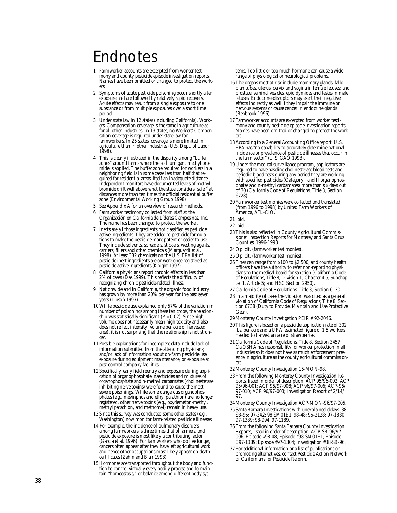## **Endnotes**

- 1 Farmworker accounts are excerpted from worker testimony and county pesticide episode investigation reports. Names have been omitted or changed to protect the workers.
- 2 Symptoms of acute pesticide poisoning occur shortly after exposure and are followed by relatively rapid recovery. Acute effects may result from a single exposure to one substance or from multiple exposures over a short time period.
- 3 Under state law in 12 states (including California), Workers' Compensation coverage is the same in agriculture as for all other industries. In 13 states, no Workers' Compensation coverage is required under state law for farmworkers. In 25 states, coverage is more limited in agriculture than in other industries (U.S. Dept. of Labor 1998).
- 4 This is clearly illustrated in the disparity among "buffer zones" around farms where the soil fumigant methyl bromide is applied. The buffer zone required for workers in a neighboring field is in some cases less than half that required for residential areas, itself an inadequate distance. Independent monitors have documented levels of methyl bromide drift well above what the state considers "safe," at distances more than ten times the official residential buffer zone (Environmental Working Group 1998).
- 5 See Appendix A for an overview of research methods.
- 6 Farmworker testimony collected from staff at the Organización en California de Líderes Campesinas, Inc. The name has been changed to protect the worker.
- 7 Inerts are all those ingredients not classified as pesticide active ingredients. They are added to pesticide formulations to make the pesticide more potent or easier to use. They include solvents, spreaders, stickers, wetting agents, carriers, fillers and other chemicals (Marquardt et al. 1998). At least 382 chemicals on the U.S. EPA list of pesticide inert ingredients are or were once registered as pesticide active ingredients (Knight 1997).
- 8 California physicians report chronic effects in less than 2% of cases (Das 1999). This reflects the difficulty of recognizing chronic pesticide-related illness.
- 9 Nationwide and in California, the organic food industry has grown by more than 20% per year for the past seven years (Lipson 1997).
- 10 While pesticide use explained only 57% of the variation in number of poisonings among these ten crops, the relationship was statistically significant (P = 0.02). Since high volume does not necessarily mean high toxicity and also does not reflect intensity (volume per acre of harvested area), it is not surprising that the relationship is not stronger.
- 11 Possible explanations for incomplete data include lack of information submitted from the attending physicians; and/or lack of information about on-farm pesticide use, exposure during equipment maintenance, or exposure at pest control company facilities.
- 12 Specifically, early field reentry and exposure during application of organophosphate insecticides and mixtures of organophosphate and n-methyl carbamates (cholinesterase inhibiting nerve toxins) were found to cause the most severe poisonings. While some dangerous organophosphates (e.g., mevinphos and ethyl parathion) are no longer registered, other nerve toxins (e.g., oxydemeton-methyl, methyl parathion, and methomyl) remain in heavy use.
- 13 Since this survey was conducted some other states (e.g., Washington) now monitor farm-related pesticide illnesses.
- 14 For example, the incidence of pulmonary disorders among farmworkers is three times that of farmers, and pesticide exposure is most likely a contributing factor (Garcia et al. 1996). For farmworkers who do live longer, cancers often appear after they have left agricultural work and hence other occupations most likely appear on death certificates (Zahm and Blair 1993).
- 15 Hormones are transported throughout the body and function to control virtually every bodily process and to maintain "homeostasis," or balance among different body sys-

tems. Too little or too much hormone can cause a wide range of physiological or neurological problems.

- 16 The organs most at risk include mammary glands, fallo- pian tubes, uterus, cervix and vagina in female fetuses; and prostate, seminal vesicles, epididymides and testes in male fetuses. Endocrine-disruptors may exert their negative effects indirectly as well if they impair the immune or nervous systems or cause cancer in endocrine glands (Benbrook 1996).
- 17 Farmworker accounts are excerpted from worker testimony and county pesticide episode investigation reports. Names have been omitted or changed to protect the workers.
- 18 According to a General Accounting Office report, U.S. EPA has "no capability to accurately determine national incidence or prevalence of pesticide illnesses that occur in the farm sector" (U.S. GAO 1993).
- 19 Under the medical surveillance program, applicators are required to have baseline cholinesterase blood tests and periodic blood tests during any period they are working with specified pesticides (Category I and II organophosphates and n-methyl carbamates) more than six days out of 30 (California Code of Regulations, Title 3, Section 6728).
- 20 Farmworker testimonies were collected and translated (from 1996 to 1998) by United Farm Workers of America, AFL-CIO.

- 23 This is also reflected in County Agricultural Commissioner Inspection Reports for Monterey and Santa Cruz Counties, 1996-1998.
- 24 Op. cit. (farmworker testimonies).
- 25 Op. cit. (farmworker testimonies).
- 26 Fines can range from \$100 to \$2,500, and county health officers have the authority to refer non-reporting physicians to the medical board for sanction (California Code of Regulations, Title 8, Division 1, Chapter 4.5, Subchapter 1, Article 5; and HSC Section 2950)
- 27 California Code of Regulations, Title 3, Section 6130.
- 28 In a majority of cases the violation was cited as a general violation of California Code of Regulations, Title 8, Section 6738 (Duty to Provide, Maintain and Use Protective Gear).
- 29 Monterey County investigation PEIR # 92-2046.
- 30 This figure is based on a pesticide application rate of 302 lbs. per acre and a UFW estimated figure of 1.5 workers needed to harvest an acre of strawberries.
- 31 California Code of Regulations, Title 8, Section 3457. CalOSHA has responsibility for worker protection in all industries so it does not have as much enforcement presence in agriculture as the county agricultural commissioners.
- 32 Monterey County Investigation 15-MON-98.
- 33 From the following Monterey County Investigation Reports, listed in order of description: ACP 95/96-002; ACP 95/96-001; ACP 96/97-008; ACP 96/97-006; ACP-96/ 97-010; ACP 96/97-003; Investigation Report of 2/14/ 97.
- 34 Monterey County Investigation ACP-MON-96/97-005.
- 35 Santa Barbara Investigations with unexplained delays: 38- SB-96; 97-342; 98 SM01E1; 98-48; 96-2128; 97-1830; 97-1389; 98-994; 97-1189.
- 36 From the following Santa Barbara County Investigation Reports, listed in order of description: ACP-SB-96/97- 006; Episode #98-48; Episode #98-SM01E1; Episode E97-1389; Episode #97-1304; Investigation #38-SB-96.
- 37 For additional information or a list of publications on promoting alternatives, contact Pesticide Action Network or Californians for Pesticide Reform.

<sup>21</sup> Ibid.

<sup>22</sup> Ibid.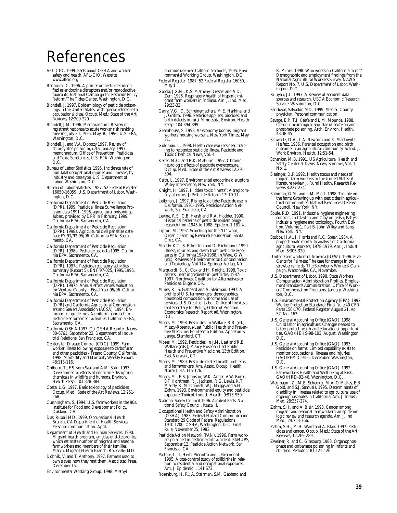## References

- AFL-CIO. 1999. Facts about OSHA and worker safety and health. AFL-CIO, Website: www.aflcio.org
- Benbrook, C. 1996. A primer on pesticides identified as endocrine disruptors and/or reproductive toxicants. National Campaign for Pesticide Policy Reform/The Tides Center, Washington, D.C.
- Blondell, J. 1997. Epidemiology of pesticide poison- ings in the United States, with special reference to occupational class. Occup. Med.: State of the Art Reviews, 12:209-220.
- Blondell, J.M. 1996. Memorandum: Review of registrant response to acute worker risk ranking meeting July 20, 1995. May 30, 1996. U.S. EPA, Washington, D.C.
- Blondell, J. and V.A. Dobozy 1997. Review of chlorpyrifos poisoning data. January, 1997 memorandum. Office of Prevention, Pesticides and Toxic Substances, U.S. EPA, Washington, D.C.
- Bureau of Labor Statistics. 1995. Incidence rate of non-fatal occupational injuries and illnesses, by industry and case type. U.S. Department of Labor, Washington, D.C.
- Bureau of Labor Statistics. 1987. 52 Federal Register 16050-16059. U.S. Department of Labor, Washington, D.C.
- California Department of Pesticide Regulation (DPR). 1999. Pesticide Illness Surveillance Program data 1991–1996, agricultural poisonings subset, provided by DPR in February, 1999. California EPA, Sacramento, CA.
- California Department of Pesticide Regulation (DPR). 1998a. Agricultural civil penalties data-base FY 91/92-95/96. California EPA, Sacramento, CA.<br>California Department of Pesticide Regulation
- California Department of Pesticide Regulation (DPR). 1998b. Pesticide use data 1995. Califor-nia EPA, Sacramento, CA.
- California Department of Pesticide Regulation (DPR). 1997a. Pesticide regulatory activities summary (Report 5), ENF 97-025, 1995/1996. California EPA, Sacramento, CA.
- California Department of Pesticide Regulation (DPR). 1997b. Annual effectiveness evaluation for Ventura County—Fiscal Year 95/96. Califor-nia EPA, Sacramento, CA.
- California Department of Pesticide Regulation (DPR) and California Agricultural Commission-ers and Sealers Association (ACSA). 1994. Enforcement guidelines: A uniform approach to pesticide enforcement activities. California EPA, Sacramento, CA.
- California OSHA 1997. Cal OSHA Reporter, News 00-6761, September 22. Department of Industrial Relations, San Francisco, CA.
- Centers for Disease Control (CDC). 1999. Farm worker illness following exposure to carbofuran and other pesticides – Fresno County, California, 1998. Morbidity and Mortality Weekly Report. 48:113-116.
- Colborn, T., F.S. vom Saal and A.M. Soto. 1993. Developmental effects of endocrine-disrupting chemicals in wildlife and humans. Environ. Health Persp. 101:378-384.
- Costa, L.G. 1997. Basic toxicology of pesticides. Occup. Med.: State of the Art Reviews, 12:251- 268.
- Cunningham, S. 1994. U.S. farmworkers in the 90s. Institute for Food and Development Policy, Oakland, CA.
- Das, Rupali MD. 1999. Occupational Health Branch, CA Department of Health Services, Personal communication. April.
- Department of Health and Human Services. 1990. Migrant health program, an atlas of state profiles which estimate number of migrant and seasonal farmworkers and members of their families. March. Migrant Health Branch, Rockville, MD.
- Dobnik, V. and T. Anthony. 1997. Farmers used to own slaves; now they rent them. Associated Press, December 15.
- Environmental Working Group. 1998. Methyl

bromide use near California schools, 1995. Environmental Working Group, Washington, DC. Federal Register. 1987. 52 Federal Register 16050,

- May 1.
- Garcia, J.G.N., K.S. Matheny-Dresser and A.D. Zerr. 1996. Respiratory health of hispanic mi-grant farm workers in Indiana. Am. J. Ind. Med. 29:23-32.
- Garry, V.G., D. Schreinemachers, M.E. Harkins, and J. Grifith. 1996. Pesticide appliers, biocides, and birth defects in rural Minnesota. Environ. Health Persp. 104:394-399.
- Greenhouse, S. 1998. As economy booms, migrant workers' housing worsens. New York Times, May 31.
- Goldman. L. 1998. Health care workers need training to recognize pesticide illness. Pesticide and Toxic Chemical News, Vol. 4.
- Keifer, M.C. and R.K. Mahurin. 1997. Chronic neurologic effects of pesticide overexposure. Occup. Med.: State of the Art Reviews 12:291- 304.
- Keith, L. 1997. Environmental endocrine disruptors. Wiley Interscience, New York, NY.<br>Knight, H. 1997. Hidden toxic "inerts": A tragicom-
- edy of errors. J. Pesticide Reform 17: 10-11.
- Leibman, J. 1997. Rising toxic tide: Pesticide use in California, 1991–1995. Pesticide Action Network, San Francisco, CA.
- Levine, R.S., C.B. Hersh and R.A. Hodder. 1990. Historical patterns of pesticide epidemiology research from 1945 to 1988. Epidem. 1:181-4.
- Lipson, M. 1997. Searching for the "O" word, Organic Farming Research Foundation, Santa Cruz, CA.
- Maddy, K.T., S. Edmiston and D. Richmond. 1990. Illness, injuries, and death from pesticide expo-sures in California 1949-1988. In Ware, G.W. (ed.), Reviews of Environmental Contamination and Toxicology. Vol 114. Springer-Verlag, NY.
- Marquardt, S., C. Cox and H. Knight. 1998. Toxic secrets: Inert ingredients in pesticides, 1987- 1997. Northwest Coalition for Alternatives to Pesticides, Eugene, OR.
- Mines, R., S. Gabbard and A. Steirman. 1997. A profile of U.S. farmworkers: demographics, household composition, income and use of services. U.S. Dept. of Labor, Office of the Assistant Secretary for Policy, Office of Program Economics Research Report #6. Washington,  $\overline{D}$  $\overline{C}$
- Moses, M. 1998. Pesticides. In Wallace, R.B. (ed.), Mascy-Rosenaus-Last Public Health and Preventive Medicine. Fourteenth Edition. Appleton & Lange, Stamford, CT.
- Moses, M. 1992. Pesticides. In J.M. Last and R.B. Wallace (eds.), Maxcy-Rosenau-Last Public Health and Preventive Medicine, 13th Edition. East Norwalk, CT.
- Moses, M. 1989. Pesticide-related health problems and farmworkers. Am. Assoc. Occup. Health Nurse J. 37: 115-126.
- Moses, M., E.S. Johnson, W.K. Anger, V.W. Burse, S.F. Horstman, R.J. Jackson, R.G. Lewis, K.T. Maddy, R. McConnell, W.J. Meggs and S.H. Zahm. 1993. Environmental equity and pesticide exposure. Toxicol. Indust. Health, 9:913-959.
- National Safety Council 1996. *Accident Facts*. National Safety Council, Itasca, IL.
- Occupational Health and Safety Administration (OSHA). 1983. Federal Hazard Communication Standard 29 Code of Federal Regulations 1910.1200. OSHA, Washington, D.C. Final Rule, November 25, 1983.
- Pesticide Action Network (PAN). 1996. Farm workers poisoned in pesticide drift accident. PANUPS, September 12. Pesticide Action Network, San Francisco, CA.
- Pastore, L., I. Hertz-Picciotto and J. Beaumont. 1995. A case-control study of stillbirths in rela-tion to residential and occupational exposures. Am. J. Epidemiol., 141:S73
- Rosenburg, H. R., A. Steirman, S.M. Gabbard and

R. Mines. 1998. Who works on California farms? Demographic and employment findings from the National Agricultural Workers Survey. NAWS Report No. 7, U.S. Department of Labor, Wash-ington, D.C.

- Runyan, J.L. 1993. A Review of accident data sources and research. USDA Economic Research Service. Washington, D.C.<br>Sandoval, Salvador, MD. 1999. Merced County
- physician, Personal communication.
- Savage, E.P., T.J. Keefe and L.M. Mounce. 1988. Chronic neurological sequelae of acute organo-phosphate poisoning. Arch. Environ. Health, 43:38-45.
- Schwartz, D.A., L.A. Newsum and R. Markowitz-Heifetz. 1986. Parental occupation and birth outcome in an agricultural community. Scand. J. Work Environ. Health, 12:51-54.
- Schenker, M.B. 1991. US Agricultural Health and Safety Center at Davis, News, Summer, Vol. 1, No. I.<br>Slesinger, D.P. 1992. Health status and needs of
- Slesinger, D.P. 1992. Health status and needs of migrant farm workers in the United States: A literature review. J. Rural Health, Research Reviews 8:227-234.
- Solomon, G.M. and L.M. Mott. 1998. Trouble on the farm: Growing up with pesticides in agricul-tural communities. Natural Resources Defense Council. New York, NY.
- Soule, R.D. 1991. Industrial hygiene engineering controls. In Clayton and Clayton (eds.), Patty's industrial hygiene and toxicology, Fourth Edi-tion, Volume 1, Part B. John Wiley and Sons, New York, NY.
- Stubbs, H.A., J. Harris and R.C. Spear. 1984. A proportionate mortality analysis of California agricultural workers, 1978-1979. Am. J. Indust. Med. 6:305-320.
- United Farmworkers of America (UFW). 1996. Five Cents for Fairness: The case for change in the strawberry fields. The Strawberry Workers' Cam-paign, Watsonville, CA, November.
- U.S. Department of Labor. 1998. State Workers Compensation Administration Profiles. Employ-ment Standards Administration, Office of Workers' Compensation Programs. January. Washington, D.C.
- U.S. Environmental Protection Agency (EPA). 1992. Worker Protection Standard: Final Rule 40 CFR Parts 156-170. Federal Register August 21, Vol. 57, No. 163.
- U.S. General Accounting Office (GAO). 1998. Child labor in agriculture: Changes needed to better protect health and educational opportuni-ties. GAO/HEHS-98-193, August. Washington,  $D C$
- U.S. General Accounting Office (GAO). 1993. Pesticide on farms: Limited capability exists to monitor occupational illnesses and injuries. GAO/PEMD-94-6, December. Washington, D.C.
- U.S. General Accounting Office (GAO). 1992. Farmworkers Health and Well-being at Risk. GAO/HRD-92-46. Washington, D.C.
- Weinbaum, Z., M.B. Schenker, M.A. O'Malley, E.B. Gold, and S.J. Samuels. 1995. Determinants of disability in illnesses related to agricultural use of organophosphates in California. Am. J. Indust. Med. 28:257-274.
- Zahm, S.H. and A. Blair. 1993. Cancer among migrant and seasonal farmworkers: an epidemiologic review and research agenda. Am. J. Ind. Med., 24:753-766.
- Zahm, S.H., M.H. Ward and A. Blair. 1997. Pesticides and cancer. Occup. Med.: State of the Art Reviews, 12:269-289.
- Zweiner, R. and C. Ginsburg. 1988. Organophos-phate and carbamate poisoning in infants and children. Pediatrics 81:121-126.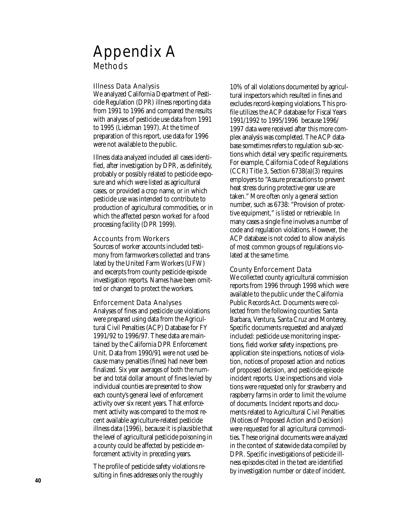## Appendix A Methods

#### Illness Data Analysis

We analyzed California Department of Pesticide Regulation (DPR) illness reporting data from 1991 to 1996 and compared the results with analyses of pesticide use data from 1991 to 1995 (Liebman 1997). At the time of preparation of this report, use data for 1996 were not available to the public.

Illness data analyzed included all cases identified, after investigation by DPR, as definitely, probably or possibly related to pesticide exposure and which were listed as agricultural cases, or provided a crop name, or in which pesticide use was intended to contribute to production of agricultural commodities, or in which the affected person worked for a food processing facility (DPR 1999).

#### Accounts from Workers

Sources of worker accounts included testimony from farmworkers collected and translated by the United Farm Workers (UFW) and excerpts from county pesticide episode investigation reports. Names have been omitted or changed to protect the workers.

#### Enforcement Data Analyses

Analyses of fines and pesticide use violations were prepared using data from the Agricultural Civil Penalties (ACP) Database for FY 1991/92 to 1996/97. These data are maintained by the California DPR Enforcement Unit. Data from 1990/91 were not used because many penalties (fines) had never been finalized. Six year averages of both the number and total dollar amount of fines levied by individual counties are presented to show each county's general level of enforcement activity over six recent years. That enforcement activity was compared to the most recent available agriculture-related pesticide illness data (1996), because it is plausible that the level of agricultural pesticide poisoning in a county could be affected by pesticide enforcement activity in preceding years.

The profile of pesticide safety violations resulting in fines addresses only the roughly

10% of all violations documented by agricultural inspectors which resulted in fines and excludes record-keeping violations. This profile utilizes the ACP database for Fiscal Years 1991/1992 to 1995/1996 because 1996/ 1997 data were received after this more complex analysis was completed. The ACP database sometimes refers to regulation sub-sections which detail very specific requirements. For example, California Code of Regulations (CCR) Title 3, Section 6738(a)(3) requires employers to "Assure precautions to prevent heat stress during protective gear use are taken." More often only a general section number, such as 6738: "Provision of protective equipment," is listed or retrievable. In many cases a single fine involves a number of code and regulation violations. However, the ACP database is not coded to allow analysis of most common groups of regulations violated at the same time.

#### County Enforcement Data

We collected county agricultural commission reports from 1996 through 1998 which were available to the public under the California Public Records Act. Documents were collected from the following counties: Santa Barbara, Ventura, Santa Cruz and Monterey. Specific documents requested and analyzed included: pesticide use monitoring inspections, field worker safety inspections, preapplication site inspections, notices of violation, notices of proposed action and notices of proposed decision, and pesticide episode incident reports. Use inspections and violations were requested only for strawberry and raspberry farms in order to limit the volume of documents. Incident reports and documents related to Agricultural Civil Penalties (Notices of Proposed Action and Decision) were requested for all agricultural commodities. These original documents were analyzed in the context of statewide data compiled by DPR. Specific investigations of pesticide illness episodes cited in the text are identified by investigation number or date of incident.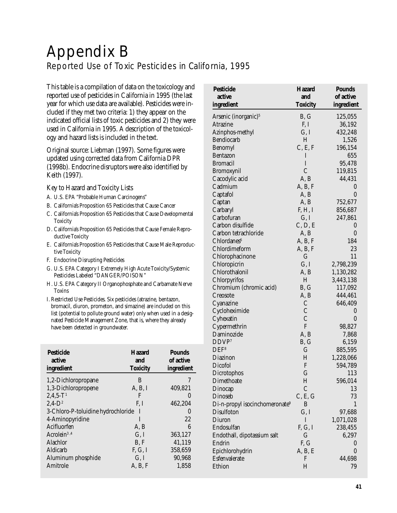## Appendix B Reported Use of Toxic Pesticides in California, 1995

This table is a compilation of data on the toxicology and reported use of pesticides in California in 1995 (the last year for which use data are available). Pesticides were included if they met two criteria: 1) they appear on the indicated official lists of toxic pesticides and 2) they were used in California in 1995. A description of the toxicology and hazard lists is included in the text.

Original source: Liebman (1997). Some figures were updated using corrected data from California DPR (1998b). Endocrine disruptors were also identified by Keith (1997).

Key to Hazard and Toxicity Lists

- A. U.S. EPA "Probable Human Carcinogens"
- B. California's Proposition 65 Pesticides that Cause Cancer
- C. California's Proposition 65 Pesticides that Cause Developmental **Toxicity**
- D. California's Proposition 65 Pesticides that Cause Female Reproductive Toxicity
- E. California's Proposition 65 Pesticides that Cause Male Reproductive Toxicity
- F. Endocrine Disrupting Pesticides
- G. U.S. EPA Category I Extremely High Acute Toxicity/Systemic Pesticides Labeled "DANGER/POISON"
- H. U.S. EPA Category II Organophosphate and Carbamate Nerve **Toxins**
- I. Restricted Use Pesticides. Six pesticides (atrazine, bentazon, bromacil, diuron, prometon, and simazine) are included on this list (potential to pollute ground water) only when used in a designated Pesticide Management Zone, that is, where they already have been detected in groundwater.

| <b>Pesticide</b><br>active<br>ingredient | Hazard<br>and<br><b>Toxicity</b> | <b>Pounds</b><br>of active<br>ingredient |
|------------------------------------------|----------------------------------|------------------------------------------|
| 1,2-Dichloropropane                      | B                                |                                          |
| 1,3-Dichloropropene                      | A, B, I                          | 409,821                                  |
| $2.4.5-T1$                               | F                                |                                          |
| $2.4 - D^2$                              | F.I                              | 462,204                                  |
| 3-Chloro-P-toluidine hydrochloride       | I                                | 0                                        |
| 4-Aminopyridine                          |                                  | 22                                       |
| Acifluorfen                              | A, B                             | 6                                        |
| Acrolein <sup>3,4</sup>                  | G.I                              | 363,127                                  |
| <b>Alachlor</b>                          | B, F                             | 41,119                                   |
| Aldicarb                                 | F, G, I                          | 358,659                                  |
| Aluminum phosphide                       | G, I                             | 90,968                                   |
| Amitrole                                 | A, B, F                          | 1,858                                    |

| <b>Pesticide</b>                           | <b>Hazard</b>   | <b>Pounds</b>    |
|--------------------------------------------|-----------------|------------------|
| active                                     | and             | of active        |
| ingredient                                 | <b>Toxicity</b> | ingredient       |
| Arsenic (inorganic) <sup>5</sup>           | B, G            | 125,055          |
| <b>Atrazine</b>                            | F, I            | 36,192           |
| Azinphos-methyl                            | G, I            | 432,248          |
| Bendiocarb                                 | $H_{\rm}$       | 1,526            |
| Benomyl                                    | C, E, F         | 196,154          |
| <b>Bentazon</b>                            | I               | 655              |
| <b>Bromacil</b>                            | $\rm I$         | 95,478           |
| Bromoxynil                                 | $\overline{C}$  | 119,815          |
| Cacodylic acid                             | A, B            | 44,431           |
| Cadmium                                    | A, B, F         | 0                |
| Captafol                                   | A, B            | $\boldsymbol{0}$ |
| Captan                                     | A, B            | 752,677          |
| Carbaryl                                   | F, H, I         | 856,687          |
| Carbofuran                                 | G, I            | 247,861          |
| Carbon disulfide                           | C, D, E         | $\bf{0}$         |
| Carbon tetrachloride                       | A, B            | $\boldsymbol{0}$ |
| Chlordanes <sup>6</sup>                    | A, B, F         | 184              |
| Chlordimeform                              | A, B, F         | 23               |
| Chlorophacinone                            | G               | 11               |
| Chloropicrin                               | G, I            | 2,798,239        |
| Chlorothalonil                             | A, B            | 1,130,282        |
| Chlorpyrifos                               | H               | 3,443,138        |
| Chromium (chromic acid)                    | B, G            | 117,092          |
| Creosote                                   | A, B            | 444,461          |
| Cyanazine                                  | $\mathcal{C}$   | 646,409          |
| Cycloheximide                              | $\mathcal{C}$   | 0                |
| Cyhexatin                                  | $\mathcal{C}$   | $\boldsymbol{0}$ |
| Cypermethrin                               | ${\bf F}$       | 98,827           |
| Daminozide                                 | A, B            | 7,868            |
| DDVP <sup>7</sup>                          | B, G            | 6,159            |
| DEF <sup>8</sup>                           | $\mathsf{G}$    | 885,595          |
| Diazinon                                   | H               | 1,228,066        |
| Dicofol                                    | ${\bf F}$       | 594,789          |
| Dicrotophos                                | G               | 113              |
| Dimethoate                                 | H               | 596,014          |
| Dinocap                                    | $\mathcal{C}$   | 13               |
| Dinoseb                                    | C, E, G         | 73               |
| Di-n-propyl isocinchomeronate <sup>9</sup> | B               | 1                |
| Disulfoton                                 | G, I            | 97,688           |
| Diuron                                     | I               | 1,071,028        |
| Endosulfan                                 | F, G, I         | 238,455          |
| Endothall, dipotassium salt                | G               | 6,297            |
| Endrin                                     | F, G            | 0                |
| Epichlorohydrin                            | A, B, E         | 0                |
| Esfenvalerate                              | F               | 44,698           |
| Ethion                                     | H               | 79               |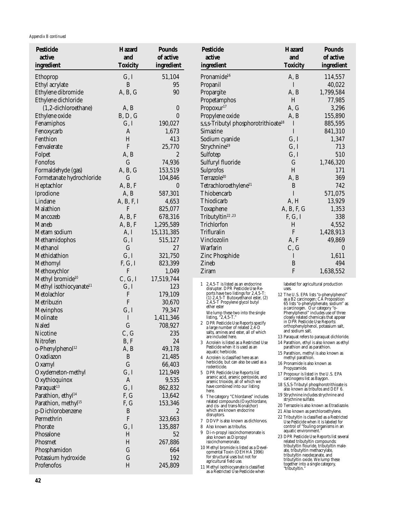*Appendix B continued*

| <b>Pesticide</b><br>active<br>ingredient | Hazard<br>and<br><b>Toxicity</b> | <b>Pounds</b><br>of active<br>ingredient | <b>Pesticide</b><br>active<br>ingredient                                   | Hazard<br>and<br><b>Toxicity</b>                                                         | <b>Pounds</b><br>of active<br>ingredient                                     |
|------------------------------------------|----------------------------------|------------------------------------------|----------------------------------------------------------------------------|------------------------------------------------------------------------------------------|------------------------------------------------------------------------------|
| Ethoprop                                 | G, I                             | 51,104                                   | Pronamide <sup>16</sup>                                                    | A, B                                                                                     | 114,557                                                                      |
| Ethyl acrylate                           | $\, {\bf B}$                     | 95                                       | Propanil                                                                   | $\bf{I}$                                                                                 | 40,022                                                                       |
| Ethylene dibromide                       | A, B, G                          | 90                                       | Propargite                                                                 | A, B                                                                                     | 1,799,584                                                                    |
| Ethylene dichloride                      |                                  |                                          | Propetamphos                                                               | $\boldsymbol{\mathrm{H}}$                                                                | 77,985                                                                       |
| (1,2-dichloroethane)                     | A, B                             | $\boldsymbol{0}$                         | Propoxur <sup>17</sup>                                                     | A, G                                                                                     | 3,296                                                                        |
| Ethylene oxide                           | B, D, G                          | $\boldsymbol{0}$                         | Propylene oxide                                                            | A, B                                                                                     | 155,890                                                                      |
| Fenamiphos                               | G, I                             | 190,027                                  | s,s,s-Tributyl phosphorotrithioate <sup>18</sup>                           | $\bf I$                                                                                  | 885,595                                                                      |
| Fenoxycarb                               | $\mathbf{A}$                     | 1,673                                    | Simazine                                                                   | I                                                                                        | 841,310                                                                      |
| Fenthion                                 | H                                | 413                                      | Sodium cyanide                                                             | G, I                                                                                     | 1,347                                                                        |
| Fenvalerate                              | ${\bf F}$                        | 25,770                                   | Strychnine <sup>19</sup>                                                   | G, I                                                                                     | 713                                                                          |
| Folpet                                   | A, B                             | $\boldsymbol{2}$                         | Sulfotep                                                                   | G, I                                                                                     | 510                                                                          |
| Fonofos                                  | G                                | 74,936                                   | Sulfuryl fluoride                                                          | $\mathsf{G}$                                                                             | 1,746,320                                                                    |
| Formaldehyde (gas)                       | A, B, G                          | 153,519                                  | Sulprofos                                                                  | H                                                                                        | 171                                                                          |
| Formetanate hydrochloride                | G                                | 104,846                                  | Terrazole <sup>20</sup>                                                    | A, B                                                                                     | 369                                                                          |
| Heptachlor                               | A, B, F                          | $\boldsymbol{0}$                         | Tetrachloroethylene <sup>21</sup>                                          | $\, {\bf B}$                                                                             | 742                                                                          |
| Iprodione                                | A, B                             | 587,301                                  | Thiobencarb                                                                | I                                                                                        | 571,075                                                                      |
| Lindane                                  | A, B, F, I                       | 4,653                                    | Thiodicarb                                                                 | A, H                                                                                     | 13,929                                                                       |
| Malathion                                | ${\bf F}$                        | 825,077                                  | Toxaphene                                                                  | A, B, F, G                                                                               | 1,353                                                                        |
| Mancozeb                                 | A, B, F                          | 678,316                                  | Tributyltin <sup>22</sup> . <sup>23</sup>                                  | F, G, I                                                                                  | 338                                                                          |
| Maneb                                    | A, B, F                          | 1,295,589                                | <b>Trichlorfon</b>                                                         | H                                                                                        | 4,552                                                                        |
| Metam sodium                             | A, I                             | 15,131,385                               | <b>Trifluralin</b>                                                         | $\mathbf{F}$                                                                             | 1,428,913                                                                    |
| Methamidophos                            | G, I                             | 515,127                                  | Vinclozolin                                                                | A, F                                                                                     | 49,869                                                                       |
| Methanol                                 | $\mathsf{G}$                     | 27                                       | Warfarin                                                                   | C, G                                                                                     | $\bf{0}$                                                                     |
| Methidathion                             | G, I                             | 321,750                                  | <b>Zinc Phosphide</b>                                                      | $\bf I$                                                                                  | 1,611                                                                        |
| Methomyl                                 | F, G, I                          | 823,399                                  | Zineb                                                                      | $\, {\bf B}$                                                                             | 494                                                                          |
| Methoxychlor                             | ${\bf F}$                        | 1,049                                    | <b>Ziram</b>                                                               | $\mathbf{F}$                                                                             | 1,638,552                                                                    |
| Methyl bromide <sup>10</sup>             | C, G, I                          | 17,519,744                               |                                                                            |                                                                                          |                                                                              |
| Methyl isothiocyanate <sup>11</sup>      | G, I                             | 123                                      | 1 2,4,5-T is listed as an endocrine<br>disrupter. DPR Pesticide Use Re-    | labeled for agricultural production<br>uses.                                             |                                                                              |
| Metolachlor                              | ${\bf F}$                        | 179,109                                  | ports have two listings for 2,4,5-T:                                       | 12 The U.S. EPA lists "o-phenylphenol"                                                   |                                                                              |
| Metribuzin                               | ${\bf F}$                        | 30,670                                   | $(1)$ 2,4,5-T Butoxyethanol ester, $(2)$<br>2,4,5-T Propylene glycol butyl |                                                                                          | as a B2 carcinogen; CA Proposition<br>65 lists "o-phenylphenate, sodium" as  |
| Mevinphos                                | G, I                             | 79,347                                   | ether ester                                                                | a carcinogen. Our category "o-                                                           |                                                                              |
| Molinate                                 | I                                | 1,411,346                                | We lump these two into the single<br>listing, $2,4,5$ -T."                 |                                                                                          | Phenylphenol" includes use of three<br>closely related chemicals that appear |
| Naled                                    | $\overline{G}$                   | 708,927                                  | 2 DPR Pesticide Use Reports specify<br>a large number of related 2,4-D     | in DPR Pesticide Use Reports:                                                            | orthophenylphenol, potassium salt,                                           |
| Nicotine                                 | C, G                             | 235                                      | salts, amines and ester, all of which                                      | and sodium salt.                                                                         |                                                                              |
| Nitrofen                                 | B, F                             | 24                                       | are included here.<br>Acrolein is listed as a Restricted Use<br>3          | 13 Paraquat refers to paraquat dichloride.<br>14 Parathion, ethyl is also known as ethyl |                                                                              |
| o-Phenylphenol <sup>12</sup>             | A, B                             | 49,178                                   | Pesticide when it is used as an<br>aquatic herbicide.                      | parathion and as parathion.                                                              |                                                                              |
| Oxadiazon                                | B                                | 21,485                                   | Acrolein is classified here as an<br>4                                     | 15 Parathion, methyl is also known as<br>methyl parathion.                               |                                                                              |
| Oxamyl                                   | G                                | 66,403                                   | herbicide, but can also be used as a<br>rodenticide.                       | 16 Pronamide is also known as                                                            |                                                                              |
| Oxydemeton-methyl                        | G, I                             | 121,949                                  | DPR Pesticide Use Reports list<br>5                                        | Propyzamide.<br>17 Propoxur is listed in the U.S. EPA                                    |                                                                              |
| Oxythioquinox                            | A                                | 9,535                                    | arsenic acid, arsenic pentoxide, and<br>arsenic trioxide, all of which we  | carcinogens list as Baygon.                                                              |                                                                              |
| Paraquat <sup>13</sup>                   | G, I                             | 862,832                                  | have combined into our listing<br>here.                                    | 18 S, S, S-Tributyl phosphorotrithioate is                                               | also known as tribufos and DEF 6.                                            |
| Parathion, ethyl <sup>14</sup>           | F, G                             | 13,642                                   | The category "Chlordanes" includes<br>6                                    | 19 Strychnine includes strychnine and                                                    |                                                                              |
| Parathion, methyl <sup>15</sup>          | F, G                             | 153,346                                  | related compounds (Oxychlordane,<br>and cis- and trans-Nonalchor)          | strychnine sulfate.<br>20 Terrazole is also known as Etradiazole.                        |                                                                              |
| p-Dichlorobenzene                        | B                                | $\boldsymbol{2}$                         | which are known endocrine                                                  | 21 Also known as perchloroethylene.                                                      |                                                                              |
| Permethrin                               | F                                | 323,663                                  | disruptors.<br>DDVP is also known as dichlorvos.<br>7                      | 22 Tributyltin is classified as a Restricted<br>Use Pesticide when it is labeled for     |                                                                              |
| Phorate                                  | G, I                             | 135,887                                  | 8<br>Also known as tribufos.                                               |                                                                                          | control of "fouling organisms in an                                          |
| Phosalone                                | H                                | 52                                       | Di-n-propyl isocinchomeronate is<br>9<br>also known as Dipropyl            | aquatic environment.'<br>23 DPR Pesticide Use Reports list several                       |                                                                              |
| Phosmet                                  | H                                | 267,886                                  | isocinchomeronate.                                                         | related tributyltin compounds:                                                           | tributyltin flouride, tributyltin male-                                      |
| Phosphamidon                             | G                                | 664                                      | 10 Methyl bromide is listed as a Devel-<br>opmental Toxin (OEHHA 1996)     | ate, tributyltin methacrylate,                                                           |                                                                              |
| Potassium hydroxide                      | G                                | 192                                      | for structural uses but not for<br>agricultural field use.                 | tributyltin neodecanate, and<br>tributyltin oxide. We lump these                         |                                                                              |
| Profenofos                               | H                                | 245,809                                  | 11 Methyl isothiocyanate is classified                                     | together into a single category,<br>"tributyltin."                                       |                                                                              |
|                                          |                                  |                                          | as a Restricted Use Pesticide when                                         |                                                                                          |                                                                              |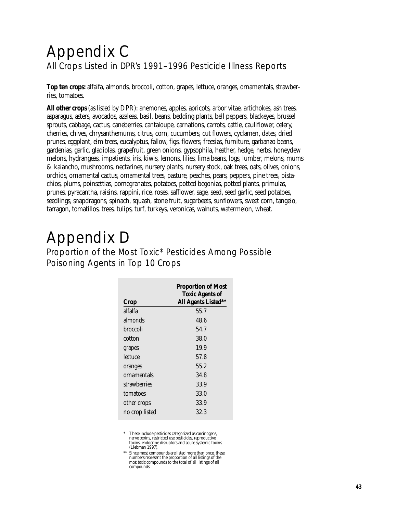## Appendix C All Crops Listed in DPR's 1991–1996 Pesticide Illness Reports

**Top ten crops:** alfalfa, almonds, broccoli, cotton, grapes, lettuce, oranges, ornamentals, strawberries, tomatoes.

**All other crops** (as listed by DPR): anemones, apples, apricots, arbor vitae, artichokes, ash trees, asparagus, asters, avocados, azaleas, basil, beans, bedding plants, bell peppers, blackeyes, brussel sprouts, cabbage, cactus, caneberries, cantaloupe, carnations, carrots, cattle, cauliflower, celery, cherries, chives, chrysanthemums, citrus, corn, cucumbers, cut flowers, cyclamen, dates, dried prunes, eggplant, elm trees, eucalyptus, fallow, figs, flowers, freesias, furniture, garbanzo beans, gardenias, garlic, gladiolas, grapefruit, green onions, gypsophila, heather, hedge, herbs, honeydew melons, hydrangeas, impatients, iris, kiwis, lemons, lilies, lima beans, logs, lumber, melons, mums & kalancho, mushrooms, nectarines, nursery plants, nursery stock, oak trees, oats, olives, onions, orchids, ornamental cactus, ornamental trees, pasture, peaches, pears, peppers, pine trees, pistachios, plums, poinsettias, pomegranates, potatoes, potted begonias, potted plants, primulas, prunes, pyracantha, raisins, rappini, rice, roses, safflower, sage, seed, seed garlic, seed potatoes, seedlings, snapdragons, spinach, squash, stone fruit, sugarbeets, sunflowers, sweet corn, tangelo, tarragon, tomatillos, trees, tulips, turf, turkeys, veronicas, walnuts, watermelon, wheat.

# Appendix D

Proportion of the Most Toxic\* Pesticides Among Possible Poisoning Agents in Top 10 Crops

|                | <b>Proportion of Most</b><br><b>Toxic Agents of</b> |
|----------------|-----------------------------------------------------|
| Crop           | <b>All Agents Listed**</b>                          |
| alfalfa        | 55.7                                                |
| almonds        | 48.6                                                |
| broccoli       | 54.7                                                |
| cotton         | 38.0                                                |
| grapes         | 19.9                                                |
| lettuce        | 57.8                                                |
| oranges        | 55.2                                                |
| ornamentals    | 34.8                                                |
| strawberries   | 33.9                                                |
| tomatoes       | 33.0                                                |
| other crops    | 33.9                                                |
| no crop listed | 32.3                                                |

\* These include pesticides categorized as carcinogens, nerve toxins, restricted use pesticides, reproductive toxins, endocrine disruptors and acute systemic toxins (Liebman 1997).

\*\* Since most compounds are listed more than once, these numbers represent the proportion of all listings of the *most toxic* compounds to the total of all listings of all compounds.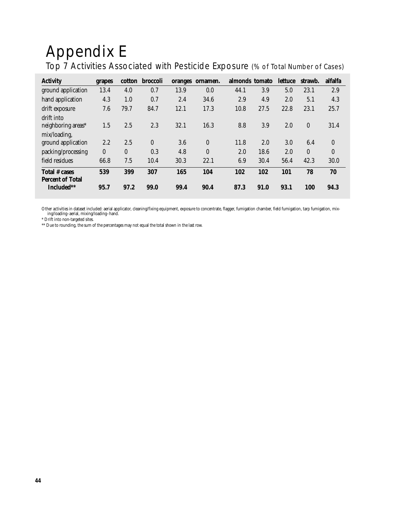# Appendix E

Top 7 Activities Associated with Pesticide Exposure (% of Total Number of Cases)

| <b>Activity</b>                                        | grapes      | cotton      | <b>broccoli</b> | oranges     | ornamen.    | almonds tomato |             | <b>lettuce</b>     | strawb.   | alfalfa          |
|--------------------------------------------------------|-------------|-------------|-----------------|-------------|-------------|----------------|-------------|--------------------|-----------|------------------|
| ground application                                     | 13.4        | 4.0         | 0.7             | 13.9        | 0.0         | 44.1           | 3.9         | 5.0                | 23.1      | 2.9              |
| hand application                                       | 4.3         | 1.0         | 0.7             | 2.4         | 34.6        | 2.9            | 4.9         | 2.0                | 5.1       | 4.3              |
| drift exposure                                         | 7.6         | 79.7        | 84.7            | 12.1        | 17.3        | 10.8           | 27.5        | 22.8               | 23.1      | 25.7             |
| drift into<br>neighboring areas*<br>mix/loading,       | 1.5         | 2.5         | 2.3             | 32.1        | 16.3        | 8.8            | 3.9         | 2.0                | $\theta$  | 31.4             |
| ground application                                     | $2.2\,$     | 2.5         | $\theta$        | 3.6         | $\theta$    | 11.8           | 2.0         | 3.0                | 6.4       | $\boldsymbol{0}$ |
| packing/processing                                     | $\theta$    | $\theta$    | 0.3             | 4.8         | $\theta$    | 2.0            | 18.6        | 2.0                | $\theta$  | $\theta$         |
| field residues                                         | 66.8        | 7.5         | 10.4            | 30.3        | 22.1        | 6.9            | 30.4        | 56.4               | 42.3      | 30.0             |
| Total # cases<br><b>Percent of Total</b><br>Included** | 539<br>95.7 | 399<br>97.2 | 307<br>99.0     | 165<br>99.4 | 104<br>90.4 | 102<br>87.3    | 102<br>91.0 | <b>101</b><br>93.1 | 78<br>100 | 70<br>94.3       |
|                                                        |             |             |                 |             |             |                |             |                    |           |                  |

Other activities in dataset included: aerial applicator, cleaning/fixing equipment, exposure to concentrate, flagger, fumigation chamber, field fumigation, tarp fumigation, mix- ing/loading–aerial, mixing/loading–hand.

\* Drift into non-targeted sites.

\*\* Due to rounding, the sum of the percentages may not equal the total shown in the last row.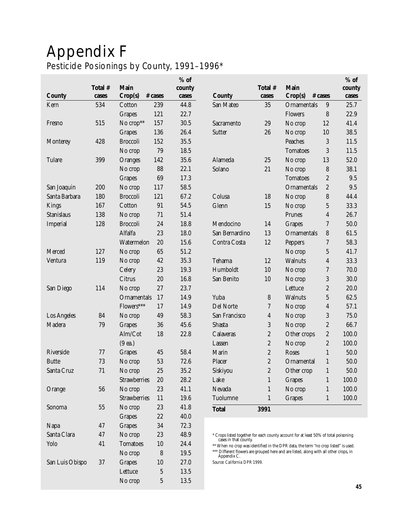# Appendix F

## Pesticide Posionings by County, 1991–1996\*

|                   |              |                     |            | $%$ of        |                                                                                                                                                                             |                  |                    |                         | $%$ of        |
|-------------------|--------------|---------------------|------------|---------------|-----------------------------------------------------------------------------------------------------------------------------------------------------------------------------|------------------|--------------------|-------------------------|---------------|
|                   | Total #      | <b>Main</b>         |            | county        |                                                                                                                                                                             | Total #          | <b>Main</b>        |                         | county        |
| <b>County</b>     | cases<br>534 | Crop(s)             | # cases    | cases<br>44.8 | <b>County</b>                                                                                                                                                               | cases<br>35      | Crop(s)            | # cases                 | cases<br>25.7 |
| Kern              |              | Cotton              | 239        |               | San Mateo                                                                                                                                                                   |                  | Ornamentals        | 9                       |               |
|                   |              | <b>Grapes</b>       | 121        | 22.7          |                                                                                                                                                                             |                  | <b>Flowers</b>     | 8                       | 22.9          |
| Fresno            | 515          | No crop**           | 157        | 30.5          | Sacramento                                                                                                                                                                  | 29               | No crop            | 12                      | 41.4          |
|                   |              | <b>Grapes</b>       | 136        | 26.4          | <b>Sutter</b>                                                                                                                                                               | 26               | No crop            | 10                      | 38.5          |
| <b>Monterey</b>   | 428          | <b>Broccoli</b>     | 152        | 35.5          |                                                                                                                                                                             |                  | Peaches            | 3                       | 11.5          |
|                   |              | No crop             | 79         | 18.5          |                                                                                                                                                                             |                  | <b>Tomatoes</b>    | 3                       | 11.5          |
| <b>Tulare</b>     | 399          | <b>Oranges</b>      | 142        | 35.6          | Alameda                                                                                                                                                                     | 25               | No crop            | 13                      | 52.0          |
|                   |              | No crop             | 88         | 22.1          | Solano                                                                                                                                                                      | 21               | No crop            | $\bf 8$                 | 38.1          |
|                   |              | <b>Grapes</b>       | 69         | 17.3          |                                                                                                                                                                             |                  | <b>Tomatoes</b>    | $\overline{c}$          | $9.5\,$       |
| San Joaquin       | 200          | No crop             | 117        | 58.5          |                                                                                                                                                                             |                  | <b>Ornamentals</b> | $\overline{c}$          | $9.5\,$       |
| Santa Barbara     | 180          | <b>Broccoli</b>     | 121        | 67.2          | Colusa                                                                                                                                                                      | 18               | No crop            | 8                       | 44.4          |
| <b>Kings</b>      | 167          | Cotton              | 91         | 54.5          | Glenn                                                                                                                                                                       | 15               | No crop            | $\overline{5}$          | 33.3          |
| <b>Stanislaus</b> | 138          | No crop             | 71         | 51.4          |                                                                                                                                                                             |                  | Prunes             | 4                       | 26.7          |
| <b>Imperial</b>   | 128          | <b>Broccoli</b>     | 24         | 18.8          | Mendocino                                                                                                                                                                   | 14               | <b>Grapes</b>      | 7                       | 50.0          |
|                   |              | Alfalfa             | 23         | 18.0          | San Bernardino                                                                                                                                                              | 13               | <b>Ornamentals</b> | $\bf 8$                 | 61.5          |
|                   |              | Watermelon          | 20         | 15.6          | Contra Costa                                                                                                                                                                | 12               | <b>Peppers</b>     | 7                       | 58.3          |
| Merced            | 127          | No crop             | 65         | 51.2          |                                                                                                                                                                             |                  | No crop            | 5                       | 41.7          |
| Ventura           | 119          | No crop             | $42\,$     | 35.3          | Tehama                                                                                                                                                                      | 12               | <b>Walnuts</b>     | 4                       | 33.3          |
|                   |              | Celery              | 23         | 19.3          | Humboldt                                                                                                                                                                    | 10               | No crop            | 7                       | 70.0          |
|                   |              | Citrus              | $20\,$     | 16.8          | San Benito                                                                                                                                                                  | 10               | No crop            | 3                       | 30.0          |
| San Diego         | 114          | No crop             | 27         | 23.7          |                                                                                                                                                                             |                  | Lettuce            | $\overline{c}$          | 20.0          |
|                   |              | Ornamentals         | 17         | 14.9          | Yuba                                                                                                                                                                        | 8                | <b>Walnuts</b>     | $\overline{5}$          | 62.5          |
|                   |              | Flowers***          | 17         | 14.9          | Del Norte                                                                                                                                                                   | 7                | No crop            | 4                       | 57.1          |
| Los Angeles       | 84           | No crop             | 49         | 58.3          | San Francisco                                                                                                                                                               | $\overline{4}$   | No crop            | 3                       | 75.0          |
| Madera            | 79           | <b>Grapes</b>       | 36         | 45.6          | Shasta                                                                                                                                                                      | $\sqrt{3}$       | No crop            | $\overline{\mathbf{c}}$ | 66.7          |
|                   |              | Alm/Cot             | 18         | 22.8          | Calaveras                                                                                                                                                                   | $\sqrt{2}$       | Other crops        | $\overline{c}$          | 100.0         |
|                   |              | $(9 \text{ ea.})$   |            |               | Lassen                                                                                                                                                                      | $\sqrt{2}$       | No crop            | $\boldsymbol{2}$        | 100.0         |
| Riverside         | 77           | <b>Grapes</b>       | 45         | 58.4          | Marin                                                                                                                                                                       | $\boldsymbol{2}$ | <b>Roses</b>       | $\mathbf{1}$            | 50.0          |
| <b>Butte</b>      | 73           | No crop             | 53         | 72.6          | Placer                                                                                                                                                                      | $\overline{c}$   | Ornamental         | $\mathbf{1}$            | 50.0          |
| Santa Cruz        | 71           | No crop             | 25         | 35.2          | Siskiyou                                                                                                                                                                    | $\boldsymbol{2}$ | Other crop         | $\mathbf{1}$            | 50.0          |
|                   |              | <b>Strawberries</b> | 20         | 28.2          | Lake                                                                                                                                                                        | 1                | <b>Grapes</b>      | $\mathbf{1}$            | 100.0         |
| Orange            | 56           | No crop             | 23         | 41.1          | Nevada                                                                                                                                                                      | $\mathbf{1}$     | No crop            | $\mathbf{1}$            | 100.0         |
|                   |              | <b>Strawberries</b> | 11         | 19.6          | Tuolumne                                                                                                                                                                    | $\mathbf{1}$     | <b>Grapes</b>      | $\mathbf{1}$            | 100.0         |
| Sonoma            | 55           | No crop             | 23         | 41.8          | <b>Total</b>                                                                                                                                                                | 3991             |                    |                         |               |
|                   |              | <b>Grapes</b>       | 22         | 40.0          |                                                                                                                                                                             |                  |                    |                         |               |
| Napa              | 47           | <b>Grapes</b>       | 34         | 72.3          |                                                                                                                                                                             |                  |                    |                         |               |
| Santa Clara       | 47           | No crop             | 23         | 48.9          | * Crops listed together for each county account for at least 50% of total poisoning                                                                                         |                  |                    |                         |               |
| Yolo              | 41           | <b>Tomatoes</b>     | 10         | 24.4          | cases in that county.                                                                                                                                                       |                  |                    |                         |               |
|                   |              | No crop             | 8          | 19.5          | ** When no crop was identified in the DPR data, the term "no crop listed" is used.<br>*** Different flowers are grouped here and are listed, along with all other crops, in |                  |                    |                         |               |
| San Luis Obispo   | 37           | <b>Grapes</b>       | 10         | 27.0          | Appendix C.<br>Source: California DPR 1999.                                                                                                                                 |                  |                    |                         |               |
|                   |              | Lettuce             | $\sqrt{5}$ | 13.5          |                                                                                                                                                                             |                  |                    |                         |               |

No crop 5 13.5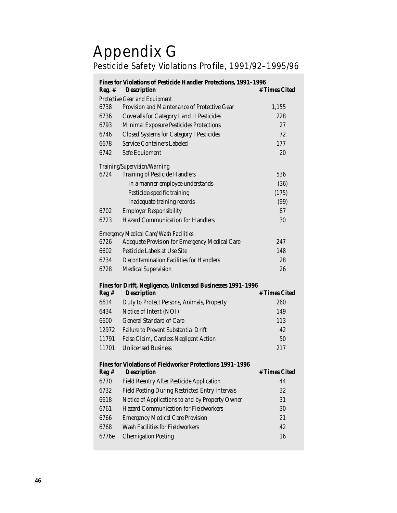# Appendix G

Pesticide Safety Violations Profile, 1991/92–1995/96

| $Reg.$ # | Fines for Violations of Pesticide Handler Protections, 1991-1996<br><b>Description</b> | # Times Cited |
|----------|----------------------------------------------------------------------------------------|---------------|
|          | Protective Gear and Equipment                                                          |               |
| 6738     | Provision and Maintenance of Protective Gear                                           | 1,155         |
| 6736     | Coveralls for Category I and II Pesticides                                             | 228           |
| 6793     | <b>Minimal Exposure Pesticides Protections</b>                                         | 27            |
| 6746     | <b>Closed Systems for Category I Pesticides</b>                                        | 72            |
| 6678     | <b>Service Containers Labeled</b>                                                      | 177           |
| 6742     | Safe Equipment                                                                         | 20            |
|          | Training/Supervision/Warning                                                           |               |
| 6724     | <b>Training of Pesticide Handlers</b>                                                  | 536           |
|          | In a manner employee understands                                                       | (36)          |
|          | Pesticide-specific training                                                            | (175)         |
|          | Inadequate training records                                                            | (99)          |
| 6702     | <b>Employer Responsibility</b>                                                         | 87            |
| 6723     | <b>Hazard Communication for Handlers</b>                                               | 30            |
|          | <b>Emergency Medical Care/Wash Facilities</b>                                          |               |
| 6726     | Adequate Provision for Emergency Medical Care                                          | 247           |
| 6602     | Pesticide Labels at Use Site                                                           | 148           |
| 6734     | Decontamination Facilities for Handlers                                                | 28            |
| 6728     | <b>Medical Supervision</b>                                                             | 26            |
|          | Fines for Drift, Negligence, Unlicensed Businesses 1991-1996                           |               |
| Reg#     | <b>Description</b>                                                                     | # Times Cited |
| 6614     | Duty to Protect Persons, Animals, Property                                             | 260           |
| 6434     | Notice of Intent (NOI)                                                                 | 149           |
| 6600     | <b>General Standard of Care</b>                                                        | 113           |
| 12972    | <b>Failure to Prevent Substantial Drift</b>                                            | 42            |
| 11791    | False Claim, Careless Negligent Action                                                 | 50            |
| 11701    | <b>Unlicensed Business</b>                                                             | 217           |
|          | Fines for Violations of Fieldworker Protections 1991-1996                              |               |
| Reg#     | <b>Description</b>                                                                     | # Times Cited |
| 6770     | <b>Field Reentry After Pesticide Application</b>                                       | 44            |
| 6732     | <b>Field Posting During Restricted Entry Intervals</b>                                 | 32            |
| 6618     | Notice of Applications to and by Property Owner                                        | 31            |
| 6761     | <b>Hazard Communication for Fieldworkers</b>                                           | 30            |
| 6766     | <b>Emergency Medical Care Provision</b>                                                | 21            |
| 6768     | Wash Facilities for Fieldworkers                                                       | 42            |
| 6776e    | <b>Chemigation Posting</b>                                                             | 16            |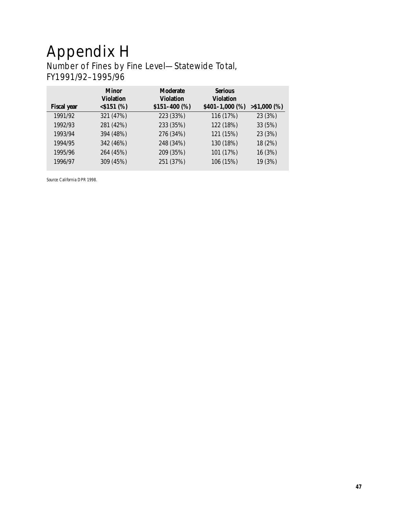# Appendix H

Number of Fines by Fine Level—Statewide Total, FY1991/92–1995/96

| <b>Fiscal year</b> | <b>Minor</b><br><b>Violation</b><br>$<$ \$151 $(%)$ | <b>Moderate</b><br><b>Violation</b><br>$$151-400\,(%)$ | <b>Serious</b><br><b>Violation</b><br>\$401-1,000 (%) | $> $1,000$ (%) |
|--------------------|-----------------------------------------------------|--------------------------------------------------------|-------------------------------------------------------|----------------|
| 1991/92            | 321 (47%)                                           | 223 (33%)                                              | 116 (17%)                                             | 23 (3%)        |
| 1992/93            | 281 (42%)                                           | 233 (35%)                                              | 122 (18%)                                             | 33 (5%)        |
| 1993/94            | 394 (48%)                                           | 276 (34%)                                              | 121 (15%)                                             | 23 (3%)        |
| 1994/95            | 342 (46%)                                           | 248 (34%)                                              | 130 (18%)                                             | 18 (2%)        |
| 1995/96            | 264 (45%)                                           | 209 (35%)                                              | 101 (17%)                                             | 16 (3%)        |
| 1996/97            | 309 (45%)                                           | 251 (37%)                                              | 106 (15%)                                             | 19 (3%)        |

*Source: California DPR 1998.*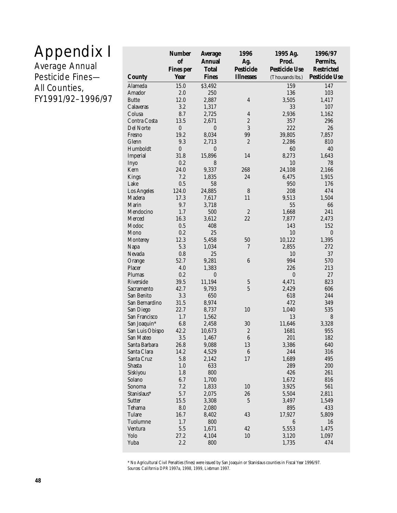# Appendix I

Average Annual Pesticide Fines— All Counties, FY1991/92–1996/97

| <b>Total</b><br><b>Pesticide</b><br><b>Pesticide Use</b><br><b>Restricted</b><br><b>Fines</b> per<br><b>Year</b><br><b>Illnesses</b><br><b>Pesticide Use</b><br><b>Fines</b><br><b>County</b><br>(Thousands lbs.)<br>15.0<br>Alameda<br>\$3,492<br>159<br>147<br>250<br>Amador<br>2.0<br>136<br>103<br>12.0<br><b>Butte</b><br>2,887<br>$\overline{4}$<br>3,505<br>1,417<br>3.2<br>Calaveras<br>1,317<br>33<br>107<br>8.7<br>Colusa<br>2,725<br>$\overline{4}$<br>2,936<br>1,162<br>$\overline{c}$<br>13.5<br>357<br>296<br>Contra Costa<br>2,671<br>3<br>Del Norte<br>222<br>26<br>$\boldsymbol{0}$<br>$\bf{0}$<br>19.2<br>8,034<br>99<br>39,805<br>Fresno<br>7,857<br>9.3<br>2,713<br>$\overline{2}$<br>Glenn<br>2,286<br>810<br>Humboldt<br>$\boldsymbol{0}$<br>$\boldsymbol{0}$<br>60<br>40<br>31.8<br>15,896<br>8,273<br>1,643<br>Imperial<br>14<br>78<br>0.2<br>8<br>10<br>Inyo<br>24.0<br>268<br>24,108<br>Kern<br>9,337<br>2,166<br>7.2<br>24<br>Kings<br>1,835<br>6,475<br>1,915<br>0.5<br>Lake<br>58<br>950<br>176<br>124.0<br>24,885<br>$\bf 8$<br>208<br>474<br>Los Angeles<br>17.3<br>11<br>1,504<br>Madera<br>7,617<br>9,513<br>9.7<br>55<br>Marin<br>3,718<br>66<br>1.7<br>$\sqrt{2}$<br>Mendocino<br>500<br>1,668<br>241<br>16.3<br>Merced<br>3,612<br>22<br>7,877<br>2,473<br>Modoc<br>0.5<br>152<br>408<br>143<br>0.2<br>25<br>Mono<br>10<br>$\bf{0}$<br>12.3<br>10,122<br>1,395<br>Monterey<br>5,458<br>50<br>5.3<br>2,855<br>272<br>Napa<br>1,034<br>7<br>$0.8\,$<br>37<br>Nevada<br>25<br>10<br>52.7<br>9,281<br>994<br>570<br>$6\phantom{.}6$<br>Orange<br>Placer<br>4.0<br>1,383<br>226<br>213<br>0.2<br>$\bf{0}$<br>27<br>Plumas<br>$\boldsymbol{0}$<br>39.5<br>11,194<br>823<br>Riverside<br>$\mathbf 5$<br>4,471<br>42.7<br>5<br>9,793<br>2,429<br>606<br>Sacramento<br>3.3<br>650<br>San Benito<br>618<br>244<br>472<br>San Bernardino<br>31.5<br>8,974<br>349<br>22.7<br>535<br>San Diego<br>8,737<br>10<br>1,040<br>1.7<br>San Francisco<br>1,562<br>13<br>8<br>6.8<br>30<br>3,328<br>11,646<br>San Joaquin*<br>2,458<br>42.2<br>$\sqrt{2}$<br>1681<br>955<br>San Luis Obispo<br>10,673<br>$3.5\,$<br>$\boldsymbol{6}$<br>182<br>1,467<br>201<br>San Mateo<br>9,088<br>13<br>3,386<br>Santa Barbara<br>26.8<br>640<br>14.2<br>$\boldsymbol{6}$<br>244<br>316<br>Santa Clara<br>4,529<br>17<br>5.8<br>1,689<br>495<br>Santa Cruz<br>2,142<br>633<br>289<br>200<br>Shasta<br>1.0<br>800<br>Siskiyou<br>1.8<br>426<br>261<br>Solano<br>6.7<br>1,700<br>1,672<br>816<br>7.2<br>561<br>1,833<br>10<br>3,925<br>Sonoma<br>5.7<br>26<br>Stanislaus*<br>2,075<br>2,811<br>5,504<br>15.5<br>$\bf 5$<br>3,308<br>3,497<br>1,549<br><b>Sutter</b><br>Tehama<br>8.0<br>2,080<br>895<br>433<br>43<br><b>Tulare</b><br>16.7<br>8,402<br>17,927<br>5,809<br>Tuolumne<br>1.7<br>800<br>16<br>6<br>$5.5\,$<br>42<br>1,671<br>5,553<br>1,475<br>Ventura<br>Yolo<br>27.2<br>4,104<br>10<br>3,120<br>1,097<br>Yuba<br>2.2<br>800<br>1,735<br>474 | <b>Number</b> | <b>Average</b> | 1996 | 1995 Ag. | 1996/97  |
|-----------------------------------------------------------------------------------------------------------------------------------------------------------------------------------------------------------------------------------------------------------------------------------------------------------------------------------------------------------------------------------------------------------------------------------------------------------------------------------------------------------------------------------------------------------------------------------------------------------------------------------------------------------------------------------------------------------------------------------------------------------------------------------------------------------------------------------------------------------------------------------------------------------------------------------------------------------------------------------------------------------------------------------------------------------------------------------------------------------------------------------------------------------------------------------------------------------------------------------------------------------------------------------------------------------------------------------------------------------------------------------------------------------------------------------------------------------------------------------------------------------------------------------------------------------------------------------------------------------------------------------------------------------------------------------------------------------------------------------------------------------------------------------------------------------------------------------------------------------------------------------------------------------------------------------------------------------------------------------------------------------------------------------------------------------------------------------------------------------------------------------------------------------------------------------------------------------------------------------------------------------------------------------------------------------------------------------------------------------------------------------------------------------------------------------------------------------------------------------------------------------------------------------------------------------------------------------------------------------------------------------------------------------------------------------------------------------------------------------------------------------------------------------------------------------------------------------------------------------------------------------------------------------------------------------------------------------|---------------|----------------|------|----------|----------|
|                                                                                                                                                                                                                                                                                                                                                                                                                                                                                                                                                                                                                                                                                                                                                                                                                                                                                                                                                                                                                                                                                                                                                                                                                                                                                                                                                                                                                                                                                                                                                                                                                                                                                                                                                                                                                                                                                                                                                                                                                                                                                                                                                                                                                                                                                                                                                                                                                                                                                                                                                                                                                                                                                                                                                                                                                                                                                                                                                           | of            | <b>Annual</b>  | Ag.  | Prod.    | Permits, |
|                                                                                                                                                                                                                                                                                                                                                                                                                                                                                                                                                                                                                                                                                                                                                                                                                                                                                                                                                                                                                                                                                                                                                                                                                                                                                                                                                                                                                                                                                                                                                                                                                                                                                                                                                                                                                                                                                                                                                                                                                                                                                                                                                                                                                                                                                                                                                                                                                                                                                                                                                                                                                                                                                                                                                                                                                                                                                                                                                           |               |                |      |          |          |
|                                                                                                                                                                                                                                                                                                                                                                                                                                                                                                                                                                                                                                                                                                                                                                                                                                                                                                                                                                                                                                                                                                                                                                                                                                                                                                                                                                                                                                                                                                                                                                                                                                                                                                                                                                                                                                                                                                                                                                                                                                                                                                                                                                                                                                                                                                                                                                                                                                                                                                                                                                                                                                                                                                                                                                                                                                                                                                                                                           |               |                |      |          |          |
|                                                                                                                                                                                                                                                                                                                                                                                                                                                                                                                                                                                                                                                                                                                                                                                                                                                                                                                                                                                                                                                                                                                                                                                                                                                                                                                                                                                                                                                                                                                                                                                                                                                                                                                                                                                                                                                                                                                                                                                                                                                                                                                                                                                                                                                                                                                                                                                                                                                                                                                                                                                                                                                                                                                                                                                                                                                                                                                                                           |               |                |      |          |          |
|                                                                                                                                                                                                                                                                                                                                                                                                                                                                                                                                                                                                                                                                                                                                                                                                                                                                                                                                                                                                                                                                                                                                                                                                                                                                                                                                                                                                                                                                                                                                                                                                                                                                                                                                                                                                                                                                                                                                                                                                                                                                                                                                                                                                                                                                                                                                                                                                                                                                                                                                                                                                                                                                                                                                                                                                                                                                                                                                                           |               |                |      |          |          |
|                                                                                                                                                                                                                                                                                                                                                                                                                                                                                                                                                                                                                                                                                                                                                                                                                                                                                                                                                                                                                                                                                                                                                                                                                                                                                                                                                                                                                                                                                                                                                                                                                                                                                                                                                                                                                                                                                                                                                                                                                                                                                                                                                                                                                                                                                                                                                                                                                                                                                                                                                                                                                                                                                                                                                                                                                                                                                                                                                           |               |                |      |          |          |
|                                                                                                                                                                                                                                                                                                                                                                                                                                                                                                                                                                                                                                                                                                                                                                                                                                                                                                                                                                                                                                                                                                                                                                                                                                                                                                                                                                                                                                                                                                                                                                                                                                                                                                                                                                                                                                                                                                                                                                                                                                                                                                                                                                                                                                                                                                                                                                                                                                                                                                                                                                                                                                                                                                                                                                                                                                                                                                                                                           |               |                |      |          |          |
|                                                                                                                                                                                                                                                                                                                                                                                                                                                                                                                                                                                                                                                                                                                                                                                                                                                                                                                                                                                                                                                                                                                                                                                                                                                                                                                                                                                                                                                                                                                                                                                                                                                                                                                                                                                                                                                                                                                                                                                                                                                                                                                                                                                                                                                                                                                                                                                                                                                                                                                                                                                                                                                                                                                                                                                                                                                                                                                                                           |               |                |      |          |          |
|                                                                                                                                                                                                                                                                                                                                                                                                                                                                                                                                                                                                                                                                                                                                                                                                                                                                                                                                                                                                                                                                                                                                                                                                                                                                                                                                                                                                                                                                                                                                                                                                                                                                                                                                                                                                                                                                                                                                                                                                                                                                                                                                                                                                                                                                                                                                                                                                                                                                                                                                                                                                                                                                                                                                                                                                                                                                                                                                                           |               |                |      |          |          |
|                                                                                                                                                                                                                                                                                                                                                                                                                                                                                                                                                                                                                                                                                                                                                                                                                                                                                                                                                                                                                                                                                                                                                                                                                                                                                                                                                                                                                                                                                                                                                                                                                                                                                                                                                                                                                                                                                                                                                                                                                                                                                                                                                                                                                                                                                                                                                                                                                                                                                                                                                                                                                                                                                                                                                                                                                                                                                                                                                           |               |                |      |          |          |
|                                                                                                                                                                                                                                                                                                                                                                                                                                                                                                                                                                                                                                                                                                                                                                                                                                                                                                                                                                                                                                                                                                                                                                                                                                                                                                                                                                                                                                                                                                                                                                                                                                                                                                                                                                                                                                                                                                                                                                                                                                                                                                                                                                                                                                                                                                                                                                                                                                                                                                                                                                                                                                                                                                                                                                                                                                                                                                                                                           |               |                |      |          |          |
|                                                                                                                                                                                                                                                                                                                                                                                                                                                                                                                                                                                                                                                                                                                                                                                                                                                                                                                                                                                                                                                                                                                                                                                                                                                                                                                                                                                                                                                                                                                                                                                                                                                                                                                                                                                                                                                                                                                                                                                                                                                                                                                                                                                                                                                                                                                                                                                                                                                                                                                                                                                                                                                                                                                                                                                                                                                                                                                                                           |               |                |      |          |          |
|                                                                                                                                                                                                                                                                                                                                                                                                                                                                                                                                                                                                                                                                                                                                                                                                                                                                                                                                                                                                                                                                                                                                                                                                                                                                                                                                                                                                                                                                                                                                                                                                                                                                                                                                                                                                                                                                                                                                                                                                                                                                                                                                                                                                                                                                                                                                                                                                                                                                                                                                                                                                                                                                                                                                                                                                                                                                                                                                                           |               |                |      |          |          |
|                                                                                                                                                                                                                                                                                                                                                                                                                                                                                                                                                                                                                                                                                                                                                                                                                                                                                                                                                                                                                                                                                                                                                                                                                                                                                                                                                                                                                                                                                                                                                                                                                                                                                                                                                                                                                                                                                                                                                                                                                                                                                                                                                                                                                                                                                                                                                                                                                                                                                                                                                                                                                                                                                                                                                                                                                                                                                                                                                           |               |                |      |          |          |
|                                                                                                                                                                                                                                                                                                                                                                                                                                                                                                                                                                                                                                                                                                                                                                                                                                                                                                                                                                                                                                                                                                                                                                                                                                                                                                                                                                                                                                                                                                                                                                                                                                                                                                                                                                                                                                                                                                                                                                                                                                                                                                                                                                                                                                                                                                                                                                                                                                                                                                                                                                                                                                                                                                                                                                                                                                                                                                                                                           |               |                |      |          |          |
|                                                                                                                                                                                                                                                                                                                                                                                                                                                                                                                                                                                                                                                                                                                                                                                                                                                                                                                                                                                                                                                                                                                                                                                                                                                                                                                                                                                                                                                                                                                                                                                                                                                                                                                                                                                                                                                                                                                                                                                                                                                                                                                                                                                                                                                                                                                                                                                                                                                                                                                                                                                                                                                                                                                                                                                                                                                                                                                                                           |               |                |      |          |          |
|                                                                                                                                                                                                                                                                                                                                                                                                                                                                                                                                                                                                                                                                                                                                                                                                                                                                                                                                                                                                                                                                                                                                                                                                                                                                                                                                                                                                                                                                                                                                                                                                                                                                                                                                                                                                                                                                                                                                                                                                                                                                                                                                                                                                                                                                                                                                                                                                                                                                                                                                                                                                                                                                                                                                                                                                                                                                                                                                                           |               |                |      |          |          |
|                                                                                                                                                                                                                                                                                                                                                                                                                                                                                                                                                                                                                                                                                                                                                                                                                                                                                                                                                                                                                                                                                                                                                                                                                                                                                                                                                                                                                                                                                                                                                                                                                                                                                                                                                                                                                                                                                                                                                                                                                                                                                                                                                                                                                                                                                                                                                                                                                                                                                                                                                                                                                                                                                                                                                                                                                                                                                                                                                           |               |                |      |          |          |
|                                                                                                                                                                                                                                                                                                                                                                                                                                                                                                                                                                                                                                                                                                                                                                                                                                                                                                                                                                                                                                                                                                                                                                                                                                                                                                                                                                                                                                                                                                                                                                                                                                                                                                                                                                                                                                                                                                                                                                                                                                                                                                                                                                                                                                                                                                                                                                                                                                                                                                                                                                                                                                                                                                                                                                                                                                                                                                                                                           |               |                |      |          |          |
|                                                                                                                                                                                                                                                                                                                                                                                                                                                                                                                                                                                                                                                                                                                                                                                                                                                                                                                                                                                                                                                                                                                                                                                                                                                                                                                                                                                                                                                                                                                                                                                                                                                                                                                                                                                                                                                                                                                                                                                                                                                                                                                                                                                                                                                                                                                                                                                                                                                                                                                                                                                                                                                                                                                                                                                                                                                                                                                                                           |               |                |      |          |          |
|                                                                                                                                                                                                                                                                                                                                                                                                                                                                                                                                                                                                                                                                                                                                                                                                                                                                                                                                                                                                                                                                                                                                                                                                                                                                                                                                                                                                                                                                                                                                                                                                                                                                                                                                                                                                                                                                                                                                                                                                                                                                                                                                                                                                                                                                                                                                                                                                                                                                                                                                                                                                                                                                                                                                                                                                                                                                                                                                                           |               |                |      |          |          |
|                                                                                                                                                                                                                                                                                                                                                                                                                                                                                                                                                                                                                                                                                                                                                                                                                                                                                                                                                                                                                                                                                                                                                                                                                                                                                                                                                                                                                                                                                                                                                                                                                                                                                                                                                                                                                                                                                                                                                                                                                                                                                                                                                                                                                                                                                                                                                                                                                                                                                                                                                                                                                                                                                                                                                                                                                                                                                                                                                           |               |                |      |          |          |
|                                                                                                                                                                                                                                                                                                                                                                                                                                                                                                                                                                                                                                                                                                                                                                                                                                                                                                                                                                                                                                                                                                                                                                                                                                                                                                                                                                                                                                                                                                                                                                                                                                                                                                                                                                                                                                                                                                                                                                                                                                                                                                                                                                                                                                                                                                                                                                                                                                                                                                                                                                                                                                                                                                                                                                                                                                                                                                                                                           |               |                |      |          |          |
|                                                                                                                                                                                                                                                                                                                                                                                                                                                                                                                                                                                                                                                                                                                                                                                                                                                                                                                                                                                                                                                                                                                                                                                                                                                                                                                                                                                                                                                                                                                                                                                                                                                                                                                                                                                                                                                                                                                                                                                                                                                                                                                                                                                                                                                                                                                                                                                                                                                                                                                                                                                                                                                                                                                                                                                                                                                                                                                                                           |               |                |      |          |          |
|                                                                                                                                                                                                                                                                                                                                                                                                                                                                                                                                                                                                                                                                                                                                                                                                                                                                                                                                                                                                                                                                                                                                                                                                                                                                                                                                                                                                                                                                                                                                                                                                                                                                                                                                                                                                                                                                                                                                                                                                                                                                                                                                                                                                                                                                                                                                                                                                                                                                                                                                                                                                                                                                                                                                                                                                                                                                                                                                                           |               |                |      |          |          |
|                                                                                                                                                                                                                                                                                                                                                                                                                                                                                                                                                                                                                                                                                                                                                                                                                                                                                                                                                                                                                                                                                                                                                                                                                                                                                                                                                                                                                                                                                                                                                                                                                                                                                                                                                                                                                                                                                                                                                                                                                                                                                                                                                                                                                                                                                                                                                                                                                                                                                                                                                                                                                                                                                                                                                                                                                                                                                                                                                           |               |                |      |          |          |
|                                                                                                                                                                                                                                                                                                                                                                                                                                                                                                                                                                                                                                                                                                                                                                                                                                                                                                                                                                                                                                                                                                                                                                                                                                                                                                                                                                                                                                                                                                                                                                                                                                                                                                                                                                                                                                                                                                                                                                                                                                                                                                                                                                                                                                                                                                                                                                                                                                                                                                                                                                                                                                                                                                                                                                                                                                                                                                                                                           |               |                |      |          |          |
|                                                                                                                                                                                                                                                                                                                                                                                                                                                                                                                                                                                                                                                                                                                                                                                                                                                                                                                                                                                                                                                                                                                                                                                                                                                                                                                                                                                                                                                                                                                                                                                                                                                                                                                                                                                                                                                                                                                                                                                                                                                                                                                                                                                                                                                                                                                                                                                                                                                                                                                                                                                                                                                                                                                                                                                                                                                                                                                                                           |               |                |      |          |          |
|                                                                                                                                                                                                                                                                                                                                                                                                                                                                                                                                                                                                                                                                                                                                                                                                                                                                                                                                                                                                                                                                                                                                                                                                                                                                                                                                                                                                                                                                                                                                                                                                                                                                                                                                                                                                                                                                                                                                                                                                                                                                                                                                                                                                                                                                                                                                                                                                                                                                                                                                                                                                                                                                                                                                                                                                                                                                                                                                                           |               |                |      |          |          |
|                                                                                                                                                                                                                                                                                                                                                                                                                                                                                                                                                                                                                                                                                                                                                                                                                                                                                                                                                                                                                                                                                                                                                                                                                                                                                                                                                                                                                                                                                                                                                                                                                                                                                                                                                                                                                                                                                                                                                                                                                                                                                                                                                                                                                                                                                                                                                                                                                                                                                                                                                                                                                                                                                                                                                                                                                                                                                                                                                           |               |                |      |          |          |
|                                                                                                                                                                                                                                                                                                                                                                                                                                                                                                                                                                                                                                                                                                                                                                                                                                                                                                                                                                                                                                                                                                                                                                                                                                                                                                                                                                                                                                                                                                                                                                                                                                                                                                                                                                                                                                                                                                                                                                                                                                                                                                                                                                                                                                                                                                                                                                                                                                                                                                                                                                                                                                                                                                                                                                                                                                                                                                                                                           |               |                |      |          |          |
|                                                                                                                                                                                                                                                                                                                                                                                                                                                                                                                                                                                                                                                                                                                                                                                                                                                                                                                                                                                                                                                                                                                                                                                                                                                                                                                                                                                                                                                                                                                                                                                                                                                                                                                                                                                                                                                                                                                                                                                                                                                                                                                                                                                                                                                                                                                                                                                                                                                                                                                                                                                                                                                                                                                                                                                                                                                                                                                                                           |               |                |      |          |          |
|                                                                                                                                                                                                                                                                                                                                                                                                                                                                                                                                                                                                                                                                                                                                                                                                                                                                                                                                                                                                                                                                                                                                                                                                                                                                                                                                                                                                                                                                                                                                                                                                                                                                                                                                                                                                                                                                                                                                                                                                                                                                                                                                                                                                                                                                                                                                                                                                                                                                                                                                                                                                                                                                                                                                                                                                                                                                                                                                                           |               |                |      |          |          |
|                                                                                                                                                                                                                                                                                                                                                                                                                                                                                                                                                                                                                                                                                                                                                                                                                                                                                                                                                                                                                                                                                                                                                                                                                                                                                                                                                                                                                                                                                                                                                                                                                                                                                                                                                                                                                                                                                                                                                                                                                                                                                                                                                                                                                                                                                                                                                                                                                                                                                                                                                                                                                                                                                                                                                                                                                                                                                                                                                           |               |                |      |          |          |
|                                                                                                                                                                                                                                                                                                                                                                                                                                                                                                                                                                                                                                                                                                                                                                                                                                                                                                                                                                                                                                                                                                                                                                                                                                                                                                                                                                                                                                                                                                                                                                                                                                                                                                                                                                                                                                                                                                                                                                                                                                                                                                                                                                                                                                                                                                                                                                                                                                                                                                                                                                                                                                                                                                                                                                                                                                                                                                                                                           |               |                |      |          |          |
|                                                                                                                                                                                                                                                                                                                                                                                                                                                                                                                                                                                                                                                                                                                                                                                                                                                                                                                                                                                                                                                                                                                                                                                                                                                                                                                                                                                                                                                                                                                                                                                                                                                                                                                                                                                                                                                                                                                                                                                                                                                                                                                                                                                                                                                                                                                                                                                                                                                                                                                                                                                                                                                                                                                                                                                                                                                                                                                                                           |               |                |      |          |          |
|                                                                                                                                                                                                                                                                                                                                                                                                                                                                                                                                                                                                                                                                                                                                                                                                                                                                                                                                                                                                                                                                                                                                                                                                                                                                                                                                                                                                                                                                                                                                                                                                                                                                                                                                                                                                                                                                                                                                                                                                                                                                                                                                                                                                                                                                                                                                                                                                                                                                                                                                                                                                                                                                                                                                                                                                                                                                                                                                                           |               |                |      |          |          |
|                                                                                                                                                                                                                                                                                                                                                                                                                                                                                                                                                                                                                                                                                                                                                                                                                                                                                                                                                                                                                                                                                                                                                                                                                                                                                                                                                                                                                                                                                                                                                                                                                                                                                                                                                                                                                                                                                                                                                                                                                                                                                                                                                                                                                                                                                                                                                                                                                                                                                                                                                                                                                                                                                                                                                                                                                                                                                                                                                           |               |                |      |          |          |
|                                                                                                                                                                                                                                                                                                                                                                                                                                                                                                                                                                                                                                                                                                                                                                                                                                                                                                                                                                                                                                                                                                                                                                                                                                                                                                                                                                                                                                                                                                                                                                                                                                                                                                                                                                                                                                                                                                                                                                                                                                                                                                                                                                                                                                                                                                                                                                                                                                                                                                                                                                                                                                                                                                                                                                                                                                                                                                                                                           |               |                |      |          |          |
|                                                                                                                                                                                                                                                                                                                                                                                                                                                                                                                                                                                                                                                                                                                                                                                                                                                                                                                                                                                                                                                                                                                                                                                                                                                                                                                                                                                                                                                                                                                                                                                                                                                                                                                                                                                                                                                                                                                                                                                                                                                                                                                                                                                                                                                                                                                                                                                                                                                                                                                                                                                                                                                                                                                                                                                                                                                                                                                                                           |               |                |      |          |          |
|                                                                                                                                                                                                                                                                                                                                                                                                                                                                                                                                                                                                                                                                                                                                                                                                                                                                                                                                                                                                                                                                                                                                                                                                                                                                                                                                                                                                                                                                                                                                                                                                                                                                                                                                                                                                                                                                                                                                                                                                                                                                                                                                                                                                                                                                                                                                                                                                                                                                                                                                                                                                                                                                                                                                                                                                                                                                                                                                                           |               |                |      |          |          |
|                                                                                                                                                                                                                                                                                                                                                                                                                                                                                                                                                                                                                                                                                                                                                                                                                                                                                                                                                                                                                                                                                                                                                                                                                                                                                                                                                                                                                                                                                                                                                                                                                                                                                                                                                                                                                                                                                                                                                                                                                                                                                                                                                                                                                                                                                                                                                                                                                                                                                                                                                                                                                                                                                                                                                                                                                                                                                                                                                           |               |                |      |          |          |
|                                                                                                                                                                                                                                                                                                                                                                                                                                                                                                                                                                                                                                                                                                                                                                                                                                                                                                                                                                                                                                                                                                                                                                                                                                                                                                                                                                                                                                                                                                                                                                                                                                                                                                                                                                                                                                                                                                                                                                                                                                                                                                                                                                                                                                                                                                                                                                                                                                                                                                                                                                                                                                                                                                                                                                                                                                                                                                                                                           |               |                |      |          |          |
|                                                                                                                                                                                                                                                                                                                                                                                                                                                                                                                                                                                                                                                                                                                                                                                                                                                                                                                                                                                                                                                                                                                                                                                                                                                                                                                                                                                                                                                                                                                                                                                                                                                                                                                                                                                                                                                                                                                                                                                                                                                                                                                                                                                                                                                                                                                                                                                                                                                                                                                                                                                                                                                                                                                                                                                                                                                                                                                                                           |               |                |      |          |          |
|                                                                                                                                                                                                                                                                                                                                                                                                                                                                                                                                                                                                                                                                                                                                                                                                                                                                                                                                                                                                                                                                                                                                                                                                                                                                                                                                                                                                                                                                                                                                                                                                                                                                                                                                                                                                                                                                                                                                                                                                                                                                                                                                                                                                                                                                                                                                                                                                                                                                                                                                                                                                                                                                                                                                                                                                                                                                                                                                                           |               |                |      |          |          |
|                                                                                                                                                                                                                                                                                                                                                                                                                                                                                                                                                                                                                                                                                                                                                                                                                                                                                                                                                                                                                                                                                                                                                                                                                                                                                                                                                                                                                                                                                                                                                                                                                                                                                                                                                                                                                                                                                                                                                                                                                                                                                                                                                                                                                                                                                                                                                                                                                                                                                                                                                                                                                                                                                                                                                                                                                                                                                                                                                           |               |                |      |          |          |
|                                                                                                                                                                                                                                                                                                                                                                                                                                                                                                                                                                                                                                                                                                                                                                                                                                                                                                                                                                                                                                                                                                                                                                                                                                                                                                                                                                                                                                                                                                                                                                                                                                                                                                                                                                                                                                                                                                                                                                                                                                                                                                                                                                                                                                                                                                                                                                                                                                                                                                                                                                                                                                                                                                                                                                                                                                                                                                                                                           |               |                |      |          |          |
|                                                                                                                                                                                                                                                                                                                                                                                                                                                                                                                                                                                                                                                                                                                                                                                                                                                                                                                                                                                                                                                                                                                                                                                                                                                                                                                                                                                                                                                                                                                                                                                                                                                                                                                                                                                                                                                                                                                                                                                                                                                                                                                                                                                                                                                                                                                                                                                                                                                                                                                                                                                                                                                                                                                                                                                                                                                                                                                                                           |               |                |      |          |          |
|                                                                                                                                                                                                                                                                                                                                                                                                                                                                                                                                                                                                                                                                                                                                                                                                                                                                                                                                                                                                                                                                                                                                                                                                                                                                                                                                                                                                                                                                                                                                                                                                                                                                                                                                                                                                                                                                                                                                                                                                                                                                                                                                                                                                                                                                                                                                                                                                                                                                                                                                                                                                                                                                                                                                                                                                                                                                                                                                                           |               |                |      |          |          |
|                                                                                                                                                                                                                                                                                                                                                                                                                                                                                                                                                                                                                                                                                                                                                                                                                                                                                                                                                                                                                                                                                                                                                                                                                                                                                                                                                                                                                                                                                                                                                                                                                                                                                                                                                                                                                                                                                                                                                                                                                                                                                                                                                                                                                                                                                                                                                                                                                                                                                                                                                                                                                                                                                                                                                                                                                                                                                                                                                           |               |                |      |          |          |
|                                                                                                                                                                                                                                                                                                                                                                                                                                                                                                                                                                                                                                                                                                                                                                                                                                                                                                                                                                                                                                                                                                                                                                                                                                                                                                                                                                                                                                                                                                                                                                                                                                                                                                                                                                                                                                                                                                                                                                                                                                                                                                                                                                                                                                                                                                                                                                                                                                                                                                                                                                                                                                                                                                                                                                                                                                                                                                                                                           |               |                |      |          |          |
|                                                                                                                                                                                                                                                                                                                                                                                                                                                                                                                                                                                                                                                                                                                                                                                                                                                                                                                                                                                                                                                                                                                                                                                                                                                                                                                                                                                                                                                                                                                                                                                                                                                                                                                                                                                                                                                                                                                                                                                                                                                                                                                                                                                                                                                                                                                                                                                                                                                                                                                                                                                                                                                                                                                                                                                                                                                                                                                                                           |               |                |      |          |          |
|                                                                                                                                                                                                                                                                                                                                                                                                                                                                                                                                                                                                                                                                                                                                                                                                                                                                                                                                                                                                                                                                                                                                                                                                                                                                                                                                                                                                                                                                                                                                                                                                                                                                                                                                                                                                                                                                                                                                                                                                                                                                                                                                                                                                                                                                                                                                                                                                                                                                                                                                                                                                                                                                                                                                                                                                                                                                                                                                                           |               |                |      |          |          |
|                                                                                                                                                                                                                                                                                                                                                                                                                                                                                                                                                                                                                                                                                                                                                                                                                                                                                                                                                                                                                                                                                                                                                                                                                                                                                                                                                                                                                                                                                                                                                                                                                                                                                                                                                                                                                                                                                                                                                                                                                                                                                                                                                                                                                                                                                                                                                                                                                                                                                                                                                                                                                                                                                                                                                                                                                                                                                                                                                           |               |                |      |          |          |
|                                                                                                                                                                                                                                                                                                                                                                                                                                                                                                                                                                                                                                                                                                                                                                                                                                                                                                                                                                                                                                                                                                                                                                                                                                                                                                                                                                                                                                                                                                                                                                                                                                                                                                                                                                                                                                                                                                                                                                                                                                                                                                                                                                                                                                                                                                                                                                                                                                                                                                                                                                                                                                                                                                                                                                                                                                                                                                                                                           |               |                |      |          |          |

\* No Agricultural Civil Penalties (fines) were issued by San Joaquin or Stanislaus counties in Fiscal Year 1996/97. *Sources: California DPR 1997a, 1998, 1999, Liebman 1997.*